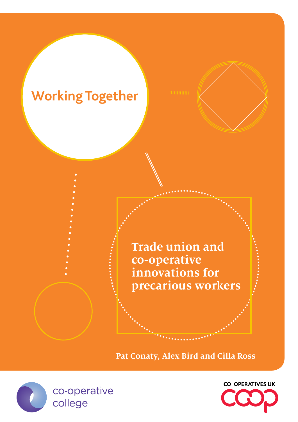# **Working Together**

**Trade union and co-operative innovations for precarious workers**

**Pat Conaty, Alex Bird and Cilla Ross**



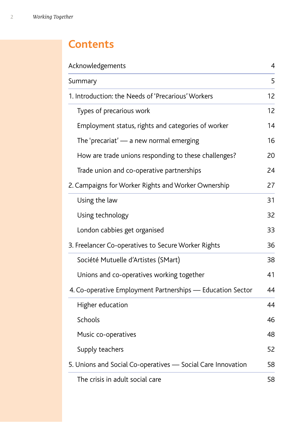### **Contents**

| Acknowledgements                                            | $\overline{4}$ |
|-------------------------------------------------------------|----------------|
| Summary                                                     | 5              |
| 1. Introduction: the Needs of 'Precarious' Workers          | 12             |
| Types of precarious work                                    | 12             |
| Employment status, rights and categories of worker          | 14             |
| The 'precariat' $-$ a new normal emerging                   | 16             |
| How are trade unions responding to these challenges?        | 20             |
| Trade union and co-operative partnerships                   | 24             |
| 2. Campaigns for Worker Rights and Worker Ownership         | 27             |
| Using the law                                               | 31             |
| Using technology                                            | 32             |
| London cabbies get organised                                | 33             |
| 3. Freelancer Co-operatives to Secure Worker Rights         | 36             |
| Société Mutuelle d'Artistes (SMart)                         | 38             |
| Unions and co-operatives working together                   | 41             |
| 4. Co-operative Employment Partnerships — Education Sector  | 44             |
| Higher education                                            | 44             |
| Schools                                                     | 46             |
| Music co-operatives                                         | 48             |
| Supply teachers                                             | 52             |
| 5. Unions and Social Co-operatives — Social Care Innovation | 58             |
| The crisis in adult social care                             | 58             |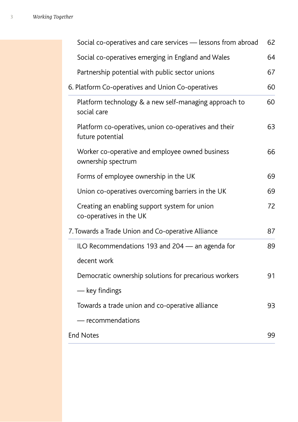| Social co-operatives and care services – lessons from abroad              | 62 |
|---------------------------------------------------------------------------|----|
| Social co-operatives emerging in England and Wales                        | 64 |
| Partnership potential with public sector unions                           | 67 |
| 6. Platform Co-operatives and Union Co-operatives                         | 60 |
| Platform technology & a new self-managing approach to<br>social care      | 60 |
| Platform co-operatives, union co-operatives and their<br>future potential | 63 |
| Worker co-operative and employee owned business<br>ownership spectrum     | 66 |
| Forms of employee ownership in the UK                                     | 69 |
| Union co-operatives overcoming barriers in the UK                         | 69 |
| Creating an enabling support system for union<br>co-operatives in the UK  | 72 |
| 7. Towards a Trade Union and Co-operative Alliance                        | 87 |
| ILO Recommendations 193 and 204 – an agenda for                           | 89 |
| decent work                                                               |    |
| Democratic ownership solutions for precarious workers                     | 91 |
| — key findings                                                            |    |
| Towards a trade union and co-operative alliance                           | 93 |
| - recommendations                                                         |    |
| <b>End Notes</b>                                                          | 99 |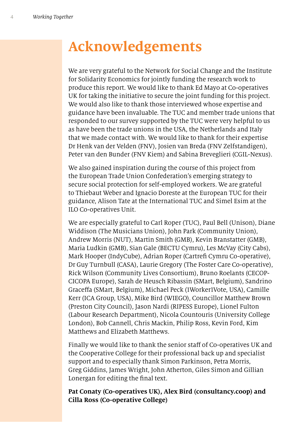# **Acknowledgements**

We are very grateful to the Network for Social Change and the Institute for Solidarity Economics for jointly funding the research work to produce this report. We would like to thank Ed Mayo at Co-operatives UK for taking the initiative to secure the joint funding for this project. We would also like to thank those interviewed whose expertise and guidance have been invaluable. The TUC and member trade unions that responded to our survey supported by the TUC were very helpful to us as have been the trade unions in the USA, the Netherlands and Italy that we made contact with. We would like to thank for their expertise Dr Henk van der Velden (FNV), Josien van Breda (FNV Zelfstandigen), Peter van den Bunder (FNV Kiem) and Sabina Breveglieri (CGIL-Nexus).

We also gained inspiration during the course of this project from the European Trade Union Confederation's emerging strategy to secure social protection for self-employed workers. We are grateful to Thiebaut Weber and Ignacio Doreste at the European TUC for their guidance, Alison Tate at the International TUC and Simel Esim at the ILO Co-operatives Unit.

We are especially grateful to Carl Roper (TUC), Paul Bell (Unison), Diane Widdison (The Musicians Union), John Park (Community Union), Andrew Morris (NUT), Martin Smith (GMB), Kevin Branstatter (GMB), Maria Ludkin (GMB), Sian Gale (BECTU Cymru), Les McVay (City Cabs), Mark Hooper (IndyCube), Adrian Roper (Cartref Cymru Co-operative), Dr Guy Turnbull (CASA), Laurie Gregory (The Foster Care Co-operative), Rick Wilson (Community Lives Consortium), Bruno Roelants (CECOP-CICOPA Europe), Sarah de Heusch Ribassin (SMart, Belgium), Sandrino Graceffa (SMart, Belgium), Michael Peck (1Worker1Vote, USA), Camille Kerr (ICA Group, USA), Mike Bird (WIEGO), Councillor Matthew Brown (Preston City Council), Jason Nardi (RIPESS Europe), Lionel Fulton (Labour Research Department), Nicola Countouris (University College London), Bob Cannell, Chris Mackin, Philip Ross, Kevin Ford, Kim Matthews and Elizabeth Matthews.

Finally we would like to thank the senior staff of Co-operatives UK and the Cooperative College for their professional back up and specialist support and to especially thank Simon Parkinson, Petra Morris, Greg Giddins, James Wright, John Atherton, Giles Simon and Gillian Lonergan for editing the fnal text.

**Pat Conaty (Co-operatives UK), Alex Bird (consultancy.coop) and Cilla Ross (Co-operative College)**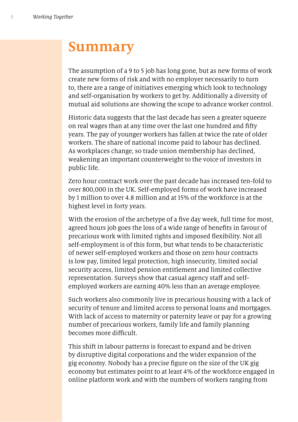## **Summary**

The assumption of a 9 to 5 job has long gone, but as new forms of work create new forms of risk and with no employer necessarily to turn to, there are a range of initiatives emerging which look to technology and self-organisation by workers to get by. Additionally a diversity of mutual aid solutions are showing the scope to advance worker control.

Historic data suggests that the last decade has seen a greater squeeze on real wages than at any time over the last one hundred and ffty years. The pay of younger workers has fallen at twice the rate of older workers. The share of national income paid to labour has declined. As workplaces change, so trade union membership has declined, weakening an important counterweight to the voice of investors in public life.

Zero hour contract work over the past decade has increased ten-fold to over 800,000 in the UK. Self-employed forms of work have increased by 1 million to over 4.8 million and at 15% of the workforce is at the highest level in forty years.

With the erosion of the archetype of a fve day week, full time for most, agreed hours job goes the loss of a wide range of benefts in favour of precarious work with limited rights and imposed fexibility. Not all self-employment is of this form, but what tends to be characteristic of newer self-employed workers and those on zero hour contracts is low pay, limited legal protection, high insecurity, limited social security access, limited pension entitlement and limited collective representation. Surveys show that casual agency staff and selfemployed workers are earning 40% less than an average employee.

Such workers also commonly live in precarious housing with a lack of security of tenure and limited access to personal loans and mortgages. With lack of access to maternity or paternity leave or pay for a growing number of precarious workers, family life and family planning becomes more difficult.

This shift in labour patterns is forecast to expand and be driven by disruptive digital corporations and the wider expansion of the gig economy. Nobody has a precise fgure on the size of the UK gig economy but estimates point to at least 4% of the workforce engaged in online platform work and with the numbers of workers ranging from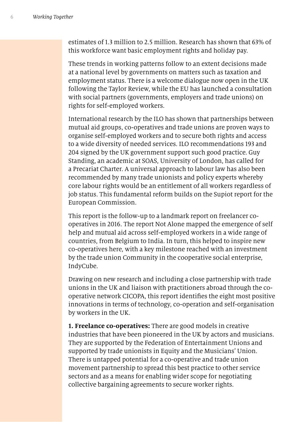estimates of 1.3 million to 2.5 million. Research has shown that 63% of this workforce want basic employment rights and holiday pay.

These trends in working patterns follow to an extent decisions made at a national level by governments on matters such as taxation and employment status. There is a welcome dialogue now open in the UK following the Taylor Review, while the EU has launched a consultation with social partners (governments, employers and trade unions) on rights for self-employed workers.

International research by the ILO has shown that partnerships between mutual aid groups, co-operatives and trade unions are proven ways to organise self-employed workers and to secure both rights and access to a wide diversity of needed services. ILO recommendations 193 and 204 signed by the UK government support such good practice. Guy Standing, an academic at SOAS, University of London, has called for a Precariat Charter. A universal approach to labour law has also been recommended by many trade unionists and policy experts whereby core labour rights would be an entitlement of all workers regardless of job status. This fundamental reform builds on the Supiot report for the European Commission.

This report is the follow-up to a landmark report on freelancer cooperatives in 2016. The report Not Alone mapped the emergence of self help and mutual aid across self-employed workers in a wide range of countries, from Belgium to India. In turn, this helped to inspire new co-operatives here, with a key milestone reached with an investment by the trade union Community in the cooperative social enterprise, IndyCube.

Drawing on new research and including a close partnership with trade unions in the UK and liaison with practitioners abroad through the cooperative network CICOPA, this report identifes the eight most positive innovations in terms of technology, co-operation and self-organisation by workers in the UK.

**1. Freelance co-operatives:** There are good models in creative industries that have been pioneered in the UK by actors and musicians. They are supported by the Federation of Entertainment Unions and supported by trade unionists in Equity and the Musicians' Union. There is untapped potential for a co-operative and trade union movement partnership to spread this best practice to other service sectors and as a means for enabling wider scope for negotiating collective bargaining agreements to secure worker rights.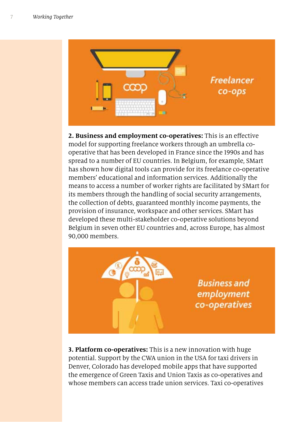

**2. Business and employment co-operatives:** This is an efective model for supporting freelance workers through an umbrella cooperative that has been developed in France since the 1990s and has spread to a number of EU countries. In Belgium, for example, SMart has shown how digital tools can provide for its freelance co-operative members' educational and information services. Additionally the means to access a number of worker rights are facilitated by SMart for its members through the handling of social security arrangements, the collection of debts, guaranteed monthly income payments, the provision of insurance, workspace and other services. SMart has developed these multi-stakeholder co-operative solutions beyond Belgium in seven other EU countries and, across Europe, has almost 90,000 members.

> **Business and** employment co-operatives

**3. Platform co-operatives:** This is a new innovation with huge potential. Support by the CWA union in the USA for taxi drivers in Denver, Colorado has developed mobile apps that have supported the emergence of Green Taxis and Union Taxis as co-operatives and whose members can access trade union services. Taxi co-operatives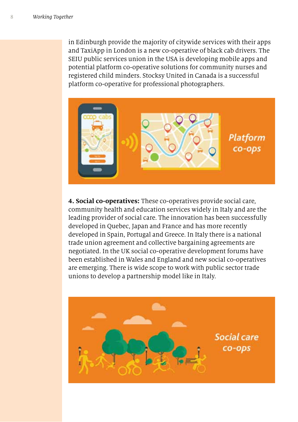in Edinburgh provide the majority of citywide services with their apps and TaxiApp in London is a new co-operative of black cab drivers. The SEIU public services union in the USA is developing mobile apps and potential platform co-operative solutions for community nurses and registered child minders. Stocksy United in Canada is a successful platform co-operative for professional photographers.



**4. Social co-operatives:** These co-operatives provide social care, community health and education services widely in Italy and are the leading provider of social care. The innovation has been successfully developed in Quebec, Japan and France and has more recently developed in Spain, Portugal and Greece. In Italy there is a national trade union agreement and collective bargaining agreements are negotiated. In the UK social co-operative development forums have been established in Wales and England and new social co-operatives are emerging. There is wide scope to work with public sector trade unions to develop a partnership model like in Italy.

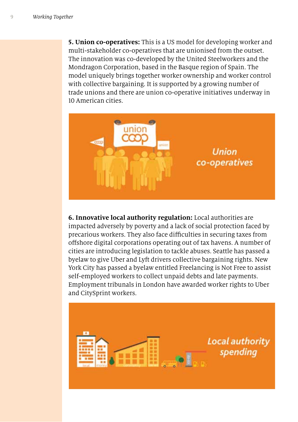**5. Union co-operatives:** This is a US model for developing worker and multi-stakeholder co-operatives that are unionised from the outset. The innovation was co-developed by the United Steelworkers and the Mondragon Corporation, based in the Basque region of Spain. The model uniquely brings together worker ownership and worker control with collective bargaining. It is supported by a growing number of trade unions and there are union co-operative initiatives underway in 10 American cities.



**6. Innovative local authority regulation:** Local authorities are impacted adversely by poverty and a lack of social protection faced by precarious workers. They also face difficulties in securing taxes from ofshore digital corporations operating out of tax havens. A number of cities are introducing legislation to tackle abuses. Seattle has passed a byelaw to give Uber and Lyft drivers collective bargaining rights. New York City has passed a byelaw entitled Freelancing is Not Free to assist self-employed workers to collect unpaid debts and late payments. Employment tribunals in London have awarded worker rights to Uber and CitySprint workers.

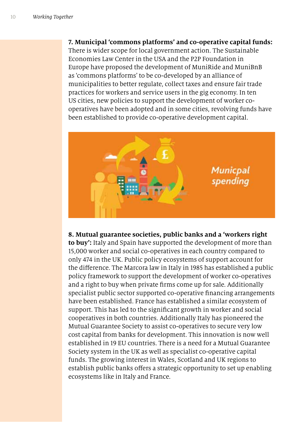#### **7. Municipal 'commons platforms' and co-operative capital funds:**

There is wider scope for local government action. The Sustainable Economies Law Center in the USA and the P2P Foundation in Europe have proposed the development of MuniRide and MuniBnB as 'commons platforms' to be co-developed by an alliance of municipalities to better regulate, collect taxes and ensure fair trade practices for workers and service users in the gig economy. In ten US cities, new policies to support the development of worker cooperatives have been adopted and in some cities, revolving funds have been established to provide co-operative development capital.



#### **8. Mutual guarantee societies, public banks and a 'workers right**

**to buy':** Italy and Spain have supported the development of more than 15,000 worker and social co-operatives in each country compared to only 474 in the UK. Public policy ecosystems of support account for the diference. The Marcora law in Italy in 1985 has established a public policy framework to support the development of worker co-operatives and a right to buy when private frms come up for sale. Additionally specialist public sector supported co-operative fnancing arrangements have been established. France has established a similar ecosystem of support. This has led to the signifcant growth in worker and social cooperatives in both countries. Additionally Italy has pioneered the Mutual Guarantee Society to assist co-operatives to secure very low cost capital from banks for development. This innovation is now well established in 19 EU countries. There is a need for a Mutual Guarantee Society system in the UK as well as specialist co-operative capital funds. The growing interest in Wales, Scotland and UK regions to establish public banks offers a strategic opportunity to set up enabling ecosystems like in Italy and France.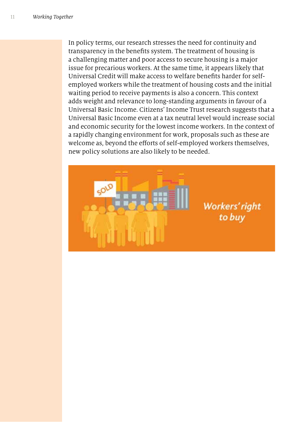In policy terms, our research stresses the need for continuity and transparency in the benefts system. The treatment of housing is a challenging matter and poor access to secure housing is a major issue for precarious workers. At the same time, it appears likely that Universal Credit will make access to welfare benefts harder for selfemployed workers while the treatment of housing costs and the initial waiting period to receive payments is also a concern. This context adds weight and relevance to long-standing arguments in favour of a Universal Basic Income. Citizens' Income Trust research suggests that a Universal Basic Income even at a tax neutral level would increase social and economic security for the lowest income workers. In the context of a rapidly changing environment for work, proposals such as these are welcome as, beyond the efforts of self-employed workers themselves, new policy solutions are also likely to be needed.

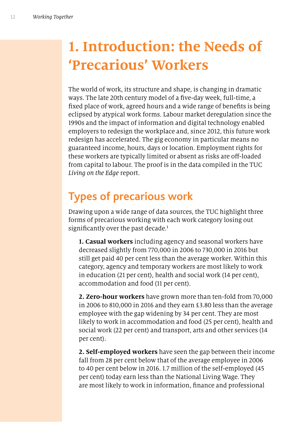# **1. Introduction: the Needs of 'Precarious' Workers**

The world of work, its structure and shape, is changing in dramatic ways. The late 20th century model of a fve-day week, full-time, a fxed place of work, agreed hours and a wide range of benefts is being eclipsed by atypical work forms. Labour market deregulation since the 1990s and the impact of information and digital technology enabled employers to redesign the workplace and, since 2012, this future work redesign has accelerated. The gig economy in particular means no guaranteed income, hours, days or location. Employment rights for these workers are typically limited or absent as risks are off-loaded from capital to labour. The proof is in the data compiled in the TUC *Living on the Edge* report.

## **Types of precarious work**

Drawing upon a wide range of data sources, the TUC highlight three forms of precarious working with each work category losing out significantly over the past decade.<sup>1</sup>

**1. Casual workers** including agency and seasonal workers have decreased slightly from 770,000 in 2006 to 730,000 in 2016 but still get paid 40 per cent less than the average worker. Within this category, agency and temporary workers are most likely to work in education (21 per cent), health and social work (14 per cent), accommodation and food (11 per cent).

**2. Zero-hour workers** have grown more than ten-fold from 70,000 in 2006 to 810,000 in 2016 and they earn £3.80 less than the average employee with the gap widening by 34 per cent. They are most likely to work in accommodation and food (25 per cent), health and social work (22 per cent) and transport, arts and other services (14 per cent).

**2. Self-employed workers** have seen the gap between their income fall from 28 per cent below that of the average employee in 2006 to 40 per cent below in 2016. 1.7 million of the self-employed (45 per cent) today earn less than the National Living Wage. They are most likely to work in information, fnance and professional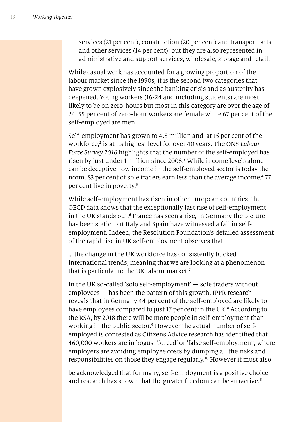services (21 per cent), construction (20 per cent) and transport, arts and other services (14 per cent); but they are also represented in administrative and support services, wholesale, storage and retail.

While casual work has accounted for a growing proportion of the labour market since the 1990s, it is the second two categories that have grown explosively since the banking crisis and as austerity has deepened. Young workers (16-24 and including students) are most likely to be on zero-hours but most in this category are over the age of 24. 55 per cent of zero-hour workers are female while 67 per cent of the self-employed are men.

Self-employment has grown to 4.8 million and, at 15 per cent of the workforce,<sup>2</sup> is at its highest level for over 40 years. The ONS *Labour Force Survey* 2016 highlights that the number of the self-employed has risen by just under 1 million since 2008. 3 While income levels alone can be deceptive, low income in the self-employed sector is today the norm. 83 per cent of sole traders earn less than the average income.<sup>4</sup> 77 per cent live in poverty.<sup>5</sup>

While self-employment has risen in other European countries, the OECD data shows that the exceptionally fast rise of self-employment in the UK stands out.<sup>6</sup> France has seen a rise, in Germany the picture has been static, but Italy and Spain have witnessed a fall in selfemployment. Indeed, the Resolution Foundation's detailed assessment of the rapid rise in UK self-employment observes that:

… the change in the UK workforce has consistently bucked international trends, meaning that we are looking at a phenomenon that is particular to the UK labour market.<sup>7</sup>

In the UK so-called 'solo self-employment' — sole traders without employees — has been the pattern of this growth. IPPR research reveals that in Germany 44 per cent of the self-employed are likely to have employees compared to just 17 per cent in the UK.<sup>8</sup> According to the RSA, by 2018 there will be more people in self-employment than working in the public sector.<sup>9</sup> However the actual number of selfemployed is contested as Citizens Advice research has identifed that 460,000 workers are in bogus, 'forced' or 'false self-employment', where employers are avoiding employee costs by dumping all the risks and responsibilities on those they engage regularly.<sup>10</sup> However it must also

be acknowledged that for many, self-employment is a positive choice and research has shown that the greater freedom can be attractive.<sup>11</sup>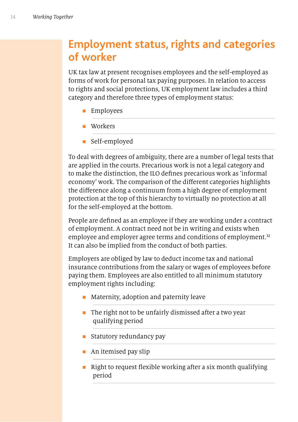#### **Employment status, rights and categories of worker**

UK tax law at present recognises employees and the self-employed as forms of work for personal tax paying purposes. In relation to access to rights and social protections, UK employment law includes a third category and therefore three types of employment status:

- $\blacksquare$  Employees
- **n** Workers
- **n** Self-employed

To deal with degrees of ambiguity, there are a number of legal tests that are applied in the courts. Precarious work is not a legal category and to make the distinction, the ILO defnes precarious work as 'informal economy' work. The comparison of the diferent categories highlights the diference along a continuum from a high degree of employment protection at the top of this hierarchy to virtually no protection at all for the self-employed at the bottom.

People are defned as an employee if they are working under a contract of employment. A contract need not be in writing and exists when employee and employer agree terms and conditions of employment.<sup>12</sup> It can also be implied from the conduct of both parties.

Employers are obliged by law to deduct income tax and national insurance contributions from the salary or wages of employees before paying them. Employees are also entitled to all minimum statutory employment rights including:

- **n** Maternity, adoption and paternity leave
- $\blacksquare$  The right not to be unfairly dismissed after a two year qualifying period
- **n** Statutory redundancy pay
- $\blacksquare$  An itemised pay slip
- $\blacksquare$  Right to request flexible working after a six month qualifying period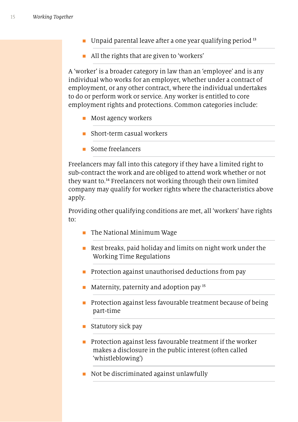- **n** Unpaid parental leave after a one year qualifying period  $13$
- All the rights that are given to 'workers'

A 'worker' is a broader category in law than an 'employee' and is any individual who works for an employer, whether under a contract of employment, or any other contract, where the individual undertakes to do or perform work or service. Any worker is entitled to core employment rights and protections. Common categories include:

- $\blacksquare$  Most agency workers
- n Short-term casual workers
- $\blacksquare$  Some freelancers

Freelancers may fall into this category if they have a limited right to sub-contract the work and are obliged to attend work whether or not they want to.<sup>14</sup> Freelancers not working through their own limited company may qualify for worker rights where the characteristics above apply.

Providing other qualifying conditions are met, all 'workers' have rights to:

- $\blacksquare$  The National Minimum Wage
- Rest breaks, paid holiday and limits on night work under the Working Time Regulations
- $\blacksquare$  Protection against unauthorised deductions from pay
- Maternity, paternity and adoption pay  $15$
- $\blacksquare$  Protection against less favourable treatment because of being part-time
- $\blacksquare$  Statutory sick pay
- $\blacksquare$  Protection against less favourable treatment if the worker makes a disclosure in the public interest (often called 'whistleblowing')
- n Not be discriminated against unlawfully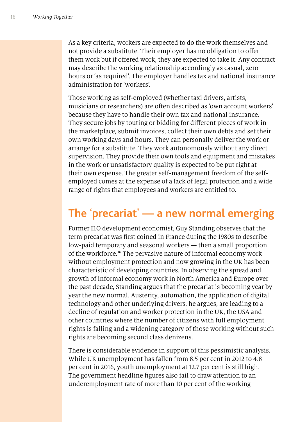As a key criteria, workers are expected to do the work themselves and not provide a substitute. Their employer has no obligation to ofer them work but if offered work, they are expected to take it. Any contract may describe the working relationship accordingly as casual, zero hours or 'as required'. The employer handles tax and national insurance administration for 'workers'.

Those working as self-employed (whether taxi drivers, artists, musicians or researchers) are often described as 'own account workers' because they have to handle their own tax and national insurance. They secure jobs by touting or bidding for diferent pieces of work in the marketplace, submit invoices, collect their own debts and set their own working days and hours. They can personally deliver the work or arrange for a substitute. They work autonomously without any direct supervision. They provide their own tools and equipment and mistakes in the work or unsatisfactory quality is expected to be put right at their own expense. The greater self-management freedom of the selfemployed comes at the expense of a lack of legal protection and a wide range of rights that employees and workers are entitled to.

#### **The** '**precariat**' **— a new normal emerging**

Former ILO development economist, Guy Standing observes that the term precariat was frst coined in France during the 1980s to describe low-paid temporary and seasonal workers — then a small proportion of the workforce.<sup>16</sup> The pervasive nature of informal economy work without employment protection and now growing in the UK has been characteristic of developing countries. In observing the spread and growth of informal economy work in North America and Europe over the past decade, Standing argues that the precariat is becoming year by year the new normal. Austerity, automation, the application of digital technology and other underlying drivers, he argues, are leading to a decline of regulation and worker protection in the UK, the USA and other countries where the number of citizens with full employment rights is falling and a widening category of those working without such rights are becoming second class denizens.

There is considerable evidence in support of this pessimistic analysis. While UK unemployment has fallen from 8.5 per cent in 2012 to 4.8 per cent in 2016, youth unemployment at 12.7 per cent is still high. The government headline fgures also fail to draw attention to an underemployment rate of more than 10 per cent of the working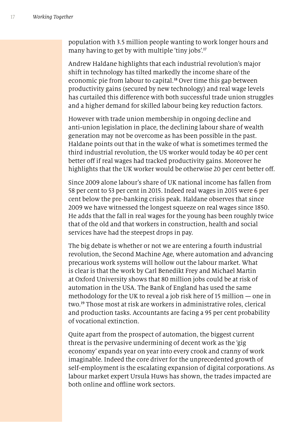population with 3.5 million people wanting to work longer hours and many having to get by with multiple 'tiny jobs'.<sup>17</sup>

Andrew Haldane highlights that each industrial revolution's major shift in technology has tilted markedly the income share of the economic pie from labour to capital.<sup>18</sup> Over time this gap between productivity gains (secured by new technology) and real wage levels has curtailed this diference with both successful trade union struggles and a higher demand for skilled labour being key reduction factors.

However with trade union membership in ongoing decline and anti-union legislation in place, the declining labour share of wealth generation may not be overcome as has been possible in the past. Haldane points out that in the wake of what is sometimes termed the third industrial revolution, the US worker would today be 40 per cent better off if real wages had tracked productivity gains. Moreover he highlights that the UK worker would be otherwise 20 per cent better of.

Since 2009 alone labour's share of UK national income has fallen from 58 per cent to 53 per cent in 2015. Indeed real wages in 2015 were 6 per cent below the pre-banking crisis peak. Haldane observes that since 2009 we have witnessed the longest squeeze on real wages since 1850. He adds that the fall in real wages for the young has been roughly twice that of the old and that workers in construction, health and social services have had the steepest drops in pay.

The big debate is whether or not we are entering a fourth industrial revolution, the Second Machine Age, where automation and advancing precarious work systems will hollow out the labour market. What is clear is that the work by Carl Benedikt Frey and Michael Martin at Oxford University shows that 80 million jobs could be at risk of automation in the USA. The Bank of England has used the same methodology for the UK to reveal a job risk here of 15 million — one in two.<sup>19</sup> Those most at risk are workers in administrative roles, clerical and production tasks. Accountants are facing a 95 per cent probability of vocational extinction.

Quite apart from the prospect of automation, the biggest current threat is the pervasive undermining of decent work as the 'gig economy' expands year on year into every crook and cranny of work imaginable. Indeed the core driver for the unprecedented growth of self-employment is the escalating expansion of digital corporations. As labour market expert Ursula Huws has shown, the trades impacted are both online and offline work sectors.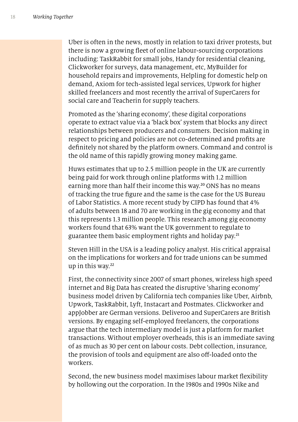Uber is often in the news, mostly in relation to taxi driver protests, but there is now a growing feet of online labour-sourcing corporations including: TaskRabbit for small jobs, Handy for residential cleaning, Clickworker for surveys, data management, etc, MyBuilder for household repairs and improvements, Helpling for domestic help on demand, Axiom for tech-assisted legal services, Upwork for higher skilled freelancers and most recently the arrival of SuperCarers for social care and Teacherin for supply teachers.

Promoted as the 'sharing economy', these digital corporations operate to extract value via a 'black box' system that blocks any direct relationships between producers and consumers. Decision making in respect to pricing and policies are not co-determined and profts are defnitely not shared by the platform owners. Command and control is the old name of this rapidly growing money making game.

Huws estimates that up to 2.5 million people in the UK are currently being paid for work through online platforms with 1.2 million earning more than half their income this way.<sup>20</sup> ONS has no means of tracking the true fgure and the same is the case for the US Bureau of Labor Statistics. A more recent study by CIPD has found that 4% of adults between 18 and 70 are working in the gig economy and that this represents 1.3 million people. This research among gig economy workers found that 63% want the UK government to regulate to guarantee them basic employment rights and holiday pay.<sup>21</sup>

Steven Hill in the USA is a leading policy analyst. His critical appraisal on the implications for workers and for trade unions can be summed up in this way.<sup>22</sup>

First, the connectivity since 2007 of smart phones, wireless high speed internet and Big Data has created the disruptive 'sharing economy' business model driven by California tech companies like Uber, Airbnb, Upwork, TaskRabbit, Lyft, Instacart and Postmates. Clickworker and appJobber are German versions. Deliveroo and SuperCarers are British versions. By engaging self-employed freelancers, the corporations argue that the tech intermediary model is just a platform for market transactions. Without employer overheads, this is an immediate saving of as much as 30 per cent on labour costs. Debt collection, insurance, the provision of tools and equipment are also off-loaded onto the workers.

Second, the new business model maximises labour market fexibility by hollowing out the corporation. In the 1980s and 1990s Nike and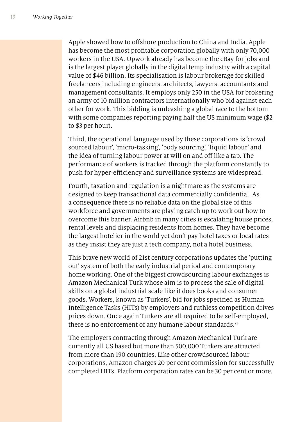Apple showed how to ofshore production to China and India. Apple has become the most proftable corporation globally with only 70,000 workers in the USA. Upwork already has become the eBay for jobs and is the largest player globally in the digital temp industry with a capital value of \$46 billion. Its specialisation is labour brokerage for skilled freelancers including engineers, architects, lawyers, accountants and management consultants. It employs only 250 in the USA for brokering an army of 10 million contractors internationally who bid against each other for work. This bidding is unleashing a global race to the bottom with some companies reporting paying half the US minimum wage (\$2 to \$3 per hour).

Third, the operational language used by these corporations is 'crowd sourced labour', 'micro-tasking', 'body sourcing', 'liquid labour' and the idea of turning labour power at will on and off like a tap. The performance of workers is tracked through the platform constantly to push for hyper-efficiency and surveillance systems are widespread.

Fourth, taxation and regulation is a nightmare as the systems are designed to keep transactional data commercially confdential. As a consequence there is no reliable data on the global size of this workforce and governments are playing catch up to work out how to overcome this barrier. Airbnb in many cities is escalating house prices, rental levels and displacing residents from homes. They have become the largest hotelier in the world yet don't pay hotel taxes or local rates as they insist they are just a tech company, not a hotel business.

This brave new world of 21st century corporations updates the 'putting out' system of both the early industrial period and contemporary home working. One of the biggest crowdsourcing labour exchanges is Amazon Mechanical Turk whose aim is to process the sale of digital skills on a global industrial scale like it does books and consumer goods. Workers, known as 'Turkers', bid for jobs specifed as Human Intelligence Tasks (HITs) by employers and ruthless competition drives prices down. Once again Turkers are all required to be self-employed, there is no enforcement of any humane labour standards.<sup>23</sup>

The employers contracting through Amazon Mechanical Turk are currently all US based but more than 500,000 Turkers are attracted from more than 190 countries. Like other crowdsourced labour corporations, Amazon charges 20 per cent commission for successfully completed HITs. Platform corporation rates can be 30 per cent or more.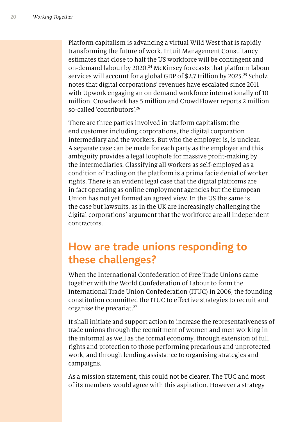Platform capitalism is advancing a virtual Wild West that is rapidly transforming the future of work. Intuit Management Consultancy estimates that close to half the US workforce will be contingent and on-demand labour by 2020. <sup>24</sup> McKinsey forecasts that platform labour services will account for a global GDP of \$2.7 trillion by 2025. <sup>25</sup> Scholz notes that digital corporations' revenues have escalated since 2011 with Upwork engaging an on demand workforce internationally of 10 million, Crowdwork has 5 million and CrowdFlower reports 2 million so-called 'contributors'.<sup>26</sup>

There are three parties involved in platform capitalism: the end customer including corporations, the digital corporation intermediary and the workers. But who the employer is, is unclear. A separate case can be made for each party as the employer and this ambiguity provides a legal loophole for massive proft-making by the intermediaries. Classifying all workers as self-employed as a condition of trading on the platform is a prima facie denial of worker rights. There is an evident legal case that the digital platforms are in fact operating as online employment agencies but the European Union has not yet formed an agreed view. In the US the same is the case but lawsuits, as in the UK are increasingly challenging the digital corporations' argument that the workforce are all independent contractors.

#### **How are trade unions responding to these challenges?**

When the International Confederation of Free Trade Unions came together with the World Confederation of Labour to form the International Trade Union Confederation (ITUC) in 2006, the founding constitution committed the ITUC to efective strategies to recruit and organise the precariat.<sup>27</sup>

It shall initiate and support action to increase the representativeness of trade unions through the recruitment of women and men working in the informal as well as the formal economy, through extension of full rights and protection to those performing precarious and unprotected work, and through lending assistance to organising strategies and campaigns.

As a mission statement, this could not be clearer. The TUC and most of its members would agree with this aspiration. However a strategy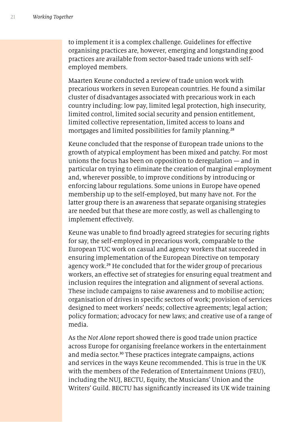to implement it is a complex challenge. Guidelines for efective organising practices are, however, emerging and longstanding good practices are available from sector-based trade unions with selfemployed members.

Maarten Keune conducted a review of trade union work with precarious workers in seven European countries. He found a similar cluster of disadvantages associated with precarious work in each country including: low pay, limited legal protection, high insecurity, limited control, limited social security and pension entitlement, limited collective representation, limited access to loans and mortgages and limited possibilities for family planning.<sup>28</sup>

Keune concluded that the response of European trade unions to the growth of atypical employment has been mixed and patchy. For most unions the focus has been on opposition to deregulation — and in particular on trying to eliminate the creation of marginal employment and, wherever possible, to improve conditions by introducing or enforcing labour regulations. Some unions in Europe have opened membership up to the self-employed, but many have not. For the latter group there is an awareness that separate organising strategies are needed but that these are more costly, as well as challenging to implement efectively.

Keune was unable to fnd broadly agreed strategies for securing rights for say, the self-employed in precarious work, comparable to the European TUC work on casual and agency workers that succeeded in ensuring implementation of the European Directive on temporary agency work.<sup>29</sup> He concluded that for the wider group of precarious workers, an efective set of strategies for ensuring equal treatment and inclusion requires the integration and alignment of several actions. These include campaigns to raise awareness and to mobilise action; organisation of drives in specifc sectors of work; provision of services designed to meet workers' needs; collective agreements; legal action; policy formation; advocacy for new laws; and creative use of a range of media.

As the *Not Alone* report showed there is good trade union practice across Europe for organising freelance workers in the entertainment and media sector.<sup>30</sup> These practices integrate campaigns, actions and services in the ways Keune recommended. This is true in the UK with the members of the Federation of Entertainment Unions (FEU), including the NUJ, BECTU, Equity, the Musicians' Union and the Writers' Guild. BECTU has signifcantly increased its UK wide training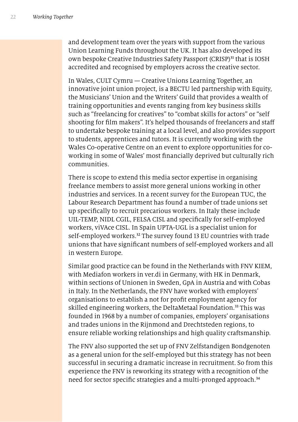and development team over the years with support from the various Union Learning Funds throughout the UK. It has also developed its own bespoke Creative Industries Safety Passport (CRISP)<sup>31</sup> that is IOSH accredited and recognised by employers across the creative sector.

In Wales, CULT Cymru — Creative Unions Learning Together, an innovative joint union project, is a BECTU led partnership with Equity, the Musicians' Union and the Writers' Guild that provides a wealth of training opportunities and events ranging from key business skills such as "freelancing for creatives" to "combat skills for actors" or "self shooting for film makers". It's helped thousands of freelancers and staff to undertake bespoke training at a local level, and also provides support to students, apprentices and tutors. It is currently working with the Wales Co-operative Centre on an event to explore opportunities for coworking in some of Wales' most fnancially deprived but culturally rich communities.

There is scope to extend this media sector expertise in organising freelance members to assist more general unions working in other industries and services. In a recent survey for the European TUC, the Labour Research Department has found a number of trade unions set up specifcally to recruit precarious workers. In Italy these include UIL-TEMP, NIDL CGIL, FELSA CISL and specifcally for self-employed workers, viVAce CISL. In Spain UPTA-UGL is a specialist union for self-employed workers.<sup>32</sup> The survey found 13 EU countries with trade unions that have signifcant numbers of self-employed workers and all in western Europe.

Similar good practice can be found in the Netherlands with FNV KIEM, with Mediafon workers in ver.di in Germany, with HK in Denmark, within sections of Unionen in Sweden, GpA in Austria and with Cobas in Italy. In the Netherlands, the FNV have worked with employers' organisations to establish a not for proft employment agency for skilled engineering workers, the DeltaMetaal Foundation.<sup>33</sup> This was founded in 1968 by a number of companies, employers' organisations and trades unions in the Rijnmond and Drechtsteden regions, to ensure reliable working relationships and high quality craftsmanship.

The FNV also supported the set up of FNV Zelfstandigen Bondgenoten as a general union for the self-employed but this strategy has not been successful in securing a dramatic increase in recruitment. So from this experience the FNV is reworking its strategy with a recognition of the need for sector specific strategies and a multi-pronged approach.<sup>34</sup>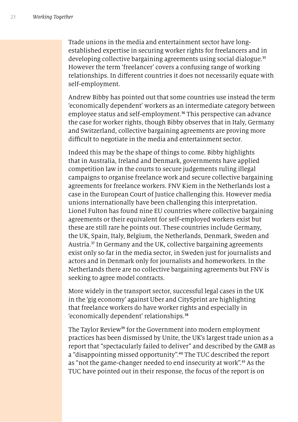Trade unions in the media and entertainment sector have longestablished expertise in securing worker rights for freelancers and in developing collective bargaining agreements using social dialogue.<sup>35</sup> However the term 'freelancer' covers a confusing range of working relationships. In diferent countries it does not necessarily equate with self-employment.

Andrew Bibby has pointed out that some countries use instead the term 'economically dependent' workers as an intermediate category between employee status and self-employment.<sup>36</sup> This perspective can advance the case for worker rights, though Bibby observes that in Italy, Germany and Switzerland, collective bargaining agreements are proving more difficult to negotiate in the media and entertainment sector.

Indeed this may be the shape of things to come. Bibby highlights that in Australia, Ireland and Denmark, governments have applied competition law in the courts to secure judgements ruling illegal campaigns to organise freelance work and secure collective bargaining agreements for freelance workers. FNV Kiem in the Netherlands lost a case in the European Court of Justice challenging this. However media unions internationally have been challenging this interpretation. Lionel Fulton has found nine EU countries where collective bargaining agreements or their equivalent for self-employed workers exist but these are still rare he points out. These countries include Germany, the UK, Spain, Italy, Belgium, the Netherlands, Denmark, Sweden and Austria.<sup>37</sup> In Germany and the UK, collective bargaining agreements exist only so far in the media sector, in Sweden just for journalists and actors and in Denmark only for journalists and homeworkers. In the Netherlands there are no collective bargaining agreements but FNV is seeking to agree model contracts.

More widely in the transport sector, successful legal cases in the UK in the 'gig economy' against Uber and CitySprint are highlighting that freelance workers do have worker rights and especially in 'economically dependent' relationships.<sup>38</sup>

The Taylor Review<sup>39</sup> for the Government into modern employment practices has been dismissed by Unite, the UK's largest trade union as a report that "spectacularly failed to deliver" and described by the GMB as a "disappointing missed opportunity".<sup>40</sup> The TUC described the report as "not the game-changer needed to end insecurity at work".<sup>41</sup> As the TUC have pointed out in their response, the focus of the report is on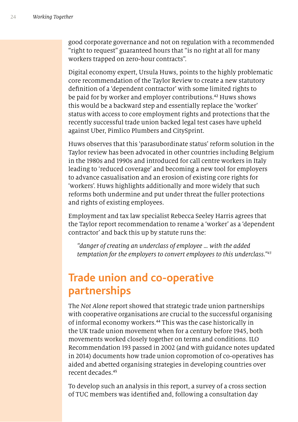good corporate governance and not on regulation with a recommended "right to request" guaranteed hours that "is no right at all for many workers trapped on zero-hour contracts".

Digital economy expert, Ursula Huws, points to the highly problematic core recommendation of the Taylor Review to create a new statutory defnition of a 'dependent contractor' with some limited rights to be paid for by worker and employer contributions.<sup>42</sup> Huws shows this would be a backward step and essentially replace the 'worker' status with access to core employment rights and protections that the recently successful trade union backed legal test cases have upheld against Uber, Pimlico Plumbers and CitySprint.

Huws observes that this 'parasubordinate status' reform solution in the Taylor review has been advocated in other countries including Belgium in the 1980s and 1990s and introduced for call centre workers in Italy leading to 'reduced coverage' and becoming a new tool for employers to advance casualisation and an erosion of existing core rights for 'workers'. Huws highlights additionally and more widely that such reforms both undermine and put under threat the fuller protections and rights of existing employees.

Employment and tax law specialist Rebecca Seeley Harris agrees that the Taylor report recommendation to rename a 'worker' as a 'dependent contractor' and back this up by statute runs the:

*"danger of creating an underclass of employee … with the added temptation for the employers to convert employees to this underclass."*<sup>43</sup>

### **Trade union and co-operative partnerships**

The *Not Alone* report showed that strategic trade union partnerships with cooperative organisations are crucial to the successful organising of informal economy workers.<sup>44</sup> This was the case historically in the UK trade union movement when for a century before 1945, both movements worked closely together on terms and conditions. ILO Recommendation 193 passed in 2002 (and with guidance notes updated in 2014) documents how trade union copromotion of co-operatives has aided and abetted organising strategies in developing countries over recent decades.<sup>45</sup>

To develop such an analysis in this report, a survey of a cross section of TUC members was identifed and, following a consultation day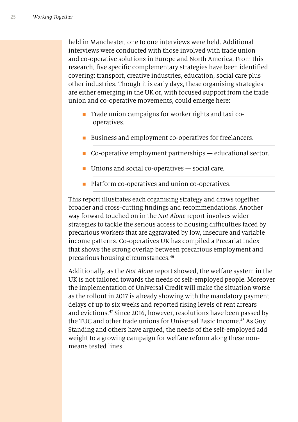held in Manchester, one to one interviews were held. Additional interviews were conducted with those involved with trade union and co-operative solutions in Europe and North America. From this research, fve specifc complementary strategies have been identifed covering: transport, creative industries, education, social care plus other industries. Though it is early days, these organising strategies are either emerging in the UK or, with focused support from the trade union and co-operative movements, could emerge here:

- **n** Trade union campaigns for worker rights and taxi cooperatives.
- Business and employment co-operatives for freelancers.
- Co-operative employment partnerships educational sector.
- $\blacksquare$  Unions and social co-operatives  $-$  social care.
- **n** Platform co-operatives and union co-operatives.

This report illustrates each organising strategy and draws together broader and cross-cutting fndings and recommendations. Another way forward touched on in the *Not Alone* report involves wider strategies to tackle the serious access to housing difficulties faced by precarious workers that are aggravated by low, insecure and variable income patterns. Co-operatives UK has compiled a Precariat Index that shows the strong overlap between precarious employment and precarious housing circumstances.<sup>46</sup>

Additionally, as the *Not Alone* report showed, the welfare system in the UK is not tailored towards the needs of self-employed people. Moreover the implementation of Universal Credit will make the situation worse as the rollout in 2017 is already showing with the mandatory payment delays of up to six weeks and reported rising levels of rent arrears and evictions.<sup>47</sup> Since 2016, however, resolutions have been passed by the TUC and other trade unions for Universal Basic Income.<sup>48</sup> As Guy Standing and others have argued, the needs of the self-employed add weight to a growing campaign for welfare reform along these nonmeans tested lines.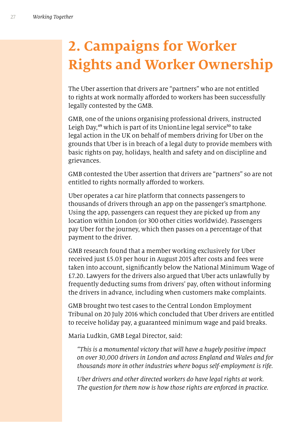# **2. Campaigns for Worker Rights and Worker Ownership**

The Uber assertion that drivers are "partners" who are not entitled to rights at work normally afforded to workers has been successfully legally contested by the GMB.

GMB, one of the unions organising professional drivers, instructed Leigh Day,<sup>49</sup> which is part of its UnionLine legal service<sup>50</sup> to take legal action in the UK on behalf of members driving for Uber on the grounds that Uber is in breach of a legal duty to provide members with basic rights on pay, holidays, health and safety and on discipline and grievances.

GMB contested the Uber assertion that drivers are "partners" so are not entitled to rights normally afforded to workers.

Uber operates a car hire platform that connects passengers to thousands of drivers through an app on the passenger's smartphone. Using the app, passengers can request they are picked up from any location within London (or 300 other cities worldwide). Passengers pay Uber for the journey, which then passes on a percentage of that payment to the driver.

GMB research found that a member working exclusively for Uber received just £5.03 per hour in August 2015 after costs and fees were taken into account, signifcantly below the National Minimum Wage of £7.20. Lawyers for the drivers also argued that Uber acts unlawfully by frequently deducting sums from drivers' pay, often without informing the drivers in advance, including when customers make complaints.

GMB brought two test cases to the Central London Employment Tribunal on 20 July 2016 which concluded that Uber drivers are entitled to receive holiday pay, a guaranteed minimum wage and paid breaks.

Maria Ludkin, GMB Legal Director, said:

*"This is a monumental victory that will have a hugely positive impact on over* 30*,*000 *drivers in London and across England and Wales and for thousands more in other industries where bogus self-employment is rife.*

*Uber drivers and other directed workers do have legal rights at work. The question for them now is how those rights are enforced in practice.*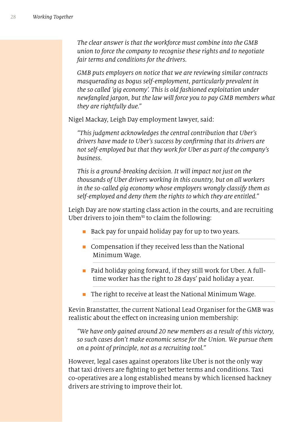*The clear answer is that the workforce must combine into the GMB union to force the company to recognise these rights and to negotiate fair terms and conditions for the drivers.*

*GMB puts employers on notice that we are reviewing similar contracts masquerading as bogus self-employment, particularly prevalent in the so called 'gig economy'. This is old fashioned exploitation under newfangled jargon, but the law will force you to pay GMB members what they are rightfully due."*

Nigel Mackay, Leigh Day employment lawyer, said:

*"This judgment acknowledges the central contribution that Uber's drivers have made to Uber's success by con*f*rming that its drivers are not self-employed but that they work for Uber as part of the company's business.*

*This is a ground-breaking decision. It will impact not just on the thousands of Uber drivers working in this country, but on all workers in the so-called gig economy whose employers wrongly classify them as self-employed and deny them the rights to which they are entitled."*

Leigh Day are now starting class action in the courts, and are recruiting Uber drivers to join them $51$  to claim the following:

- Back pay for unpaid holiday pay for up to two years.
- $\blacksquare$  Compensation if they received less than the National Minimum Wage.
- $\blacksquare$  Paid holiday going forward, if they still work for Uber. A fulltime worker has the right to 28 days' paid holiday a year.
- $\blacksquare$  The right to receive at least the National Minimum Wage.

Kevin Branstatter, the current National Lead Organiser for the GMB was realistic about the effect on increasing union membership:

*"We have only gained around* 20 *new members as a result of this victory, so such cases don't make economic sense for the Union. We pursue them on a point of principle, not as a recruiting tool."* 

However, legal cases against operators like Uber is not the only way that taxi drivers are fghting to get better terms and conditions. Taxi co-operatives are a long established means by which licensed hackney drivers are striving to improve their lot.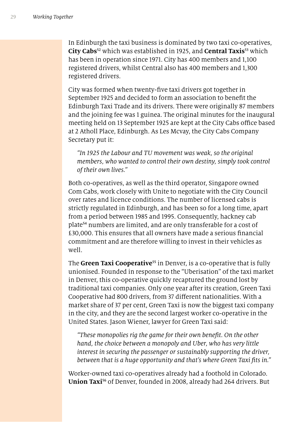In Edinburgh the taxi business is dominated by two taxi co-operatives, **City Cabs**<sup>52</sup> which was established in 1925, and **Central Taxis**<sup>53</sup> which has been in operation since 1971. City has 400 members and 1,100 registered drivers, whilst Central also has 400 members and 1,300 registered drivers.

City was formed when twenty-fve taxi drivers got together in September 1925 and decided to form an association to beneft the Edinburgh Taxi Trade and its drivers. There were originally 87 members and the joining fee was 1 guinea. The original minutes for the inaugural meeting held on 13 September 1925 are kept at the City Cabs office based at 2 Atholl Place, Edinburgh. As Les Mcvay, the City Cabs Company Secretary put it:

*"In* 1925 *the Labour and TU movement was weak, so the original members, who wanted to control their own destiny, simply took control of their own lives."*

Both co-operatives, as well as the third operator, Singapore owned Com Cabs, work closely with Unite to negotiate with the City Council over rates and licence conditions. The number of licensed cabs is strictly regulated in Edinburgh, and has been so for a long time, apart from a period between 1985 and 1995. Consequently, hackney cab plate<sup>54</sup> numbers are limited, and are only transferable for a cost of £30,000. This ensures that all owners have made a serious fnancial commitment and are therefore willing to invest in their vehicles as well.

The **Green Taxi Cooperative**<sup>55</sup> in Denver, is a co-operative that is fully unionised. Founded in response to the "Uberisation" of the taxi market in Denver, this co-operative quickly recaptured the ground lost by traditional taxi companies. Only one year after its creation, Green Taxi Cooperative had 800 drivers, from 37 diferent nationalities. With a market share of 37 per cent, Green Taxi is now the biggest taxi company in the city, and they are the second largest worker co-operative in the United States. Jason Wiener, lawyer for Green Taxi said:

*"These monopolies rig the game for their own bene*f*t. On the other hand, the choice between a monopoly and Uber, who has very little interest in securing the passenger or sustainably supporting the driver, between that is a huge opportunity and that's where Green Taxi* f*ts in."*

Worker-owned taxi co-operatives already had a foothold in Colorado. **Union Taxi**56 of Denver, founded in 2008, already had 264 drivers. But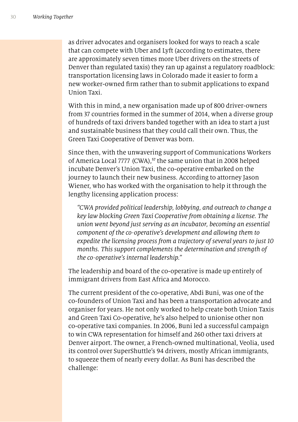as driver advocates and organisers looked for ways to reach a scale that can compete with Uber and Lyft (according to estimates, there are approximately seven times more Uber drivers on the streets of Denver than regulated taxis) they ran up against a regulatory roadblock: transportation licensing laws in Colorado made it easier to form a new worker-owned frm rather than to submit applications to expand Union Taxi.

With this in mind, a new organisation made up of 800 driver-owners from 37 countries formed in the summer of 2014, when a diverse group of hundreds of taxi drivers banded together with an idea to start a just and sustainable business that they could call their own. Thus, the Green Taxi Cooperative of Denver was born.

Since then, with the unwavering support of Communications Workers of America Local 7777 (CWA),<sup>57</sup> the same union that in 2008 helped incubate Denver's Union Taxi, the co-operative embarked on the journey to launch their new business. According to attorney Jason Wiener, who has worked with the organisation to help it through the lengthy licensing application process:

*"CWA provided political leadership, lobbying, and outreach to change a key law blocking Green Taxi Cooperative from obtaining a license. The union went beyond just serving as an incubator, becoming an essential component of the co-operative's development and allowing them to expedite the licensing process from a trajectory of several years to just 10 months. This support complements the determination and strength of the co-operative's internal leadership."*

The leadership and board of the co-operative is made up entirely of immigrant drivers from East Africa and Morocco.

The current president of the co-operative, Abdi Buni, was one of the co-founders of Union Taxi and has been a transportation advocate and organiser for years. He not only worked to help create both Union Taxis and Green Taxi Co-operative, he's also helped to unionise other non co-operative taxi companies. In 2006, Buni led a successful campaign to win CWA representation for himself and 260 other taxi drivers at Denver airport. The owner, a French-owned multinational, Veolia, used its control over SuperShuttle's 94 drivers, mostly African immigrants, to squeeze them of nearly every dollar. As Buni has described the challenge: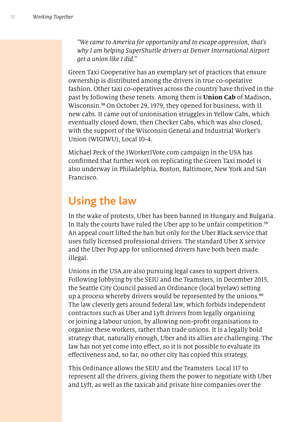*"We came to America for opportunity and to escape oppression, that's why I am helping SuperShuttle drivers at Denver International Airport get a union like I did."*

Green Taxi Cooperative has an exemplary set of practices that ensure ownership is distributed among the drivers in true co-operative fashion. Other taxi co-operatives across the country have thrived in the past by following these tenets. Among them is **Union Cab** of Madison, Wisconsin.<sup>58</sup> On October 29, 1979, they opened for business, with 11 new cabs. It came out of unionisation struggles in Yellow Cabs, which eventually closed down, then Checker Cabs, which was also closed, with the support of the Wisconsin General and Industrial Worker's Union (WIGIWU), Local 10-4.

Michael Peck of the 1Worker1Vote.com campaign in the USA has confrmed that further work on replicating the Green Taxi model is also underway in Philadelphia, Boston, Baltimore, New York and San Francisco.

### **Using the law**

In the wake of protests, Uber has been banned in Hungary and Bulgaria. In Italy the courts have ruled the Uber app to be unfair competition.<sup>59</sup> An appeal court lifted the ban but only for the Uber Black service that uses fully licensed professional drivers. The standard Uber X service and the Uber Pop app for unlicensed drivers have both been made illegal.

Unions in the USA are also pursuing legal cases to support drivers. Following lobbying by the SEIU and the Teamsters, in December 2015, the Seattle City Council passed an Ordinance (local byelaw) setting up a process whereby drivers would be represented by the unions.<sup>60</sup> The law cleverly gets around federal law, which forbids independent contractors such as Uber and Lyft drivers from legally organising or joining a labour union, by allowing non-proft organisations to organise these workers, rather than trade unions. It is a legally bold strategy that, naturally enough, Uber and its allies are challenging. The law has not yet come into effect, so it is not possible to evaluate its efectiveness and, so far, no other city has copied this strategy.

This Ordinance allows the SEIU and the Teamsters Local 117 to represent all the drivers, giving them the power to negotiate with Uber and Lyft, as well as the taxicab and private hire companies over the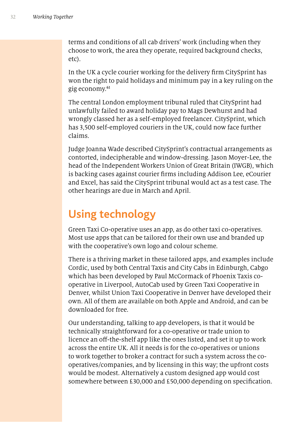terms and conditions of all cab drivers' work (including when they choose to work, the area they operate, required background checks, etc).

In the UK a cycle courier working for the delivery frm CitySprint has won the right to paid holidays and minimum pay in a key ruling on the gig economy.<sup>61</sup>

The central London employment tribunal ruled that CitySprint had unlawfully failed to award holiday pay to Mags Dewhurst and had wrongly classed her as a self-employed freelancer. CitySprint, which has 3,500 self-employed couriers in the UK, could now face further claims.

Judge Joanna Wade described CitySprint's contractual arrangements as contorted, indecipherable and window-dressing. Jason Moyer-Lee, the head of the Independent Workers Union of Great Britain (IWGB), which is backing cases against courier frms including Addison Lee, eCourier and Excel, has said the CitySprint tribunal would act as a test case. The other hearings are due in March and April.

### **Using technology**

Green Taxi Co-operative uses an app, as do other taxi co-operatives. Most use apps that can be tailored for their own use and branded up with the cooperative's own logo and colour scheme.

There is a thriving market in these tailored apps, and examples include Cordic, used by both Central Taxis and City Cabs in Edinburgh, Cabgo which has been developed by Paul McCormack of Phoenix Taxis cooperative in Liverpool, AutoCab used by Green Taxi Cooperative in Denver, whilst Union Taxi Cooperative in Denver have developed their own. All of them are available on both Apple and Android, and can be downloaded for free.

Our understanding, talking to app developers, is that it would be technically straightforward for a co-operative or trade union to licence an off-the-shelf app like the ones listed, and set it up to work across the entire UK. All it needs is for the co-operatives or unions to work together to broker a contract for such a system across the cooperatives/companies, and by licensing in this way; the upfront costs would be modest. Alternatively a custom designed app would cost somewhere between £30,000 and £50,000 depending on specifcation.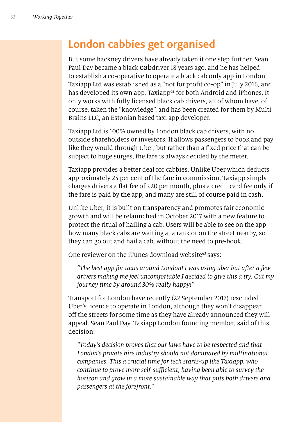#### **London cabbies get organised**

But some hackney drivers have already taken it one step further. Sean Paul Day became a black cabdriver 18 years ago, and he has helped to establish a co-operative to operate a black cab only app in London. Taxiapp Ltd was established as a "not for proft co-op" in July 2016, and has developed its own app, Taxiapp<sup>62</sup> for both Android and iPhones. It only works with fully licensed black cab drivers, all of whom have, of course, taken the "knowledge", and has been created for them by Multi Brains LLC, an Estonian based taxi app developer.

Taxiapp Ltd is 100% owned by London black cab drivers, with no outside shareholders or investors. It allows passengers to book and pay like they would through Uber, but rather than a fxed price that can be subject to huge surges, the fare is always decided by the meter.

Taxiapp provides a better deal for cabbies. Unlike Uber which deducts approximately 25 per cent of the fare in commission, Taxiapp simply charges drivers a fat fee of £20 per month, plus a credit card fee only if the fare is paid by the app, and many are still of course paid in cash.

Unlike Uber, it is built on transparency and promotes fair economic growth and will be relaunched in October 2017 with a new feature to protect the ritual of hailing a cab. Users will be able to see on the app how many black cabs are waiting at a rank or on the street nearby, so they can go out and hail a cab, without the need to pre-book.

One reviewer on the iTunes download website<sup>63</sup> says:

*"The best app for taxis around London! I was using uber but after a few drivers making me feel uncomfortable I decided to give this a try. Cut my journey time by around* 30% *really happy!"*

Transport for London have recently (22 September 2017) rescinded Uber's licence to operate in London, although they won't disappear off the streets for some time as they have already announced they will appeal. Sean Paul Day, Taxiapp London founding member, said of this decision:

*"Today's decision proves that our laws have to be respected and that London's private hire industry should not dominated by multinational companies. This a crucial time for tech starts-up like Taxiapp, who continue to prove more self-su*f*cient, having been able to survey the horizon and grow in a more sustainable way that puts both drivers and passengers at the forefront."*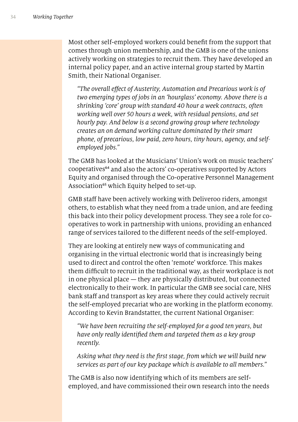Most other self-employed workers could beneft from the support that comes through union membership, and the GMB is one of the unions actively working on strategies to recruit them. They have developed an internal policy paper, and an active internal group started by Martin Smith, their National Organiser.

*"The overall e*f*ect of Austerity, Automation and Precarious work is of two emerging types of jobs in an 'hourglass' economy. Above there is a shrinking 'core' group with standard* 40 *hour a week contracts, often working well over* 50 *hours a week, with residual pensions, and set hourly pay. And below is a second growing group where technology creates an on demand working culture dominated by their smart phone, of precarious, low paid, zero hours, tiny hours, agency, and selfemployed jobs."*

The GMB has looked at the Musicians' Union's work on music teachers' cooperatives<sup>64</sup> and also the actors' co-operatives supported by Actors Equity and organised through the Co-operative Personnel Management Association<sup>65</sup> which Equity helped to set-up.

GMB staff have been actively working with Deliveroo riders, amongst others, to establish what they need from a trade union, and are feeding this back into their policy development process. They see a role for cooperatives to work in partnership with unions, providing an enhanced range of services tailored to the diferent needs of the self-employed.

They are looking at entirely new ways of communicating and organising in the virtual electronic world that is increasingly being used to direct and control the often 'remote' workforce. This makes them difficult to recruit in the traditional way, as their workplace is not in one physical place — they are physically distributed, but connected electronically to their work. In particular the GMB see social care, NHS bank staff and transport as key areas where they could actively recruit the self-employed precariat who are working in the platform economy. According to Kevin Brandstatter, the current National Organiser:

*"We have been recruiting the self-employed for a good ten years, but have only really identi*f*ed them and targeted them as a key group recently.*

*Asking what they need is the* f*rst stage, from which we will build new services as part of our key package which is available to all members."*

The GMB is also now identifying which of its members are selfemployed, and have commissioned their own research into the needs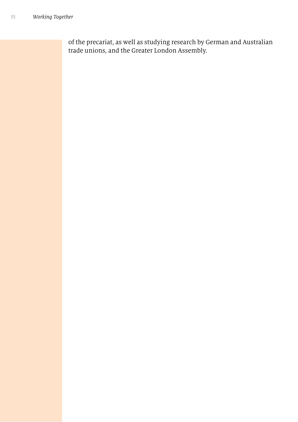of the precariat, as well as studying research by German and Australian trade unions, and the Greater London Assembly.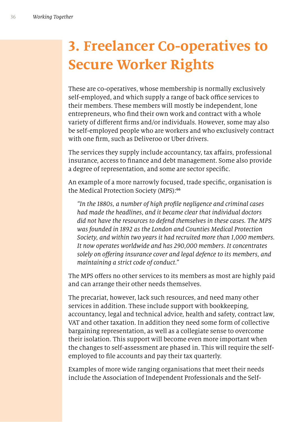# **3. Freelancer Co-operatives to Secure Worker Rights**

These are co-operatives, whose membership is normally exclusively self-employed, and which supply a range of back office services to their members. These members will mostly be independent, lone entrepreneurs, who fnd their own work and contract with a whole variety of diferent frms and/or individuals. However, some may also be self-employed people who are workers and who exclusively contract with one frm, such as Deliveroo or Uber drivers.

The services they supply include accountancy, tax affairs, professional insurance, access to fnance and debt management. Some also provide a degree of representation, and some are sector specifc.

An example of a more narrowly focused, trade specifc, organisation is the Medical Protection Society (MPS):<sup>66</sup>

*"In the* 1880*s, a number of high pro*f*le negligence and criminal cases had made the headlines, and it became clear that individual doctors did not have the resources to defend themselves in these cases. The MPS was founded in* 1892 *as the London and Counties Medical Protection Society, and within two years it had recruited more than* 1*,*000 *members. It now operates worldwide and has* 290*,*000 *members. It concentrates solely on o*f*ering insurance cover and legal defence to its members, and maintaining a strict code of conduct."*

The MPS offers no other services to its members as most are highly paid and can arrange their other needs themselves.

The precariat, however, lack such resources, and need many other services in addition. These include support with bookkeeping, accountancy, legal and technical advice, health and safety, contract law, VAT and other taxation. In addition they need some form of collective bargaining representation, as well as a collegiate sense to overcome their isolation. This support will become even more important when the changes to self-assessment are phased in. This will require the selfemployed to fle accounts and pay their tax quarterly.

Examples of more wide ranging organisations that meet their needs include the Association of Independent Professionals and the Self-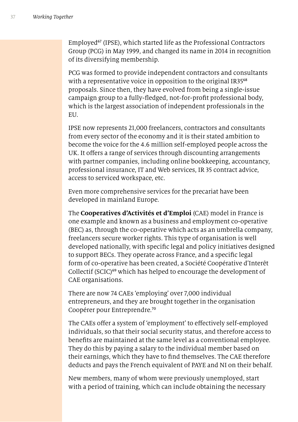Employed<sup>67</sup> (IPSE), which started life as the Professional Contractors Group (PCG) in May 1999, and changed its name in 2014 in recognition of its diversifying membership.

PCG was formed to provide independent contractors and consultants with a representative voice in opposition to the original IR35<sup>68</sup> proposals. Since then, they have evolved from being a single-issue campaign group to a fully-fedged, not-for-proft professional body, which is the largest association of independent professionals in the EU.

IPSE now represents 21,000 freelancers, contractors and consultants from every sector of the economy and it is their stated ambition to become the voice for the 4.6 million self-employed people across the UK. It offers a range of services through discounting arrangements with partner companies, including online bookkeeping, accountancy, professional insurance, IT and Web services, IR 35 contract advice, access to serviced workspace, etc.

Even more comprehensive services for the precariat have been developed in mainland Europe.

The **Cooperatives d'Activités et d'Emploi** (CAE) model in France is one example and known as a business and employment co-operative (BEC) as, through the co-operative which acts as an umbrella company, freelancers secure worker rights. This type of organisation is well developed nationally, with specifc legal and policy initiatives designed to support BECs. They operate across France, and a specifc legal form of co-operative has been created, a Société Coopérative d'Interêt Collectif (SCIC)<sup>69</sup> which has helped to encourage the development of CAE organisations.

There are now 74 CAEs 'employing' over 7,000 individual entrepreneurs, and they are brought together in the organisation Coopérer pour Entreprendre.<sup>70</sup>

The CAEs offer a system of 'employment' to effectively self-employed individuals, so that their social security status, and therefore access to benefts are maintained at the same level as a conventional employee. They do this by paying a salary to the individual member based on their earnings, which they have to fnd themselves. The CAE therefore deducts and pays the French equivalent of PAYE and NI on their behalf.

New members, many of whom were previously unemployed, start with a period of training, which can include obtaining the necessary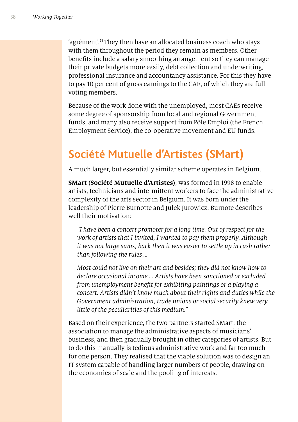'agrément'.<sup>71</sup>They then have an allocated business coach who stays with them throughout the period they remain as members. Other benefts include a salary smoothing arrangement so they can manage their private budgets more easily, debt collection and underwriting, professional insurance and accountancy assistance. For this they have to pay 10 per cent of gross earnings to the CAE, of which they are full voting members.

Because of the work done with the unemployed, most CAEs receive some degree of sponsorship from local and regional Government funds, and many also receive support from Pôle Emploi (the French Employment Service), the co-operative movement and EU funds.

## **Société Mutuelle d'Artistes (SMart)**

A much larger, but essentially similar scheme operates in Belgium.

**SMart (Société Mutuelle d'Artistes)**, was formed in 1998 to enable artists, technicians and intermittent workers to face the administrative complexity of the arts sector in Belgium. It was born under the leadership of Pierre Burnotte and Julek Jurowicz. Burnote describes well their motivation:

*"I have been a concert promoter for a long time. Out of respect for the work of artists that I invited, I wanted to pay them properly. Although it was not large sums, back then it was easier to settle up in cash rather than following the rules …*

*Most could not live on their art and besides; they did not know how to declare occasional income … Artists have been sanctioned or excluded from unemployment bene*f*t for exhibiting paintings or a playing a concert. Artists didn't know much about their rights and duties while the Government administration, trade unions or social security knew very little of the peculiarities of this medium."*

Based on their experience, the two partners started SMart, the association to manage the administrative aspects of musicians' business, and then gradually brought in other categories of artists. But to do this manually is tedious administrative work and far too much for one person. They realised that the viable solution was to design an IT system capable of handling larger numbers of people, drawing on the economies of scale and the pooling of interests.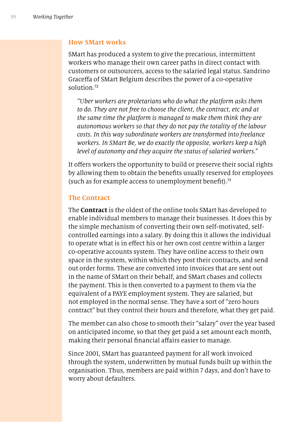#### **How SMart works**

SMart has produced a system to give the precarious, intermittent workers who manage their own career paths in direct contact with customers or outsourcers, access to the salaried legal status. Sandrino Graceffa of SMart Belgium describes the power of a co-operative solution<sup>72</sup>

*"Uber workers are proletarians who do what the platform asks them to do. They are not free to choose the client, the contract, etc and at the same time the platform is managed to make them think they are autonomous workers so that they do not pay the totality of the labour costs. In this way subordinate workers are transformed into freelance workers. In SMart Be, we do exactly the opposite, workers keep a high level of autonomy and they acquire the status of salaried workers."*

It offers workers the opportunity to build or preserve their social rights by allowing them to obtain the benefts usually reserved for employees (such as for example access to unemployment benefit).<sup>73</sup>

#### **The Contract**

The **Contract** is the oldest of the online tools SMart has developed to enable individual members to manage their businesses. It does this by the simple mechanism of converting their own self-motivated, selfcontrolled earnings into a salary. By doing this it allows the individual to operate what is in efect his or her own cost centre within a larger co-operative accounts system. They have online access to their own space in the system, within which they post their contracts, and send out order forms. These are converted into invoices that are sent out in the name of SMart on their behalf, and SMart chases and collects the payment. This is then converted to a payment to them via the equivalent of a PAYE employment system. They are salaried, but not employed in the normal sense. They have a sort of "zero hours contract" but they control their hours and therefore, what they get paid.

The member can also chose to smooth their "salary" over the year based on anticipated income, so that they get paid a set amount each month, making their personal financial affairs easier to manage.

Since 2001, SMart has guaranteed payment for all work invoiced through the system, underwritten by mutual funds built up within the organisation. Thus, members are paid within 7 days, and don't have to worry about defaulters.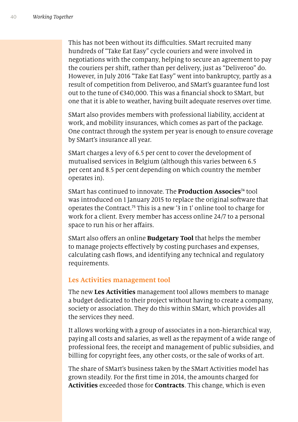This has not been without its difficulties. SMart recruited many hundreds of "Take Eat Easy" cycle couriers and were involved in negotiations with the company, helping to secure an agreement to pay the couriers per shift, rather than per delivery, just as "Deliveroo" do. However, in July 2016 "Take Eat Easy" went into bankruptcy, partly as a result of competition from Deliveroo, and SMart's guarantee fund lost out to the tune of  $\epsilon$ 340,000. This was a financial shock to SMart, but one that it is able to weather, having built adequate reserves over time.

SMart also provides members with professional liability, accident at work, and mobility insurances, which comes as part of the package. One contract through the system per year is enough to ensure coverage by SMart's insurance all year.

SMart charges a levy of 6.5 per cent to cover the development of mutualised services in Belgium (although this varies between 6.5 per cent and 8.5 per cent depending on which country the member operates in).

SMart has continued to innovate. The **Production Associes**<sup>74</sup> tool was introduced on 1 January 2015 to replace the original software that operates the Contract.<sup>75</sup> This is a new '3 in 1' online tool to charge for work for a client. Every member has access online 24/7 to a personal space to run his or her affairs.

SMart also ofers an online **Budgetary Tool** that helps the member to manage projects efectively by costing purchases and expenses, calculating cash fows, and identifying any technical and regulatory requirements.

#### **Les Activities management tool**

The new **Les Activities** management tool allows members to manage a budget dedicated to their project without having to create a company, society or association. They do this within SMart, which provides all the services they need.

It allows working with a group of associates in a non-hierarchical way, paying all costs and salaries, as well as the repayment of a wide range of professional fees, the receipt and management of public subsidies, and billing for copyright fees, any other costs, or the sale of works of art.

The share of SMart's business taken by the SMart Activities model has grown steadily. For the frst time in 2014, the amounts charged for **Activities** exceeded those for **Contracts**. This change, which is even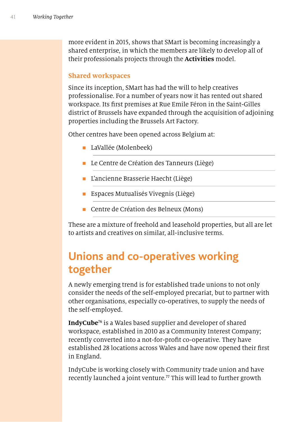more evident in 2015, shows that SMart is becoming increasingly a shared enterprise, in which the members are likely to develop all of their professionals projects through the **Activities** model.

#### **Shared workspaces**

Since its inception, SMart has had the will to help creatives professionalise. For a number of years now it has rented out shared workspace. Its frst premises at Rue Emile Féron in the Saint-Gilles district of Brussels have expanded through the acquisition of adjoining properties including the Brussels Art Factory.

Other centres have been opened across Belgium at:

- **n** LaVallée (Molenbeek)
- Le Centre de Création des Tanneurs (Liège)
- n L'ancienne Brasserie Haecht (Liège)
- $\blacksquare$  Espaces Mutualisés Vivegnis (Liège)
- Centre de Création des Belneux (Mons)

These are a mixture of freehold and leasehold properties, but all are let to artists and creatives on similar, all-inclusive terms.

# **Unions and co-operatives working together**

A newly emerging trend is for established trade unions to not only consider the needs of the self-employed precariat, but to partner with other organisations, especially co-operatives, to supply the needs of the self-employed.

**IndyCube**<sup>76</sup> is a Wales based supplier and developer of shared workspace, established in 2010 as a Community Interest Company; recently converted into a not-for-proft co-operative. They have established 28 locations across Wales and have now opened their frst in England.

IndyCube is working closely with Community trade union and have recently launched a joint venture.<sup>77</sup> This will lead to further growth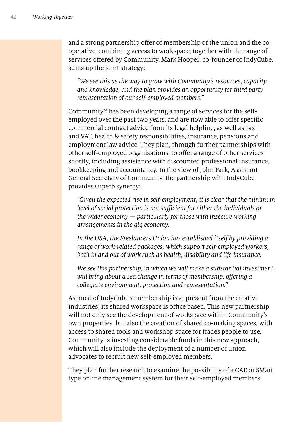and a strong partnership offer of membership of the union and the cooperative, combining access to workspace, together with the range of services offered by Community. Mark Hooper, co-founder of IndyCube, sums up the joint strategy:

*"We see this as the way to grow with Community's resources, capacity and knowledge, and the plan provides an opportunity for third party representation of our self-employed members."* 

Community78 has been developing a range of services for the selfemployed over the past two years, and are now able to offer specific commercial contract advice from its legal helpline, as well as tax and VAT, health & safety responsibilities, insurance, pensions and employment law advice. They plan, through further partnerships with other self-employed organisations, to offer a range of other services shortly, including assistance with discounted professional insurance, bookkeeping and accountancy. In the view of John Park, Assistant General Secretary of Community, the partnership with IndyCube provides superb synergy:

*"Given the expected rise in self-employment, it is clear that the minimum level of social protection is not sufficient for either the individuals or the wider economy — particularly for those with insecure working arrangements in the gig economy.*

*In the USA, the Freelancers Union has established itself by providing a range of work-related packages, which support self-employed workers, both in and out of work such as health, disability and life insurance.*

*We see this partnership, in which we will make a substantial investment, will bring about a sea change in terms of membership, o*f*ering a collegiate environment, protection and representation."*

As most of IndyCube's membership is at present from the creative industries, its shared workspace is office based. This new partnership will not only see the development of workspace within Community's own properties, but also the creation of shared co-making spaces, with access to shared tools and workshop space for trades people to use. Community is investing considerable funds in this new approach, which will also include the deployment of a number of union advocates to recruit new self-employed members.

They plan further research to examine the possibility of a CAE or SMart type online management system for their self-employed members.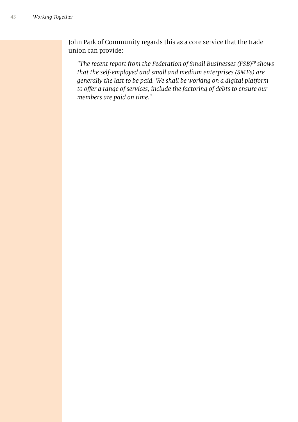John Park of Community regards this as a core service that the trade union can provide:

*"The recent report from the Federation of Small Businesses (FSB)*<sup>79</sup> *shows that the self-employed and small and medium enterprises (SMEs) are generally the last to be paid. We shall be working on a digital platform to o*f*er a range of services, include the factoring of debts to ensure our members are paid on time."*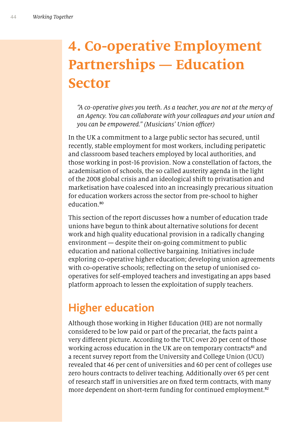# **4. Co-operative Employment Partnerships — Education Sector**

*"A co-operative gives you teeth. As a teacher, you are not at the mercy of an Agency. You can collaborate with your colleagues and your union and you can be empowered." (Musicians' Union officer)* 

In the UK a commitment to a large public sector has secured, until recently, stable employment for most workers, including peripatetic and classroom based teachers employed by local authorities, and those working in post-16 provision. Now a constellation of factors, the academisation of schools, the so called austerity agenda in the light of the 2008 global crisis and an ideological shift to privatisation and marketisation have coalesced into an increasingly precarious situation for education workers across the sector from pre-school to higher education.<sup>80</sup>

This section of the report discusses how a number of education trade unions have begun to think about alternative solutions for decent work and high quality educational provision in a radically changing environment — despite their on-going commitment to public education and national collective bargaining. Initiatives include exploring co-operative higher education; developing union agreements with co-operative schools; reflecting on the setup of unionised cooperatives for self-employed teachers and investigating an apps based platform approach to lessen the exploitation of supply teachers.

## **Higher education**

Although those working in Higher Education (HE) are not normally considered to be low paid or part of the precariat, the facts paint a very diferent picture. According to the TUC over 20 per cent of those working across education in the UK are on temporary contracts<sup>81</sup> and a recent survey report from the University and College Union (UCU) revealed that 46 per cent of universities and 60 per cent of colleges use zero hours contracts to deliver teaching. Additionally over 65 per cent of research staff in universities are on fixed term contracts, with many more dependent on short-term funding for continued employment.<sup>82</sup>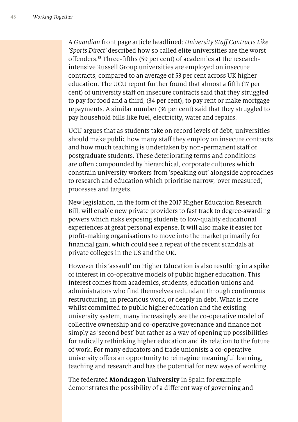A *Guardian* front page article headlined: *University Sta*f *Contracts Like 'Sports Direct'* described how so called elite universities are the worst ofenders.83 Three-ffths (59 per cent) of academics at the researchintensive Russell Group universities are employed on insecure contracts, compared to an average of 53 per cent across UK higher education. The UCU report further found that almost a ffth (17 per cent) of university staff on insecure contracts said that they struggled to pay for food and a third, (34 per cent), to pay rent or make mortgage repayments. A similar number (36 per cent) said that they struggled to pay household bills like fuel, electricity, water and repairs.

UCU argues that as students take on record levels of debt, universities should make public how many staff they employ on insecure contracts and how much teaching is undertaken by non-permanent staff or postgraduate students. These deteriorating terms and conditions are often compounded by hierarchical, corporate cultures which constrain university workers from 'speaking out' alongside approaches to research and education which prioritise narrow, 'over measured', processes and targets.

New legislation, in the form of the 2017 Higher Education Research Bill, will enable new private providers to fast track to degree-awarding powers which risks exposing students to low-quality educational experiences at great personal expense. It will also make it easier for proft-making organisations to move into the market primarily for fnancial gain, which could see a repeat of the recent scandals at private colleges in the US and the UK.

However this 'assault' on Higher Education is also resulting in a spike of interest in co-operative models of public higher education. This interest comes from academics, students, education unions and administrators who fnd themselves redundant through continuous restructuring, in precarious work, or deeply in debt. What is more whilst committed to public higher education and the existing university system, many increasingly see the co-operative model of collective ownership and co-operative governance and fnance not simply as 'second best' but rather as a way of opening up possibilities for radically rethinking higher education and its relation to the future of work. For many educators and trade unionists a co-operative university ofers an opportunity to reimagine meaningful learning, teaching and research and has the potential for new ways of working.

The federated **Mondragon University** in Spain for example demonstrates the possibility of a diferent way of governing and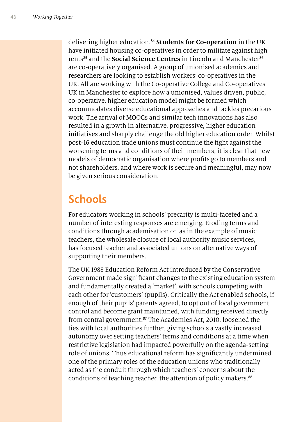delivering higher education.<sup>84</sup> **Students for Co-operation** in the UK have initiated housing co-operatives in order to militate against high rents<sup>85</sup> and the **Social Science Centres** in Lincoln and Manchester<sup>86</sup> are co-operatively organised. A group of unionised academics and researchers are looking to establish workers' co-operatives in the UK. All are working with the Co-operative College and Co-operatives UK in Manchester to explore how a unionised, values driven, public, co-operative, higher education model might be formed which accommodates diverse educational approaches and tackles precarious work. The arrival of MOOCs and similar tech innovations has also resulted in a growth in alternative, progressive, higher education initiatives and sharply challenge the old higher education order. Whilst post-16 education trade unions must continue the fght against the worsening terms and conditions of their members, it is clear that new models of democratic organisation where profts go to members and not shareholders, and where work is secure and meaningful, may now be given serious consideration.

#### **Schools**

For educators working in schools' precarity is multi-faceted and a number of interesting responses are emerging. Eroding terms and conditions through academisation or, as in the example of music teachers, the wholesale closure of local authority music services, has focused teacher and associated unions on alternative ways of supporting their members.

The UK 1988 Education Reform Act introduced by the Conservative Government made signifcant changes to the existing education system and fundamentally created a 'market', with schools competing with each other for 'customers' (pupils). Critically the Act enabled schools, if enough of their pupils' parents agreed, to opt out of local government control and become grant maintained, with funding received directly from central government.<sup>87</sup> The Academies Act, 2010, loosened the ties with local authorities further, giving schools a vastly increased autonomy over setting teachers' terms and conditions at a time when restrictive legislation had impacted powerfully on the agenda-setting role of unions. Thus educational reform has signifcantly undermined one of the primary roles of the education unions who traditionally acted as the conduit through which teachers' concerns about the conditions of teaching reached the attention of policy makers.<sup>88</sup>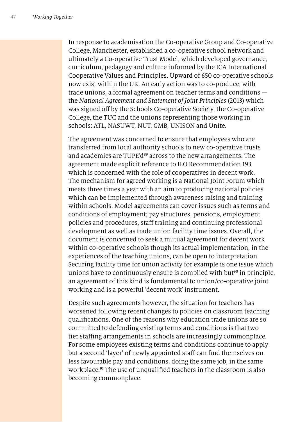In response to academisation the Co-operative Group and Co-operative College, Manchester, established a co-operative school network and ultimately a Co-operative Trust Model, which developed governance, curriculum, pedagogy and culture informed by the ICA International Cooperative Values and Principles. Upward of 650 co-operative schools now exist within the UK. An early action was to co-produce, with trade unions, a formal agreement on teacher terms and conditions the *National Agreement and Statement of Joint Principles* (2013) which was signed off by the Schools Co-operative Society, the Co-operative College, the TUC and the unions representing those working in schools: ATL, NASUWT, NUT, GMB, UNISON and Unite.

The agreement was concerned to ensure that employees who are transferred from local authority schools to new co-operative trusts and academies are TUPE'd<sup>89</sup> across to the new arrangements. The agreement made explicit reference to ILO Recommendation 193 which is concerned with the role of cooperatives in decent work. The mechanism for agreed working is a National Joint Forum which meets three times a year with an aim to producing national policies which can be implemented through awareness raising and training within schools. Model agreements can cover issues such as terms and conditions of employment; pay structures, pensions, employment policies and procedures, staff training and continuing professional development as well as trade union facility time issues. Overall, the document is concerned to seek a mutual agreement for decent work within co-operative schools though its actual implementation, in the experiences of the teaching unions, can be open to interpretation. Securing facility time for union activity for example is one issue which unions have to continuously ensure is complied with but<sup>90</sup> in principle, an agreement of this kind is fundamental to union/co-operative joint working and is a powerful 'decent work' instrument.

Despite such agreements however, the situation for teachers has worsened following recent changes to policies on classroom teaching qualifcations. One of the reasons why education trade unions are so committed to defending existing terms and conditions is that two tier stafng arrangements in schools are increasingly commonplace. For some employees existing terms and conditions continue to apply but a second 'layer' of newly appointed staff can find themselves on less favourable pay and conditions, doing the same job, in the same workplace.<sup>91</sup> The use of unqualified teachers in the classroom is also becoming commonplace.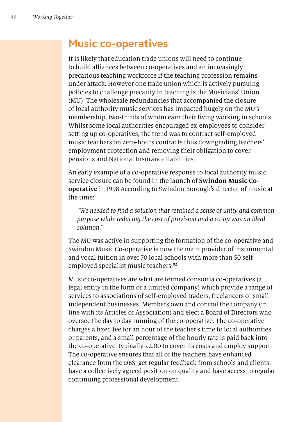#### **Music co-operatives**

It is likely that education trade unions will need to continue to build alliances between co-operatives and an increasingly precarious teaching workforce if the teaching profession remains under attack. However one trade union which is actively pursuing policies to challenge precarity in teaching is the Musicians' Union (MU). The wholesale redundancies that accompanied the closure of local authority music services has impacted hugely on the MU's membership, two-thirds of whom earn their living working in schools. Whilst some local authorities encouraged ex-employees to consider setting up co-operatives, the trend was to contract self-employed music teachers on zero-hours contracts thus downgrading teachers' employment protection and removing their obligation to cover pensions and National Insurance liabilities.

An early example of a co-operative response to local authority music service closure can be found in the launch of **Swindon Music Cooperative** in 1998 According to Swindon Borough's director of music at the time:

*"We needed to* f*nd a solution that retained a sense of unity and common purpose while reducing the cost of provision and a co-op was an ideal solution."*

The MU was active in supporting the formation of the co-operative and Swindon Music Co-operative is now the main provider of instrumental and vocal tuition in over 70 local schools with more than 50 selfemployed specialist music teachers.<sup>92</sup>

Music co-operatives are what are termed consortia co-operatives (a legal entity in the form of a limited company) which provide a range of services to associations of self-employed traders, freelancers or small independent businesses. Members own and control the company (in line with its Articles of Association) and elect a Board of Directors who oversee the day to day running of the co-operative. The co-operative charges a fxed fee for an hour of the teacher's time to local authorities or parents, and a small percentage of the hourly rate is paid back into the co-operative, typically £2.00 to cover its costs and employ support. The co-operative ensures that all of the teachers have enhanced clearance from the DBS, get regular feedback from schools and clients, have a collectively agreed position on quality and have access to regular continuing professional development.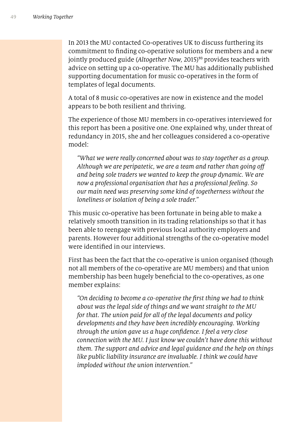In 2013 the MU contacted Co-operatives UK to discuss furthering its commitment to fnding co-operative solutions for members and a new jointly produced guide (*Altogether Now,* 2015) <sup>93</sup> provides teachers with advice on setting up a co-operative. The MU has additionally published supporting documentation for music co-operatives in the form of templates of legal documents.

A total of 8 music co-operatives are now in existence and the model appears to be both resilient and thriving.

The experience of those MU members in co-operatives interviewed for this report has been a positive one. One explained why, under threat of redundancy in 2015, she and her colleagues considered a co-operative model:

*"What we were really concerned about was to stay together as a group. Although we are peripatetic, we are a team and rather than going o*f *and being sole traders we wanted to keep the group dynamic. We are now a professional organisation that has a professional feeling. So our main need was preserving some kind of togetherness without the loneliness or isolation of being a sole trader."* 

This music co-operative has been fortunate in being able to make a relatively smooth transition in its trading relationships so that it has been able to reengage with previous local authority employers and parents. However four additional strengths of the co-operative model were identifed in our interviews.

First has been the fact that the co-operative is union organised (though not all members of the co-operative are MU members) and that union membership has been hugely benefcial to the co-operatives, as one member explains:

*"On deciding to become a co-operative the* f*rst thing we had to think about was the legal side of things and we want straight to the MU for that. The union paid for all of the legal documents and policy developments and they have been incredibly encouraging. Working through the union gave us a huge con*f*dence. I feel a very close connection with the MU. I just know we couldn't have done this without them. The support and advice and legal guidance and the help on things like public liability insurance are invaluable. I think we could have imploded without the union intervention."*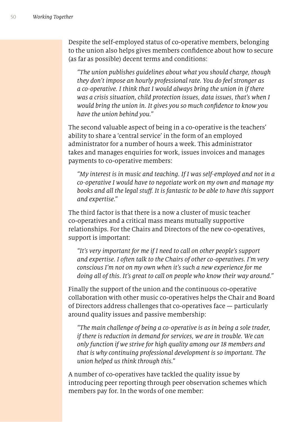Despite the self-employed status of co-operative members, belonging to the union also helps gives members confdence about how to secure (as far as possible) decent terms and conditions:

*"The union publishes guidelines about what you should charge, though they don't impose an hourly professional rate. You do feel stronger as a co-operative. I think that I would always bring the union in if there was a crisis situation, child protection issues, data issues, that's when I would bring the union in. It gives you so much con*f*dence to know you have the union behind you."* 

The second valuable aspect of being in a co-operative is the teachers' ability to share a 'central service' in the form of an employed administrator for a number of hours a week. This administrator takes and manages enquiries for work, issues invoices and manages payments to co-operative members:

*"My interest is in music and teaching. If I was self-employed and not in a co-operative I would have to negotiate work on my own and manage my books and all the legal stu*f*. It is fantastic to be able to have this support and expertise."*

The third factor is that there is a now a cluster of music teacher co-operatives and a critical mass means mutually supportive relationships. For the Chairs and Directors of the new co-operatives, support is important:

*"It's very important for me if I need to call on other people's support and expertise. I often talk to the Chairs of other co-operatives. I'm very conscious I'm not on my own when it's such a new experience for me doing all of this. It's great to call on people who know their way around."* 

Finally the support of the union and the continuous co-operative collaboration with other music co-operatives helps the Chair and Board of Directors address challenges that co-operatives face — particularly around quality issues and passive membership:

*"The main challenge of being a co-operative is as in being a sole trader, if there is reduction in demand for services, we are in trouble. We can only function if we strive for high quality among our* 18 *members and that is why continuing professional development is so important. The union helped us think through this."*

A number of co-operatives have tackled the quality issue by introducing peer reporting through peer observation schemes which members pay for. In the words of one member: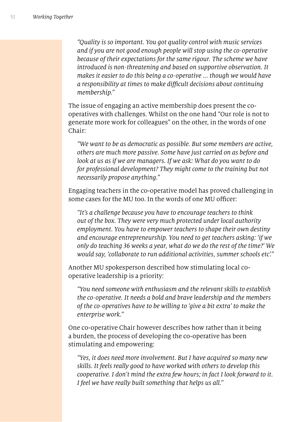*"Quality is so important. You got quality control with music services and if you are not good enough people will stop using the co-operative because of their expectations for the same rigour. The scheme we have introduced is non-threatening and based on supportive observation. It makes it easier to do this being a co-operative ... though we would have a responsibility at times to make di*f*cult decisions about continuing membership."* 

The issue of engaging an active membership does present the cooperatives with challenges. Whilst on the one hand "Our role is not to generate more work for colleagues" on the other, in the words of one Chair:

*"We want to be as democratic as possible. But some members are active, others are much more passive. Some have just carried on as before and*  look at us as if we are managers. If we ask: What do you want to do *for professional development? They might come to the training but not necessarily propose anything."* 

Engaging teachers in the co-operative model has proved challenging in some cases for the MU too. In the words of one MU officer:

*"It's a challenge because you have to encourage teachers to think out of the box. They were very much protected under local authority employment. You have to empower teachers to shape their own destiny and encourage entrepreneurship. You need to get teachers asking: 'if we only do teaching* 36 *weeks a year, what do we do the rest of the time?' We would say, 'collaborate to run additional activities, summer schools etc'."*

Another MU spokesperson described how stimulating local cooperative leadership is a priority:

*"You need someone with enthusiasm and the relevant skills to establish the co-operative. It needs a bold and brave leadership and the members of the co-operatives have to be willing to 'give a bit extra' to make the enterprise work."*

One co-operative Chair however describes how rather than it being a burden, the process of developing the co-operative has been stimulating and empowering:

*"Yes, it does need more involvement. But I have acquired so many new skills. It feels really good to have worked with others to develop this cooperative. I don't mind the extra few hours; in fact I look forward to it. I feel we have really built something that helps us all."*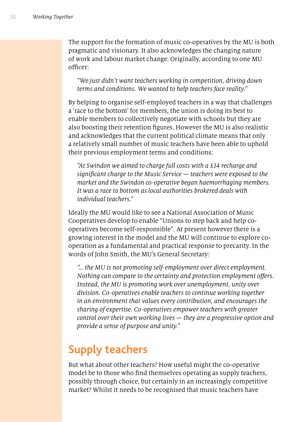The support for the formation of music co-operatives by the MU is both pragmatic and visionary. It also acknowledges the changing nature of work and labour market change. Originally, according to one MU officer:

*"We just didn't want teachers working in competition, driving down terms and conditions. We wanted to help teachers face reality."*

By helping to organise self-employed teachers in a way that challenges a 'race to the bottom' for members, the union is doing its best to enable members to collectively negotiate with schools but they are also boosting their retention fgures. However the MU is also realistic and acknowledges that the current political climate means that only a relatively small number of music teachers have been able to uphold their previous employment terms and conditions:

*"At Swindon we aimed to charge full costs with a* £14 *recharge and signi*f*cant charge to the Music Service — teachers were exposed to the market and the Swindon co-operative began haemorrhaging members. It was a race to bottom as local authorities brokered deals with individual teachers."*

Ideally the MU would like to see a National Association of Music Cooperatives develop to enable "Unions to step back and help cooperatives become self-responsible"*.* At present however there is a growing interest in the model and the MU will continue to explore cooperation as a fundamental and practical response to precarity. In the words of John Smith, the MU's General Secretary:

*"… the MU is not promoting self-employment over direct employment. Nothing can compare to the certainty and protection employment o*f*ers. Instead, the MU is promoting work over unemployment, unity over division. Co-operatives enable teachers to continue working together in an environment that values every contribution, and encourages the sharing of expertise. Co-operatives empower teachers with greater control over their own working lives — they are a progressive option and provide a sense of purpose and unity."* 

# **Supply teachers**

But what about other teachers? How useful might the co-operative model be to those who fnd themselves operating as supply teachers, possibly through choice, but certainly in an increasingly competitive market? Whilst it needs to be recognised that music teachers have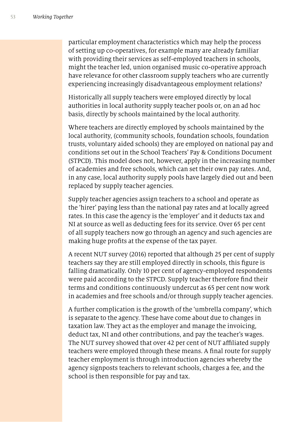particular employment characteristics which may help the process of setting up co-operatives, for example many are already familiar with providing their services as self-employed teachers in schools, might the teacher led, union organised music co-operative approach have relevance for other classroom supply teachers who are currently experiencing increasingly disadvantageous employment relations?

Historically all supply teachers were employed directly by local authorities in local authority supply teacher pools or, on an ad hoc basis, directly by schools maintained by the local authority.

Where teachers are directly employed by schools maintained by the local authority, (community schools, foundation schools, foundation trusts, voluntary aided schools) they are employed on national pay and conditions set out in the School Teachers' Pay & Conditions Document (STPCD). This model does not, however, apply in the increasing number of academies and free schools, which can set their own pay rates. And, in any case, local authority supply pools have largely died out and been replaced by supply teacher agencies.

Supply teacher agencies assign teachers to a school and operate as the 'hirer' paying less than the national pay rates and at locally agreed rates. In this case the agency is the 'employer' and it deducts tax and NI at source as well as deducting fees for its service. Over 65 per cent of all supply teachers now go through an agency and such agencies are making huge profts at the expense of the tax payer.

A recent NUT survey (2016) reported that although 25 per cent of supply teachers say they are still employed directly in schools, this fgure is falling dramatically. Only 10 per cent of agency-employed respondents were paid according to the STPCD. Supply teacher therefore fnd their terms and conditions continuously undercut as 65 per cent now work in academies and free schools and/or through supply teacher agencies.

A further complication is the growth of the 'umbrella company', which is separate to the agency. These have come about due to changes in taxation law. They act as the employer and manage the invoicing, deduct tax, NI and other contributions, and pay the teacher's wages. The NUT survey showed that over 42 per cent of NUT affiliated supply teachers were employed through these means. A fnal route for supply teacher employment is through introduction agencies whereby the agency signposts teachers to relevant schools, charges a fee, and the school is then responsible for pay and tax.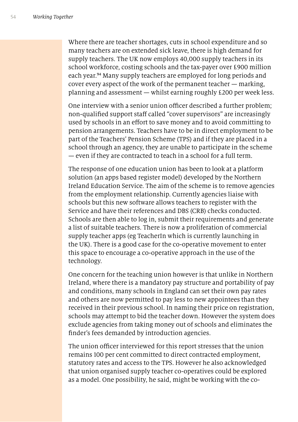Where there are teacher shortages, cuts in school expenditure and so many teachers are on extended sick leave, there is high demand for supply teachers. The UK now employs 40,000 supply teachers in its school workforce, costing schools and the tax-payer over £900 million each year.<sup>94</sup> Many supply teachers are employed for long periods and cover every aspect of the work of the permanent teacher — marking, planning and assessment — whilst earning roughly £200 per week less.

One interview with a senior union officer described a further problem; non-qualified support staff called "cover supervisors" are increasingly used by schools in an efort to save money and to avoid committing to pension arrangements. Teachers have to be in direct employment to be part of the Teachers' Pension Scheme (TPS) and if they are placed in a school through an agency, they are unable to participate in the scheme — even if they are contracted to teach in a school for a full term.

The response of one education union has been to look at a platform solution (an apps based register model) developed by the Northern Ireland Education Service. The aim of the scheme is to remove agencies from the employment relationship. Currently agencies liaise with schools but this new software allows teachers to register with the Service and have their references and DBS (CRB) checks conducted. Schools are then able to log in, submit their requirements and generate a list of suitable teachers. There is now a proliferation of commercial supply teacher apps (eg TeacherIn which is currently launching in the UK). There is a good case for the co-operative movement to enter this space to encourage a co-operative approach in the use of the technology.

One concern for the teaching union however is that unlike in Northern Ireland, where there is a mandatory pay structure and portability of pay and conditions, many schools in England can set their own pay rates and others are now permitted to pay less to new appointees than they received in their previous school. In naming their price on registration, schools may attempt to bid the teacher down. However the system does exclude agencies from taking money out of schools and eliminates the fnder's fees demanded by introduction agencies.

The union officer interviewed for this report stresses that the union remains 100 per cent committed to direct contracted employment, statutory rates and access to the TPS. However he also acknowledged that union organised supply teacher co-operatives could be explored as a model. One possibility, he said, might be working with the co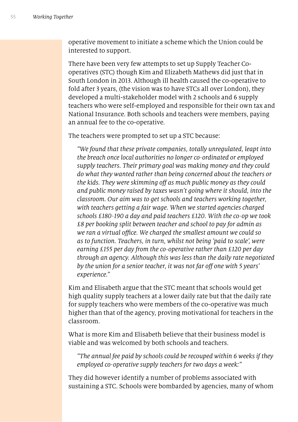operative movement to initiate a scheme which the Union could be interested to support.

There have been very few attempts to set up Supply Teacher Cooperatives (STC) though Kim and Elizabeth Mathews did just that in South London in 2013. Although ill health caused the co-operative to fold after 3 years, (the vision was to have STCs all over London), they developed a multi-stakeholder model with 2 schools and 6 supply teachers who were self-employed and responsible for their own tax and National Insurance. Both schools and teachers were members, paying an annual fee to the co-operative.

The teachers were prompted to set up a STC because:

*"We found that these private companies, totally unregulated, leapt into the breach once local authorities no longer co-ordinated or employed supply teachers. Their primary goal was making money and they could do what they wanted rather than being concerned about the teachers or the kids. They were skimming o*f *as much public money as they could and public money raised by taxes wasn't going where it should, into the classroom. Our aim was to get schools and teachers working together, with teachers getting a fair wage. When we started agencies charged schools* £180*-*190 *a day and paid teachers* £120*. With the co-op we took*  £8 *per booking split between teacher and school to pay for admin as we ran a virtual office. We charged the smallest amount we could so as to function. Teachers, in turn, whilst not being 'paid to scale', were earning* £155 *per day from the co-operative rather than* £120 *per day through an agency. Although this was less than the daily rate negotiated by the union for a senior teacher, it was not far o*f *one with* 5 *years' experience."*

Kim and Elisabeth argue that the STC meant that schools would get high quality supply teachers at a lower daily rate but that the daily rate for supply teachers who were members of the co-operative was much higher than that of the agency, proving motivational for teachers in the classroom.

What is more Kim and Elisabeth believe that their business model is viable and was welcomed by both schools and teachers.

*"The annual fee paid by schools could be recouped within* 6 *weeks if they employed co-operative supply teachers for two days a week:"*

They did however identify a number of problems associated with sustaining a STC. Schools were bombarded by agencies, many of whom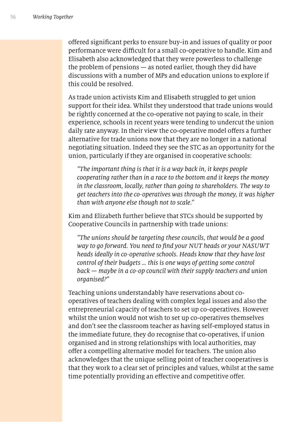ofered signifcant perks to ensure buy-in and issues of quality or poor performance were difficult for a small co-operative to handle. Kim and Elisabeth also acknowledged that they were powerless to challenge the problem of pensions — as noted earlier, though they did have discussions with a number of MPs and education unions to explore if this could be resolved.

As trade union activists Kim and Elisabeth struggled to get union support for their idea. Whilst they understood that trade unions would be rightly concerned at the co-operative not paying to scale, in their experience, schools in recent years were tending to undercut the union daily rate anyway. In their view the co-operative model offers a further alternative for trade unions now that they are no longer in a national negotiating situation. Indeed they see the STC as an opportunity for the union, particularly if they are organised in cooperative schools:

*"The important thing is that it is a way back in, it keeps people cooperating rather than in a race to the bottom and it keeps the money in the classroom, locally, rather than going to shareholders. The way to get teachers into the co-operatives was through the money, it was higher than with anyone else though not to scale."*

Kim and Elizabeth further believe that STCs should be supported by Cooperative Councils in partnership with trade unions:

*"The unions should be targeting these councils, that would be a good way to go forward. You need to* f*nd your NUT heads or your NASUWT heads ideally in co-operative schools. Heads know that they have lost control of their budgets … this is one ways of getting some control back — maybe in a co-op council with their supply teachers and union organised?"*

Teaching unions understandably have reservations about cooperatives of teachers dealing with complex legal issues and also the entrepreneurial capacity of teachers to set up co-operatives. However whilst the union would not wish to set up co-operatives themselves and don't see the classroom teacher as having self-employed status in the immediate future, they do recognise that co-operatives, if union organised and in strong relationships with local authorities, may offer a compelling alternative model for teachers. The union also acknowledges that the unique selling point of teacher cooperatives is that they work to a clear set of principles and values, whilst at the same time potentially providing an effective and competitive offer.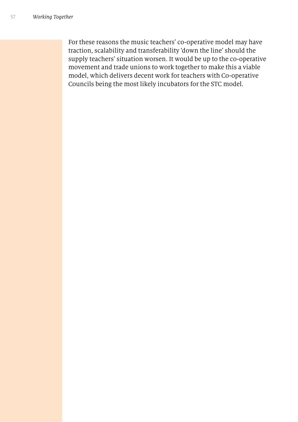For these reasons the music teachers' co-operative model may have traction, scalability and transferability 'down the line' should the supply teachers' situation worsen. It would be up to the co-operative movement and trade unions to work together to make this a viable model, which delivers decent work for teachers with Co-operative Councils being the most likely incubators for the STC model.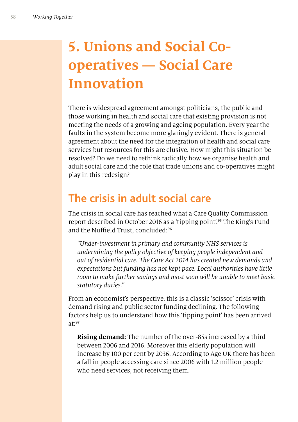# **5. Unions and Social Cooperatives — Social Care Innovation**

There is widespread agreement amongst politicians, the public and those working in health and social care that existing provision is not meeting the needs of a growing and ageing population. Every year the faults in the system become more glaringly evident. There is general agreement about the need for the integration of health and social care services but resources for this are elusive. How might this situation be resolved? Do we need to rethink radically how we organise health and adult social care and the role that trade unions and co-operatives might play in this redesign?

## **The crisis in adult social care**

The crisis in social care has reached what a Care Quality Commission report described in October 2016 as a 'tipping point'.<sup>95</sup> The King's Fund and the Nuffield Trust, concluded:<sup>96</sup>

*"Under-investment in primary and community NHS services is undermining the policy objective of keeping people independent and out of residential care. The Care Act* 2014 *has created new demands and expectations but funding has not kept pace. Local authorities have little room to make further savings and most soon will be unable to meet basic statutory duties."*

From an economist's perspective, this is a classic 'scissor' crisis with demand rising and public sector funding declining. The following factors help us to understand how this 'tipping point' has been arrived  $a^{\dagger \cdot 97}$ 

**Rising demand:** The number of the over-85s increased by a third between 2006 and 2016. Moreover this elderly population will increase by 100 per cent by 2036. According to Age UK there has been a fall in people accessing care since 2006 with 1.2 million people who need services, not receiving them.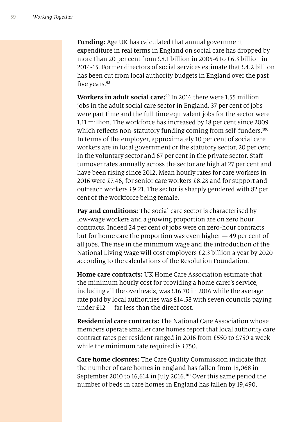**Funding:** Age UK has calculated that annual government expenditure in real terms in England on social care has dropped by more than 20 per cent from £8.1 billion in 2005-6 to £6.3 billion in 2014-15. Former directors of social services estimate that £4.2 billion has been cut from local authority budgets in England over the past five years.<sup>98</sup>

**Workers in adult social care:**<sup>99</sup> In 2016 there were 1.55 million jobs in the adult social care sector in England. 37 per cent of jobs were part time and the full time equivalent jobs for the sector were 1.11 million. The workforce has increased by 18 per cent since 2009 which reflects non-statutory funding coming from self-funders.<sup>100</sup> In terms of the employer, approximately 10 per cent of social care workers are in local government or the statutory sector, 20 per cent in the voluntary sector and 67 per cent in the private sector. Staf turnover rates annually across the sector are high at 27 per cent and have been rising since 2012. Mean hourly rates for care workers in 2016 were £7.46, for senior care workers £8.28 and for support and outreach workers £9.21. The sector is sharply gendered with 82 per cent of the workforce being female.

**Pay and conditions:** The social care sector is characterised by low-wage workers and a growing proportion are on zero hour contracts. Indeed 24 per cent of jobs were on zero-hour contracts but for home care the proportion was even higher — 49 per cent of all jobs. The rise in the minimum wage and the introduction of the National Living Wage will cost employers £2.3 billion a year by 2020 according to the calculations of the Resolution Foundation.

**Home care contracts:** UK Home Care Association estimate that the minimum hourly cost for providing a home carer's service, including all the overheads, was £16.70 in 2016 while the average rate paid by local authorities was £14.58 with seven councils paying under £12 — far less than the direct cost.

**Residential care contracts:** The National Care Association whose members operate smaller care homes report that local authority care contract rates per resident ranged in 2016 from £550 to £750 a week while the minimum rate required is £750.

**Care home closures:** The Care Quality Commission indicate that the number of care homes in England has fallen from 18,068 in September 2010 to 16,614 in July 2016.<sup>101</sup> Over this same period the number of beds in care homes in England has fallen by 19,490.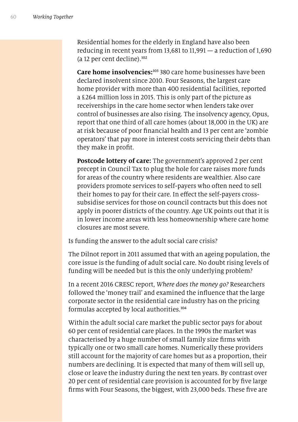Residential homes for the elderly in England have also been reducing in recent years from 13,681 to 11,991 — a reduction of 1,690 (a 12 per cent decline). $102$ 

**Care home insolvencies:**<sup>103</sup> 380 care home businesses have been declared insolvent since 2010. Four Seasons, the largest care home provider with more than 400 residential facilities, reported a £264 million loss in 2015. This is only part of the picture as receiverships in the care home sector when lenders take over control of businesses are also rising. The insolvency agency, Opus, report that one third of all care homes (about 18,000 in the UK) are at risk because of poor fnancial health and 13 per cent are 'zombie operators' that pay more in interest costs servicing their debts than they make in proft.

**Postcode lottery of care:** The government's approved 2 per cent precept in Council Tax to plug the hole for care raises more funds for areas of the country where residents are wealthier. Also care providers promote services to self-payers who often need to sell their homes to pay for their care. In efect the self-payers crosssubsidise services for those on council contracts but this does not apply in poorer districts of the country. Age UK points out that it is in lower income areas with less homeownership where care home closures are most severe.

Is funding the answer to the adult social care crisis?

The Dilnot report in 2011 assumed that with an ageing population, the core issue is the funding of adult social care. No doubt rising levels of funding will be needed but is this the only underlying problem?

In a recent 2016 CRESC report, *Where does the money go?* Researchers followed the 'money trail' and examined the infuence that the large corporate sector in the residential care industry has on the pricing formulas accepted by local authorities.<sup>104</sup>

Within the adult social care market the public sector pays for about 60 per cent of residential care places. In the 1990s the market was characterised by a huge number of small family size frms with typically one or two small care homes. Numerically these providers still account for the majority of care homes but as a proportion, their numbers are declining. It is expected that many of them will sell up, close or leave the industry during the next ten years. By contrast over 20 per cent of residential care provision is accounted for by fve large frms with Four Seasons, the biggest, with 23,000 beds. These fve are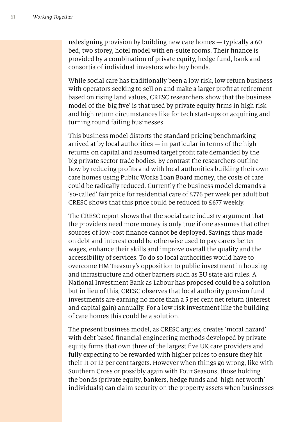redesigning provision by building new care homes — typically a 60 bed, two storey, hotel model with en-suite rooms. Their fnance is provided by a combination of private equity, hedge fund, bank and consortia of individual investors who buy bonds.

While social care has traditionally been a low risk, low return business with operators seeking to sell on and make a larger proft at retirement based on rising land values, CRESC researchers show that the business model of the 'big fve' is that used by private equity frms in high risk and high return circumstances like for tech start-ups or acquiring and turning round failing businesses.

This business model distorts the standard pricing benchmarking arrived at by local authorities  $-$  in particular in terms of the high returns on capital and assumed target proft rate demanded by the big private sector trade bodies. By contrast the researchers outline how by reducing profts and with local authorities building their own care homes using Public Works Loan Board money, the costs of care could be radically reduced. Currently the business model demands a 'so-called' fair price for residential care of £776 per week per adult but CRESC shows that this price could be reduced to £677 weekly.

The CRESC report shows that the social care industry argument that the providers need more money is only true if one assumes that other sources of low-cost fnance cannot be deployed. Savings thus made on debt and interest could be otherwise used to pay carers better wages, enhance their skills and improve overall the quality and the accessibility of services. To do so local authorities would have to overcome HM Treasury's opposition to public investment in housing and infrastructure and other barriers such as EU state aid rules. A National Investment Bank as Labour has proposed could be a solution but in lieu of this, CRESC observes that local authority pension fund investments are earning no more than a 5 per cent net return (interest and capital gain) annually. For a low risk investment like the building of care homes this could be a solution.

The present business model, as CRESC argues, creates 'moral hazard' with debt based fnancial engineering methods developed by private equity frms that own three of the largest fve UK care providers and fully expecting to be rewarded with higher prices to ensure they hit their 11 or 12 per cent targets. However when things go wrong, like with Southern Cross or possibly again with Four Seasons, those holding the bonds (private equity, bankers, hedge funds and 'high net worth' individuals) can claim security on the property assets when businesses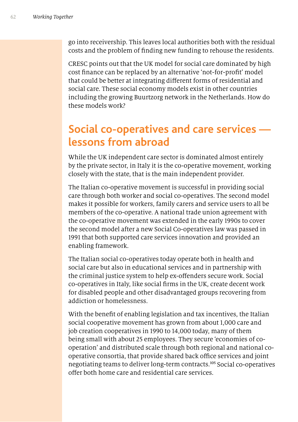go into receivership. This leaves local authorities both with the residual costs and the problem of fnding new funding to rehouse the residents.

CRESC points out that the UK model for social care dominated by high cost fnance can be replaced by an alternative 'not-for-proft' model that could be better at integrating diferent forms of residential and social care. These social economy models exist in other countries including the growing Buurtzorg network in the Netherlands. How do these models work?

### **Social co-operatives and care services lessons from abroad**

While the UK independent care sector is dominated almost entirely by the private sector, in Italy it is the co-operative movement, working closely with the state, that is the main independent provider.

The Italian co-operative movement is successful in providing social care through both worker and social co-operatives. The second model makes it possible for workers, family carers and service users to all be members of the co-operative. A national trade union agreement with the co-operative movement was extended in the early 1990s to cover the second model after a new Social Co-operatives law was passed in 1991 that both supported care services innovation and provided an enabling framework.

The Italian social co-operatives today operate both in health and social care but also in educational services and in partnership with the criminal justice system to help ex-ofenders secure work. Social co-operatives in Italy, like social frms in the UK, create decent work for disabled people and other disadvantaged groups recovering from addiction or homelessness.

With the beneft of enabling legislation and tax incentives, the Italian social cooperative movement has grown from about 1,000 care and job creation cooperatives in 1990 to 14,000 today, many of them being small with about 25 employees. They secure 'economies of cooperation' and distributed scale through both regional and national cooperative consortia, that provide shared back office services and joint negotiating teams to deliver long-term contracts.<sup>105</sup> Social co-operatives ofer both home care and residential care services.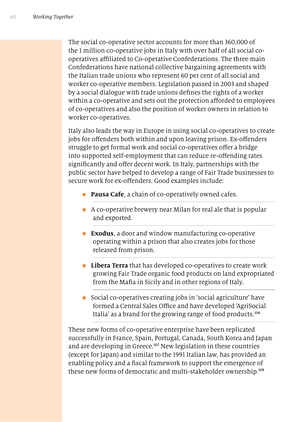The social co-operative sector accounts for more than 360,000 of the 1 million co-operative jobs in Italy with over half of all social cooperatives afliated to Co-operative Confederations. The three main Confederations have national collective bargaining agreements with the Italian trade unions who represent 60 per cent of all social and worker co-operative members. Legislation passed in 2003 and shaped by a social dialogue with trade unions defnes the rights of a worker within a co-operative and sets out the protection afforded to employees of co-operatives and also the position of worker owners in relation to worker co-operatives.

Italy also leads the way in Europe in using social co-operatives to create jobs for offenders both within and upon leaving prison. Ex-offenders struggle to get formal work and social co-operatives offer a bridge into supported self-employment that can reduce re-ofending rates significantly and offer decent work. In Italy, partnerships with the public sector have helped to develop a range of Fair Trade businesses to secure work for ex-offenders. Good examples include:

- **Pausa Cafe**, a chain of co-operatively owned cafes.
- $\blacksquare$  A co-operative brewery near Milan for real ale that is popular and exported.
- **Exodus**, a door and window manufacturing co-operative operating within a prison that also creates jobs for those released from prison.
- **EXTER 12 Libera Terra** that has developed co-operatives to create work growing Fair Trade organic food products on land expropriated from the Mafa in Sicily and in other regions of Italy.
- Social co-operatives creating jobs in 'social agriculture' have formed a Central Sales Office and have developed 'AgriSocial Italia' as a brand for the growing range of food products.<sup>106</sup>

These new forms of co-operative enterprise have been replicated successfully in France, Spain, Portugal, Canada, South Korea and Japan and are developing in Greece.<sup>107</sup> New legislation in these countries (except for Japan) and similar to the 1991 Italian law, has provided an enabling policy and a fscal framework to support the emergence of these new forms of democratic and multi-stakeholder ownership.<sup>108</sup>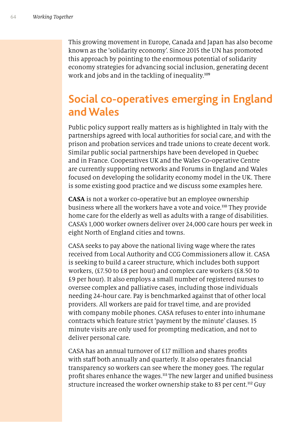This growing movement in Europe, Canada and Japan has also become known as the 'solidarity economy'. Since 2015 the UN has promoted this approach by pointing to the enormous potential of solidarity economy strategies for advancing social inclusion, generating decent work and jobs and in the tackling of inequality.<sup>109</sup>

## **Social co-operatives emerging in England and Wales**

Public policy support really matters as is highlighted in Italy with the partnerships agreed with local authorities for social care, and with the prison and probation services and trade unions to create decent work. Similar public social partnerships have been developed in Quebec and in France. Cooperatives UK and the Wales Co-operative Centre are currently supporting networks and Forums in England and Wales focused on developing the solidarity economy model in the UK. There is some existing good practice and we discuss some examples here.

**CASA** is not a worker co-operative but an employee ownership business where all the workers have a vote and voice.<sup>110</sup> They provide home care for the elderly as well as adults with a range of disabilities. CASA's 1,000 worker owners deliver over 24,000 care hours per week in eight North of England cities and towns.

CASA seeks to pay above the national living wage where the rates received from Local Authority and CCG Commissioners allow it. CASA is seeking to build a career structure, which includes both support workers, (£7.50 to £8 per hour) and complex care workers (£8.50 to £9 per hour). It also employs a small number of registered nurses to oversee complex and palliative cases, including those individuals needing 24-hour care. Pay is benchmarked against that of other local providers. All workers are paid for travel time, and are provided with company mobile phones. CASA refuses to enter into inhumane contracts which feature strict 'payment by the minute' clauses. 15 minute visits are only used for prompting medication, and not to deliver personal care.

CASA has an annual turnover of £17 million and shares profts with staff both annually and quarterly. It also operates financial transparency so workers can see where the money goes. The regular profit shares enhance the wages.<sup>111</sup>The new larger and unified business structure increased the worker ownership stake to 83 per cent.<sup>112</sup> Guy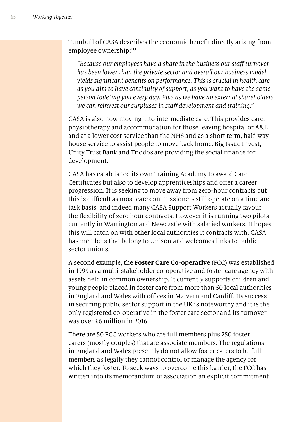Turnbull of CASA describes the economic beneft directly arising from employee ownership:<sup>113</sup>

*"Because our employees have a share in the business our sta*f *turnover has been lower than the private sector and overall our business model yields signi*f*cant bene*f*ts on performance. This is crucial in health care as you aim to have continuity of support, as you want to have the same person toileting you every day. Plus as we have no external shareholders we can reinvest our surpluses in sta*f *development and training."*

CASA is also now moving into intermediate care. This provides care, physiotherapy and accommodation for those leaving hospital or A&E and at a lower cost service than the NHS and as a short term, half-way house service to assist people to move back home. Big Issue Invest, Unity Trust Bank and Triodos are providing the social fnance for development.

CASA has established its own Training Academy to award Care Certificates but also to develop apprenticeships and offer a career progression. It is seeking to move away from zero-hour contracts but this is difficult as most care commissioners still operate on a time and task basis, and indeed many CASA Support Workers actually favour the fexibility of zero hour contracts. However it is running two pilots currently in Warrington and Newcastle with salaried workers. It hopes this will catch on with other local authorities it contracts with. CASA has members that belong to Unison and welcomes links to public sector unions.

A second example, the **Foster Care Co-operative** (FCC) was established in 1999 as a multi-stakeholder co-operative and foster care agency with assets held in common ownership. It currently supports children and young people placed in foster care from more than 50 local authorities in England and Wales with offices in Malvern and Cardiff. Its success in securing public sector support in the UK is noteworthy and it is the only registered co-operative in the foster care sector and its turnover was over £6 million in 2016.

There are 50 FCC workers who are full members plus 250 foster carers (mostly couples) that are associate members. The regulations in England and Wales presently do not allow foster carers to be full members as legally they cannot control or manage the agency for which they foster. To seek ways to overcome this barrier, the FCC has written into its memorandum of association an explicit commitment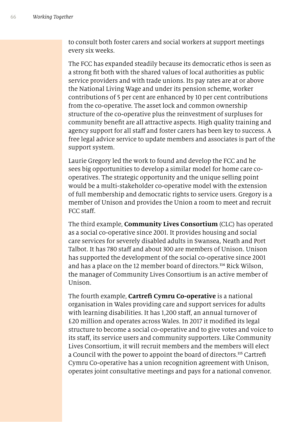to consult both foster carers and social workers at support meetings every six weeks.

The FCC has expanded steadily because its democratic ethos is seen as a strong ft both with the shared values of local authorities as public service providers and with trade unions. Its pay rates are at or above the National Living Wage and under its pension scheme, worker contributions of 5 per cent are enhanced by 10 per cent contributions from the co-operative. The asset lock and common ownership structure of the co-operative plus the reinvestment of surpluses for community beneft are all attractive aspects. High quality training and agency support for all staff and foster carers has been key to success. A free legal advice service to update members and associates is part of the support system.

Laurie Gregory led the work to found and develop the FCC and he sees big opportunities to develop a similar model for home care cooperatives. The strategic opportunity and the unique selling point would be a multi-stakeholder co-operative model with the extension of full membership and democratic rights to service users. Gregory is a member of Unison and provides the Union a room to meet and recruit FCC staff.

The third example, **Community Lives Consortium** (CLC) has operated as a social co-operative since 2001. It provides housing and social care services for severely disabled adults in Swansea, Neath and Port Talbot. It has 780 staf and about 300 are members of Unison. Unison has supported the development of the social co-operative since 2001 and has a place on the 12 member board of directors.<sup>114</sup> Rick Wilson, the manager of Community Lives Consortium is an active member of Unison.

The fourth example, **Cartref Cymru Co-operative** is a national organisation in Wales providing care and support services for adults with learning disabilities. It has 1,200 staff, an annual turnover of £20 million and operates across Wales. In 2017 it modifed its legal structure to become a social co-operative and to give votes and voice to its staff, its service users and community supporters. Like Community Lives Consortium, it will recruit members and the members will elect a Council with the power to appoint the board of directors.<sup>115</sup> Cartrefi Cymru Co-operative has a union recognition agreement with Unison, operates joint consultative meetings and pays for a national convenor.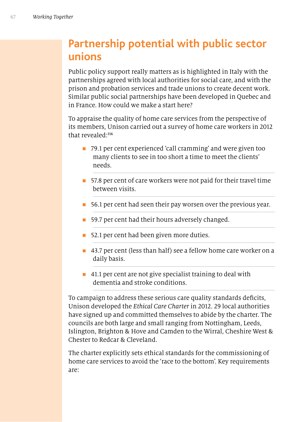# **Partnership potential with public sector unions**

Public policy support really matters as is highlighted in Italy with the partnerships agreed with local authorities for social care, and with the prison and probation services and trade unions to create decent work. Similar public social partnerships have been developed in Quebec and in France. How could we make a start here?

To appraise the quality of home care services from the perspective of its members, Unison carried out a survey of home care workers in 2012 that revealed:<sup>116</sup>

- 79.1 per cent experienced 'call cramming' and were given too many clients to see in too short a time to meet the clients' needs.
- 57.8 per cent of care workers were not paid for their travel time between visits.
- **56.1** per cent had seen their pay worsen over the previous year.
- **n** 59.7 per cent had their hours adversely changed.
- 52.1 per cent had been given more duties.
- 43.7 per cent (less than half) see a fellow home care worker on a daily basis.
- $\blacksquare$  41.1 per cent are not give specialist training to deal with dementia and stroke conditions.

To campaign to address these serious care quality standards deficits, Unison developed the *Ethical Care Charter* in 2012. 29 local authorities have signed up and committed themselves to abide by the charter. The councils are both large and small ranging from Nottingham, Leeds, Islington, Brighton & Hove and Camden to the Wirral, Cheshire West & Chester to Redcar & Cleveland.

The charter explicitly sets ethical standards for the commissioning of home care services to avoid the 'race to the bottom'. Key requirements are: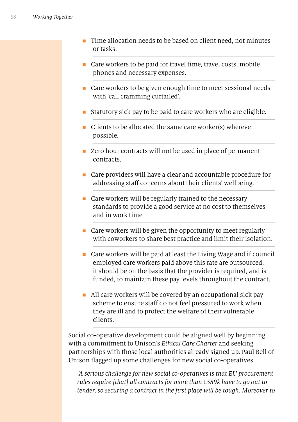- n Time allocation needs to be based on client need, not minutes or tasks.
- $\blacksquare$  Care workers to be paid for travel time, travel costs, mobile phones and necessary expenses.
- $\blacksquare$  Care workers to be given enough time to meet sessional needs with 'call cramming curtailed'.
- n Statutory sick pay to be paid to care workers who are eligible.
- $\blacksquare$  Clients to be allocated the same care worker(s) wherever possible.
- Zero hour contracts will not be used in place of permanent contracts.
- Care providers will have a clear and accountable procedure for addressing staff concerns about their clients' wellbeing.
- $\blacksquare$  Care workers will be regularly trained to the necessary standards to provide a good service at no cost to themselves and in work time.
- $\blacksquare$  Care workers will be given the opportunity to meet regularly with coworkers to share best practice and limit their isolation.
- Care workers will be paid at least the Living Wage and if council employed care workers paid above this rate are outsourced, it should be on the basis that the provider is required, and is funded, to maintain these pay levels throughout the contract.
- $\blacksquare$  All care workers will be covered by an occupational sick pay scheme to ensure staff do not feel pressured to work when they are ill and to protect the welfare of their vulnerable clients.

Social co-operative development could be aligned well by beginning with a commitment to Unison's *Ethical Care Charter* and seeking partnerships with those local authorities already signed up. Paul Bell of Unison fagged up some challenges for new social co-operatives.

*"A serious challenge for new social co-operatives is that EU procurement rules require [that] all contracts for more than* £589*k have to go out to tender, so securing a contract in the* f*rst place will be tough. Moreover to*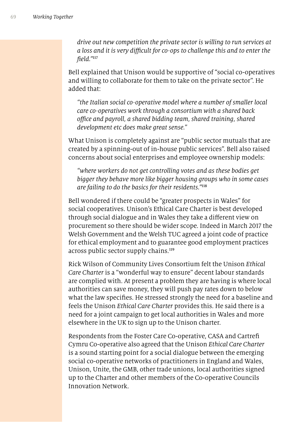*drive out new competition the private sector is willing to run services at a loss and it is very di*f*cult for co-ops to challenge this and to enter the*  f*eld."*<sup>117</sup>

Bell explained that Unison would be supportive of "social co-operatives and willing to collaborate for them to take on the private sector". He added that:

*"the Italian social co-operative model where a number of smaller local care co-operatives work through a consortium with a shared back o*f*ce and payroll, a shared bidding team, shared training, shared development etc does make great sense."*

What Unison is completely against are "public sector mutuals that are created by a spinning-out of in-house public services". Bell also raised concerns about social enterprises and employee ownership models:

*"where workers do not get controlling votes and as these bodies get bigger they behave more like bigger housing groups who in some cases are failing to do the basics for their residents."*<sup>118</sup>

Bell wondered if there could be "greater prospects in Wales" for social cooperatives. Unison's Ethical Care Charter is best developed through social dialogue and in Wales they take a diferent view on procurement so there should be wider scope. Indeed in March 2017 the Welsh Government and the Welsh TUC agreed a joint code of practice for ethical employment and to guarantee good employment practices across public sector supply chains.<sup>119</sup>

Rick Wilson of Community Lives Consortium felt the Unison *Ethical Care Charter* is a "wonderful way to ensure" decent labour standards are complied with. At present a problem they are having is where local authorities can save money, they will push pay rates down to below what the law specifes. He stressed strongly the need for a baseline and feels the Unison *Ethical Care Charter* provides this. He said there is a need for a joint campaign to get local authorities in Wales and more elsewhere in the UK to sign up to the Unison charter.

Respondents from the Foster Care Co-operative, CASA and Cartref Cymru Co-operative also agreed that the Unison *Ethical Care Charter* is a sound starting point for a social dialogue between the emerging social co-operative networks of practitioners in England and Wales, Unison, Unite, the GMB, other trade unions, local authorities signed up to the Charter and other members of the Co-operative Councils Innovation Network.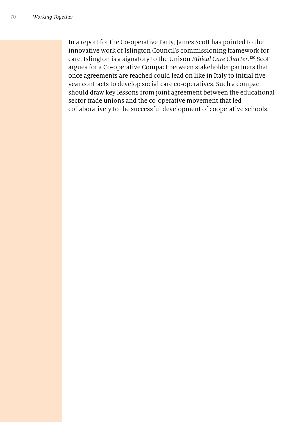In a report for the Co-operative Party, James Scott has pointed to the innovative work of Islington Council's commissioning framework for care. Islington is a signatory to the Unison *Ethical Care Charter*. <sup>120</sup> Scott argues for a Co-operative Compact between stakeholder partners that once agreements are reached could lead on like in Italy to initial fveyear contracts to develop social care co-operatives. Such a compact should draw key lessons from joint agreement between the educational sector trade unions and the co-operative movement that led collaboratively to the successful development of cooperative schools.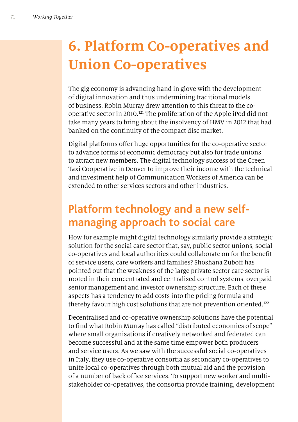# **6. Platform Co-operatives and Union Co-operatives**

The gig economy is advancing hand in glove with the development of digital innovation and thus undermining traditional models of business. Robin Murray drew attention to this threat to the cooperative sector in 2010. <sup>121</sup> The proliferation of the Apple iPod did not take many years to bring about the insolvency of HMV in 2012 that had banked on the continuity of the compact disc market.

Digital platforms offer huge opportunities for the co-operative sector to advance forms of economic democracy but also for trade unions to attract new members. The digital technology success of the Green Taxi Cooperative in Denver to improve their income with the technical and investment help of Communication Workers of America can be extended to other services sectors and other industries.

## **Platform technology and a new selfmanaging approach to social care**

How for example might digital technology similarly provide a strategic solution for the social care sector that, say, public sector unions, social co-operatives and local authorities could collaborate on for the beneft of service users, care workers and families? Shoshana Zuboff has pointed out that the weakness of the large private sector care sector is rooted in their concentrated and centralised control systems, overpaid senior management and investor ownership structure. Each of these aspects has a tendency to add costs into the pricing formula and thereby favour high cost solutions that are not prevention oriented.<sup>122</sup>

Decentralised and co-operative ownership solutions have the potential to fnd what Robin Murray has called "distributed economies of scope" where small organisations if creatively networked and federated can become successful and at the same time empower both producers and service users. As we saw with the successful social co-operatives in Italy, they use co-operative consortia as secondary co-operatives to unite local co-operatives through both mutual aid and the provision of a number of back office services. To support new worker and multistakeholder co-operatives, the consortia provide training, development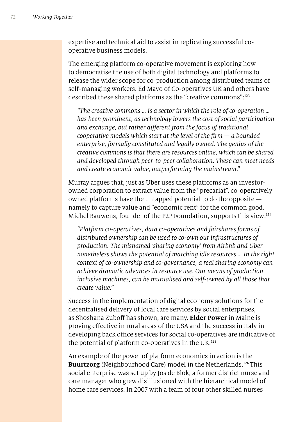expertise and technical aid to assist in replicating successful cooperative business models.

The emerging platform co-operative movement is exploring how to democratise the use of both digital technology and platforms to release the wider scope for co-production among distributed teams of self-managing workers. Ed Mayo of Co-operatives UK and others have described these shared platforms as the "creative commons":<sup>123</sup>

*"The creative commons … is a sector in which the role of co-operation … has been prominent, as technology lowers the cost of social participation and exchange, but rather di*f*erent from the focus of traditional cooperative models which start at the level of the* f*rm — a bounded enterprise, formally constituted and legally owned. The genius of the creative commons is that there are resources online, which can be shared and developed through peer-to-peer collaboration. These can meet needs and create economic value, outperforming the mainstream*."

Murray argues that, just as Uber uses these platforms as an investorowned corporation to extract value from the "precariat", co-operatively owned platforms have the untapped potential to do the opposite namely to capture value and "economic rent" for the common good. Michel Bauwens, founder of the P2P Foundation, supports this view:<sup>124</sup>

*"Platform co-operatives, data co-operatives and fairshares forms of distributed ownership can be used to co-own our infrastructures of production. The misnamed 'sharing economy' from Airbnb and Uber nonetheless shows the potential of matching idle resources … In the right context of co-ownership and co-governance, a real sharing economy can achieve dramatic advances in resource use. Our means of production, inclusive machines, can be mutualised and self-owned by all those that create value."*

Success in the implementation of digital economy solutions for the decentralised delivery of local care services by social enterprises, as Shoshana Zuboff has shown, are many. **Elder Power** in Maine is proving efective in rural areas of the USA and the success in Italy in developing back office services for social co-operatives are indicative of the potential of platform co-operatives in the UK.<sup>125</sup>

An example of the power of platform economics in action is the **Buurtzorg** (Neighbourhood Care) model in the Netherlands.<sup>126</sup>This social enterprise was set up by Jos de Blok, a former district nurse and care manager who grew disillusioned with the hierarchical model of home care services. In 2007 with a team of four other skilled nurses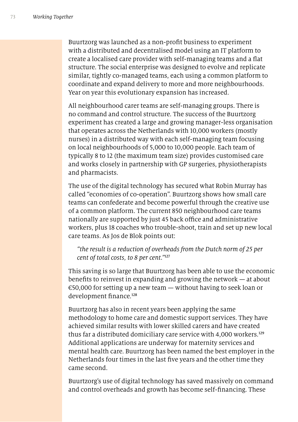Buurtzorg was launched as a non-proft business to experiment with a distributed and decentralised model using an IT platform to create a localised care provider with self-managing teams and a fat structure. The social enterprise was designed to evolve and replicate similar, tightly co-managed teams, each using a common platform to coordinate and expand delivery to more and more neighbourhoods. Year on year this evolutionary expansion has increased.

All neighbourhood carer teams are self-managing groups. There is no command and control structure. The success of the Buurtzorg experiment has created a large and growing manager-less organisation that operates across the Netherlands with 10,000 workers (mostly nurses) in a distributed way with each self-managing team focusing on local neighbourhoods of 5,000 to 10,000 people. Each team of typically 8 to 12 (the maximum team size) provides customised care and works closely in partnership with GP surgeries, physiotherapists and pharmacists.

The use of the digital technology has secured what Robin Murray has called "economies of co-operation". Buurtzorg shows how small care teams can confederate and become powerful through the creative use of a common platform. The current 850 neighbourhood care teams nationally are supported by just 45 back office and administrative workers, plus 18 coaches who trouble-shoot, train and set up new local care teams. As Jos de Blok points out:

*"the result is a reduction of overheads from the Dutch norm of* 25 *per cent of total costs, to* 8 *per cent."*<sup>127</sup>

This saving is so large that Buurtzorg has been able to use the economic benefts to reinvest in expanding and growing the network — at about  $\epsilon$ 50,000 for setting up a new team — without having to seek loan or development finance.<sup>128</sup>

Buurtzorg has also in recent years been applying the same methodology to home care and domestic support services. They have achieved similar results with lower skilled carers and have created thus far a distributed domiciliary care service with 4,000 workers.<sup>129</sup> Additional applications are underway for maternity services and mental health care. Buurtzorg has been named the best employer in the Netherlands four times in the last fve years and the other time they came second.

Buurtzorg's use of digital technology has saved massively on command and control overheads and growth has become self-fnancing. These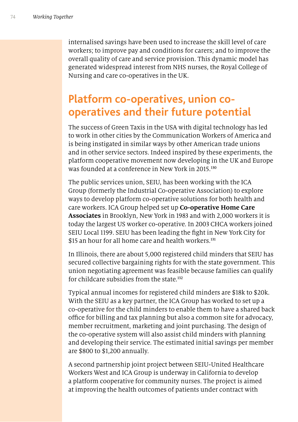internalised savings have been used to increase the skill level of care workers; to improve pay and conditions for carers; and to improve the overall quality of care and service provision. This dynamic model has generated widespread interest from NHS nurses, the Royal College of Nursing and care co-operatives in the UK.

#### **Platform co-operatives, union cooperatives and their future potential**

The success of Green Taxis in the USA with digital technology has led to work in other cities by the Communication Workers of America and is being instigated in similar ways by other American trade unions and in other service sectors. Indeed inspired by these experiments, the platform cooperative movement now developing in the UK and Europe was founded at a conference in New York in 2015. 130

The public services union, SEIU, has been working with the ICA Group (formerly the Industrial Co-operative Association) to explore ways to develop platform co-operative solutions for both health and care workers. ICA Group helped set up **Co-operative Home Care Associates** in Brooklyn, New York in 1983 and with 2,000 workers it is today the largest US worker co-operative. In 2003 CHCA workers joined SEIU Local 1199. SEIU has been leading the fght in New York City for \$15 an hour for all home care and health workers.<sup>131</sup>

In Illinois, there are about 5,000 registered child minders that SEIU has secured collective bargaining rights for with the state government. This union negotiating agreement was feasible because families can qualify for childcare subsidies from the state.<sup>132</sup>

Typical annual incomes for registered child minders are \$18k to \$20k. With the SEIU as a key partner, the ICA Group has worked to set up a co-operative for the child minders to enable them to have a shared back office for billing and tax planning but also a common site for advocacy, member recruitment, marketing and joint purchasing. The design of the co-operative system will also assist child minders with planning and developing their service. The estimated initial savings per member are \$800 to \$1,200 annually.

A second partnership joint project between SEIU-United Healthcare Workers West and ICA Group is underway in California to develop a platform cooperative for community nurses. The project is aimed at improving the health outcomes of patients under contract with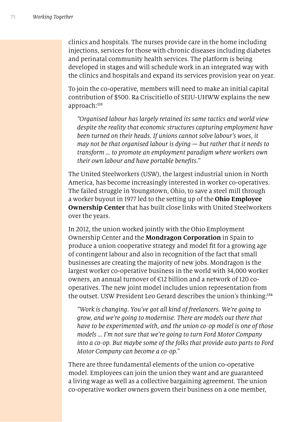clinics and hospitals. The nurses provide care in the home including injections, services for those with chronic diseases including diabetes and perinatal community health services. The platform is being developed in stages and will schedule work in an integrated way with the clinics and hospitals and expand its services provision year on year.

To join the co-operative, members will need to make an initial capital contribution of \$500. Ra Criscitiello of SEIU-UHWW explains the new approach:<sup>133</sup>

*"Organised labour has largely retained its same tactics and world view despite the reality that economic structures capturing employment have been turned on their heads. If unions cannot solve labour's woes, it may not be that organised labour is dying — but rather that it needs to transform … to promote an employment paradigm where workers own their own labour and have portable bene*f*ts."*

The United Steelworkers (USW), the largest industrial union in North America, has become increasingly interested in worker co-operatives. The failed struggle in Youngstown, Ohio, to save a steel mill through a worker buyout in 1977 led to the setting up of the **Ohio Employee Ownership Center** that has built close links with United Steelworkers over the years.

In 2012, the union worked jointly with the Ohio Employment Ownership Center and the **Mondragon Corporation** in Spain to produce a union cooperative strategy and model ft for a growing age of contingent labour and also in recognition of the fact that small businesses are creating the majority of new jobs. Mondragon is the largest worker co-operative business in the world with 34,000 worker owners, an annual turnover of €12 billion and a network of 120 cooperatives. The new joint model includes union representation from the outset. USW President Leo Gerard describes the union's thinking:<sup>134</sup>

*"Work is changing. You've got all kind of freelancers. We're going to grow, and we're going to modernise. There are models out there that have to be experimented with, and the union co-op model is one of those models … I'm not sure that we're going to turn Ford Motor Company into a co-op. But maybe some of the folks that provide auto parts to Ford Motor Company can become a co-op."*

There are three fundamental elements of the union co-operative model. Employees can join the union they want and are guaranteed a living wage as well as a collective bargaining agreement. The union co-operative worker owners govern their business on a one member,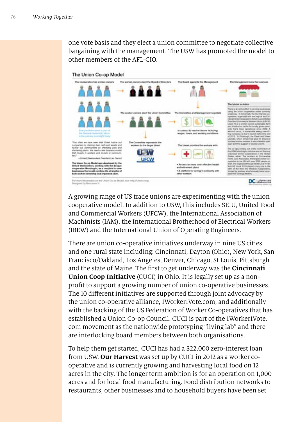one vote basis and they elect a union committee to negotiate collective bargaining with the management. The USW has promoted the model to other members of the AFL-CIO.



A growing range of US trade unions are experimenting with the union cooperative model. In addition to USW, this includes SEIU, United Food and Commercial Workers (UFCW), the International Association of Machinists (IAM), the International Brotherhood of Electrical Workers (IBEW) and the International Union of Operating Engineers.

There are union co-operative initiatives underway in nine US cities and one rural state including: Cincinnati, Dayton (Ohio), New York, San Francisco/Oakland, Los Angeles, Denver, Chicago, St Louis, Pittsburgh and the state of Maine. The frst to get underway was the **Cincinnati Union Coop Initiative** (CUCI) in Ohio. It is legally set up as a nonproft to support a growing number of union co-operative businesses. The 10 diferent initiatives are supported through joint advocacy by the union co-operative alliance, 1Worker1Vote.com, and additionally with the backing of the US Federation of Worker Co-operatives that has established a Union Co-op Council. CUCI is part of the 1Worker1Vote. com movement as the nationwide prototyping "living lab" and there are interlocking board members between both organisations.

To help them get started, CUCI has had a \$22,000 zero-interest loan from USW. **Our Harvest** was set up by CUCI in 2012 as a worker cooperative and is currently growing and harvesting local food on 12 acres in the city. The longer term ambition is for an operation on 1,000 acres and for local food manufacturing. Food distribution networks to restaurants, other businesses and to household buyers have been set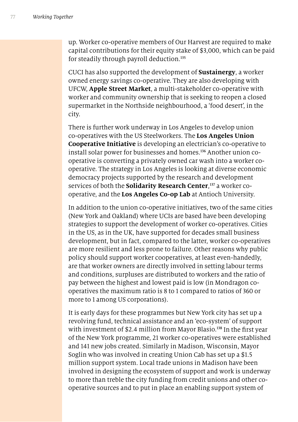up. Worker co-operative members of Our Harvest are required to make capital contributions for their equity stake of \$3,000, which can be paid for steadily through payroll deduction.<sup>135</sup>

CUCI has also supported the development of **Sustainergy**, a worker owned energy savings co-operative. They are also developing with UFCW, **Apple Street Market**, a multi-stakeholder co-operative with worker and community ownership that is seeking to reopen a closed supermarket in the Northside neighbourhood, a 'food desert', in the city.

There is further work underway in Los Angeles to develop union co-operatives with the US Steelworkers. The **Los Angeles Union Cooperative Initiative** is developing an electrician's co-operative to install solar power for businesses and homes.<sup>136</sup> Another union cooperative is converting a privately owned car wash into a worker cooperative. The strategy in Los Angeles is looking at diverse economic democracy projects supported by the research and development services of both the **Solidarity Research Center**, 137 a worker cooperative, and the **Los Angeles Co-op Lab** at Antioch University.

In addition to the union co-operative initiatives, two of the same cities (New York and Oakland) where UCIs are based have been developing strategies to support the development of worker co-operatives. Cities in the US, as in the UK, have supported for decades small business development, but in fact, compared to the latter, worker co-operatives are more resilient and less prone to failure. Other reasons why public policy should support worker cooperatives, at least even-handedly, are that worker owners are directly involved in setting labour terms and conditions, surpluses are distributed to workers and the ratio of pay between the highest and lowest paid is low (in Mondragon cooperatives the maximum ratio is 8 to 1 compared to ratios of 360 or more to 1 among US corporations).

It is early days for these programmes but New York city has set up a revolving fund, technical assistance and an 'eco-system' of support with investment of \$2.4 million from Mayor Blasio.<sup>138</sup> In the first year of the New York programme, 21 worker co-operatives were established and 141 new jobs created. Similarly in Madison, Wisconsin, Mayor Soglin who was involved in creating Union Cab has set up a \$1.5 million support system. Local trade unions in Madison have been involved in designing the ecosystem of support and work is underway to more than treble the city funding from credit unions and other cooperative sources and to put in place an enabling support system of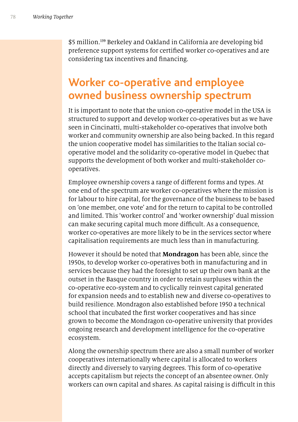\$5 million.<sup>139</sup> Berkeley and Oakland in California are developing bid preference support systems for certifed worker co-operatives and are considering tax incentives and fnancing.

#### **Worker co-operative and employee owned business ownership spectrum**

It is important to note that the union co-operative model in the USA is structured to support and develop worker co-operatives but as we have seen in Cincinatti, multi-stakeholder co-operatives that involve both worker and community ownership are also being backed. In this regard the union cooperative model has similarities to the Italian social cooperative model and the solidarity co-operative model in Quebec that supports the development of both worker and multi-stakeholder cooperatives.

Employee ownership covers a range of diferent forms and types. At one end of the spectrum are worker co-operatives where the mission is for labour to hire capital, for the governance of the business to be based on 'one member, one vote' and for the return to capital to be controlled and limited. This 'worker control' and 'worker ownership' dual mission can make securing capital much more difficult. As a consequence, worker co-operatives are more likely to be in the services sector where capitalisation requirements are much less than in manufacturing.

However it should be noted that **Mondragon** has been able, since the 1950s, to develop worker co-operatives both in manufacturing and in services because they had the foresight to set up their own bank at the outset in the Basque country in order to retain surpluses within the co-operative eco-system and to cyclically reinvest capital generated for expansion needs and to establish new and diverse co-operatives to build resilience. Mondragon also established before 1950 a technical school that incubated the frst worker cooperatives and has since grown to become the Mondragon co-operative university that provides ongoing research and development intelligence for the co-operative ecosystem.

Along the ownership spectrum there are also a small number of worker cooperatives internationally where capital is allocated to workers directly and diversely to varying degrees. This form of co-operative accepts capitalism but rejects the concept of an absentee owner. Only workers can own capital and shares. As capital raising is difficult in this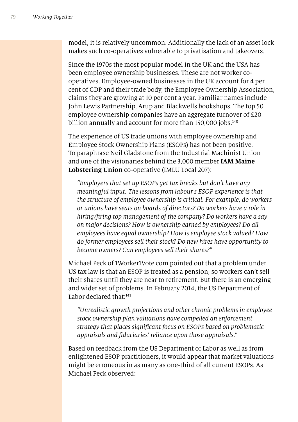model, it is relatively uncommon. Additionally the lack of an asset lock makes such co-operatives vulnerable to privatisation and takeovers.

Since the 1970s the most popular model in the UK and the USA has been employee ownership businesses. These are not worker cooperatives. Employee-owned businesses in the UK account for 4 per cent of GDP and their trade body, the Employee Ownership Association, claims they are growing at 10 per cent a year. Familiar names include John Lewis Partnership, Arup and Blackwells bookshops. The top 50 employee ownership companies have an aggregate turnover of £20 billion annually and account for more than 150,000 jobs.<sup>140</sup>

The experience of US trade unions with employee ownership and Employee Stock Ownership Plans (ESOPs) has not been positive. To paraphrase Neil Gladstone from the Industrial Machinist Union and one of the visionaries behind the 3,000 member **IAM Maine Lobstering Union** co-operative (IMLU Local 207):

*"Employers that set up ESOPs get tax breaks but don't have any meaningful input. The lessons from labour's ESOP experience is that the structure of employee ownership is critical. For example, do workers or unions have seats on boards of directors? Do workers have a role in hiring/*f*ring top management of the company? Do workers have a say on major decisions? How is ownership earned by employees? Do all employees have equal ownership? How is employee stock valued? How do former employees sell their stock? Do new hires have opportunity to become owners? Can employees sell their shares?"*

Michael Peck of 1Worker1Vote.com pointed out that a problem under US tax law is that an ESOP is treated as a pension, so workers can't sell their shares until they are near to retirement. But there is an emerging and wider set of problems. In February 2014, the US Department of Labor declared that:<sup>141</sup>

*"Unrealistic growth projections and other chronic problems in employee stock ownership plan valuations have compelled an enforcement strategy that places signi*f*cant focus on ESOPs based on problematic appraisals and* f*duciaries' reliance upon those appraisals."*

Based on feedback from the US Department of Labor as well as from enlightened ESOP practitioners, it would appear that market valuations might be erroneous in as many as one-third of all current ESOPs. As Michael Peck observed: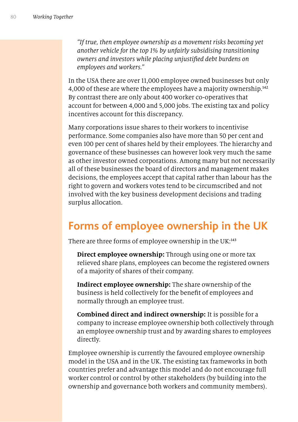*"If true, then employee ownership as a movement risks becoming yet another vehicle for the top* 1% *by unfairly subsidising transitioning owners and investors while placing unjusti*f*ed debt burdens on employees and workers."*

In the USA there are over 11,000 employee owned businesses but only 4,000 of these are where the employees have a majority ownership.<sup>142</sup> By contrast there are only about 400 worker co-operatives that account for between 4,000 and 5,000 jobs. The existing tax and policy incentives account for this discrepancy.

Many corporations issue shares to their workers to incentivise performance. Some companies also have more than 50 per cent and even 100 per cent of shares held by their employees. The hierarchy and governance of these businesses can however look very much the same as other investor owned corporations. Among many but not necessarily all of these businesses the board of directors and management makes decisions, the employees accept that capital rather than labour has the right to govern and workers votes tend to be circumscribed and not involved with the key business development decisions and trading surplus allocation.

#### **Forms of employee ownership in the UK**

There are three forms of employee ownership in the UK:<sup>143</sup>

**Direct employee ownership:** Through using one or more tax relieved share plans, employees can become the registered owners of a majority of shares of their company.

**Indirect employee ownership:** The share ownership of the business is held collectively for the beneft of employees and normally through an employee trust.

**Combined direct and indirect ownership:** It is possible for a company to increase employee ownership both collectively through an employee ownership trust and by awarding shares to employees directly.

Employee ownership is currently the favoured employee ownership model in the USA and in the UK. The existing tax frameworks in both countries prefer and advantage this model and do not encourage full worker control or control by other stakeholders (by building into the ownership and governance both workers and community members).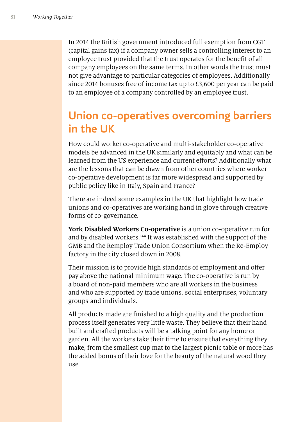In 2014 the British government introduced full exemption from CGT (capital gains tax) if a company owner sells a controlling interest to an employee trust provided that the trust operates for the beneft of all company employees on the same terms. In other words the trust must not give advantage to particular categories of employees. Additionally since 2014 bonuses free of income tax up to £3,600 per year can be paid to an employee of a company controlled by an employee trust.

#### **Union co-operatives overcoming barriers in the UK**

How could worker co-operative and multi-stakeholder co-operative models be advanced in the UK similarly and equitably and what can be learned from the US experience and current efforts? Additionally what are the lessons that can be drawn from other countries where worker co-operative development is far more widespread and supported by public policy like in Italy, Spain and France?

There are indeed some examples in the UK that highlight how trade unions and co-operatives are working hand in glove through creative forms of co-governance.

**York Disabled Workers Co-operative** is a union co-operative run for and by disabled workers.<sup>144</sup> It was established with the support of the GMB and the Remploy Trade Union Consortium when the Re-Employ factory in the city closed down in 2008.

Their mission is to provide high standards of employment and offer pay above the national minimum wage. The co-operative is run by a board of non-paid members who are all workers in the business and who are supported by trade unions, social enterprises, voluntary groups and individuals.

All products made are fnished to a high quality and the production process itself generates very little waste. They believe that their hand built and crafted products will be a talking point for any home or garden. All the workers take their time to ensure that everything they make, from the smallest cup mat to the largest picnic table or more has the added bonus of their love for the beauty of the natural wood they use.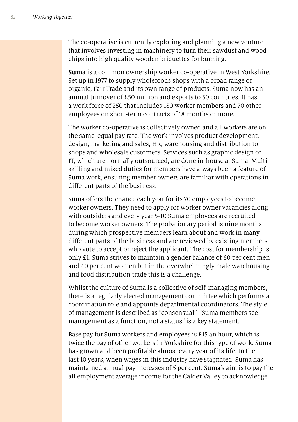The co-operative is currently exploring and planning a new venture that involves investing in machinery to turn their sawdust and wood chips into high quality wooden briquettes for burning.

**Suma** is a common ownership worker co-operative in West Yorkshire. Set up in 1977 to supply wholefoods shops with a broad range of organic, Fair Trade and its own range of products, Suma now has an annual turnover of £50 million and exports to 50 countries. It has a work force of 250 that includes 180 worker members and 70 other employees on short-term contracts of 18 months or more.

The worker co-operative is collectively owned and all workers are on the same, equal pay rate. The work involves product development, design, marketing and sales, HR, warehousing and distribution to shops and wholesale customers. Services such as graphic design or IT, which are normally outsourced, are done in-house at Suma. Multiskilling and mixed duties for members have always been a feature of Suma work, ensuring member owners are familiar with operations in diferent parts of the business.

Suma offers the chance each year for its 70 employees to become worker owners. They need to apply for worker owner vacancies along with outsiders and every year 5-10 Suma employees are recruited to become worker owners. The probationary period is nine months during which prospective members learn about and work in many diferent parts of the business and are reviewed by existing members who vote to accept or reject the applicant. The cost for membership is only £1. Suma strives to maintain a gender balance of 60 per cent men and 40 per cent women but in the overwhelmingly male warehousing and food distribution trade this is a challenge.

Whilst the culture of Suma is a collective of self-managing members, there is a regularly elected management committee which performs a coordination role and appoints departmental coordinators. The style of management is described as "consensual". "Suma members see management as a function, not a status" is a key statement.

Base pay for Suma workers and employees is £15 an hour, which is twice the pay of other workers in Yorkshire for this type of work. Suma has grown and been proftable almost every year of its life. In the last 10 years, when wages in this industry have stagnated, Suma has maintained annual pay increases of 5 per cent. Suma's aim is to pay the all employment average income for the Calder Valley to acknowledge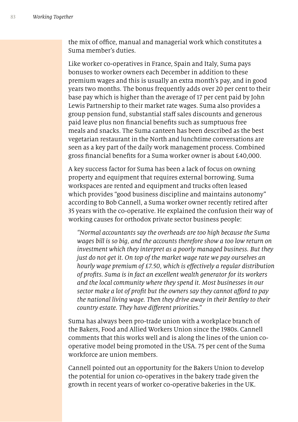the mix of office, manual and managerial work which constitutes a Suma member's duties.

Like worker co-operatives in France, Spain and Italy, Suma pays bonuses to worker owners each December in addition to these premium wages and this is usually an extra month's pay, and in good years two months. The bonus frequently adds over 20 per cent to their base pay which is higher than the average of 17 per cent paid by John Lewis Partnership to their market rate wages. Suma also provides a group pension fund, substantial staff sales discounts and generous paid leave plus non fnancial benefts such as sumptuous free meals and snacks. The Suma canteen has been described as the best vegetarian restaurant in the North and lunchtime conversations are seen as a key part of the daily work management process. Combined gross fnancial benefts for a Suma worker owner is about £40,000.

A key success factor for Suma has been a lack of focus on owning property and equipment that requires external borrowing. Suma workspaces are rented and equipment and trucks often leased which provides "good business discipline and maintains autonomy" according to Bob Cannell, a Suma worker owner recently retired after 35 years with the co-operative. He explained the confusion their way of working causes for orthodox private sector business people:

*"Normal accountants say the overheads are too high because the Suma wages bill is so big, and the accounts therefore show a too low return on investment which they interpret as a poorly managed business. But they just do not get it. On top of the market wage rate we pay ourselves an hourly wage premium of* £7*.*50*, which is e*f*ectively a regular distribution of pro*f*ts. Suma is in fact an excellent wealth generator for its workers and the local community where they spend it. Most businesses in our sector make a lot of pro*f*t but the owners say they cannot a*f*ord to pay the national living wage. Then they drive away in their Bentley to their country estate. They have di*f*erent priorities."*

Suma has always been pro-trade union with a workplace branch of the Bakers, Food and Allied Workers Union since the 1980s. Cannell comments that this works well and is along the lines of the union cooperative model being promoted in the USA. 75 per cent of the Suma workforce are union members.

Cannell pointed out an opportunity for the Bakers Union to develop the potential for union co-operatives in the bakery trade given the growth in recent years of worker co-operative bakeries in the UK.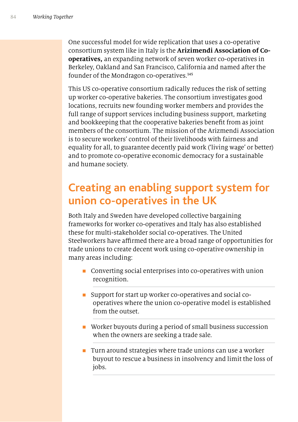One successful model for wide replication that uses a co-operative consortium system like in Italy is the **Arizimendi Association of Cooperatives,** an expanding network of seven worker co-operatives in Berkeley, Oakland and San Francisco, California and named after the founder of the Mondragon co-operatives.<sup>145</sup>

This US co-operative consortium radically reduces the risk of setting up worker co-operative bakeries. The consortium investigates good locations, recruits new founding worker members and provides the full range of support services including business support, marketing and bookkeeping that the cooperative bakeries beneft from as joint members of the consortium. The mission of the Arizmendi Association is to secure workers' control of their livelihoods with fairness and equality for all, to guarantee decently paid work ('living wage' or better) and to promote co-operative economic democracy for a sustainable and humane society.

#### **Creating an enabling support system for union co-operatives in the UK**

Both Italy and Sweden have developed collective bargaining frameworks for worker co-operatives and Italy has also established these for multi-stakeholder social co-operatives. The United Steelworkers have affirmed there are a broad range of opportunities for trade unions to create decent work using co-operative ownership in many areas including:

- $\blacksquare$  Converting social enterprises into co-operatives with union recognition.
- n Support for start up worker co-operatives and social cooperatives where the union co-operative model is established from the outset.
- Worker buyouts during a period of small business succession when the owners are seeking a trade sale.
- $\blacksquare$  Turn around strategies where trade unions can use a worker buyout to rescue a business in insolvency and limit the loss of jobs.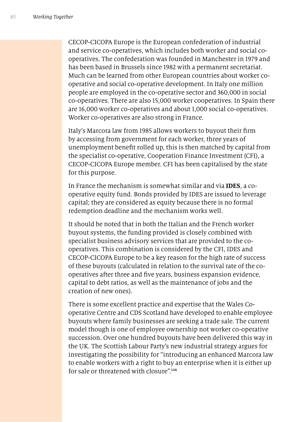CECOP-CICOPA Europe is the European confederation of industrial and service co-operatives, which includes both worker and social cooperatives. The confederation was founded in Manchester in 1979 and has been based in Brussels since 1982 with a permanent secretariat. Much can be learned from other European countries about worker cooperative and social co-operative development. In Italy one million people are employed in the co-operative sector and 360,000 in social co-operatives. There are also 15,000 worker cooperatives. In Spain there are 16,000 worker co-operatives and about 1,000 social co-operatives. Worker co-operatives are also strong in France.

Italy's Marcora law from 1985 allows workers to buyout their frm by accessing from government for each worker, three years of unemployment beneft rolled up, this is then matched by capital from the specialist co-operative, Cooperation Finance Investment (CFI), a CECOP-CICOPA Europe member. CFI has been capitalised by the state for this purpose.

In France the mechanism is somewhat similar and via **IDES**, a cooperative equity fund. Bonds provided by IDES are issued to leverage capital; they are considered as equity because there is no formal redemption deadline and the mechanism works well.

It should be noted that in both the Italian and the French worker buyout systems, the funding provided is closely combined with specialist business advisory services that are provided to the cooperatives. This combination is considered by the CFI, IDES and CECOP-CICOPA Europe to be a key reason for the high rate of success of these buyouts (calculated in relation to the survival rate of the cooperatives after three and fve years, business expansion evidence, capital to debt ratios, as well as the maintenance of jobs and the creation of new ones).

There is some excellent practice and expertise that the Wales Cooperative Centre and CDS Scotland have developed to enable employee buyouts where family businesses are seeking a trade sale. The current model though is one of employee ownership not worker co-operative succession. Over one hundred buyouts have been delivered this way in the UK. The Scottish Labour Party's new industrial strategy argues for investigating the possibility for "introducing an enhanced Marcora law to enable workers with a right to buy an enterprise when it is either up for sale or threatened with closure".<sup>146</sup>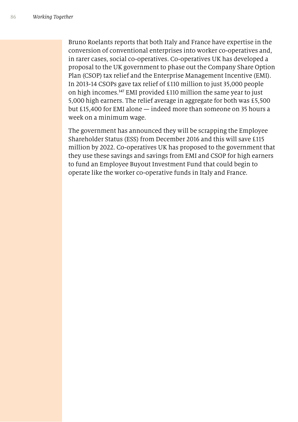Bruno Roelants reports that both Italy and France have expertise in the conversion of conventional enterprises into worker co-operatives and, in rarer cases, social co-operatives. Co-operatives UK has developed a proposal to the UK government to phase out the Company Share Option Plan (CSOP) tax relief and the Enterprise Management Incentive (EMI). In 2013-14 CSOPs gave tax relief of £110 million to just 35,000 people on high incomes.<sup>147</sup> EMI provided £110 million the same year to just 5,000 high earners. The relief average in aggregate for both was £5,500 but £15,400 for EMI alone — indeed more than someone on 35 hours a week on a minimum wage.

The government has announced they will be scrapping the Employee Shareholder Status (ESS) from December 2016 and this will save £115 million by 2022. Co-operatives UK has proposed to the government that they use these savings and savings from EMI and CSOP for high earners to fund an Employee Buyout Investment Fund that could begin to operate like the worker co-operative funds in Italy and France.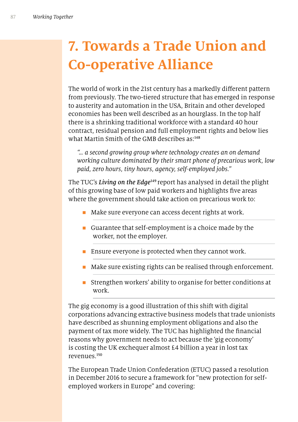# **7. Towards a Trade Union and Co-operative Alliance**

The world of work in the 21st century has a markedly diferent pattern from previously. The two-tiered structure that has emerged in response to austerity and automation in the USA, Britain and other developed economies has been well described as an hourglass. In the top half there is a shrinking traditional workforce with a standard 40 hour contract, residual pension and full employment rights and below lies what Martin Smith of the GMB describes as:<sup>148</sup>

*"… a second growing group where technology creates an on demand working culture dominated by their smart phone of precarious work, low paid, zero hours, tiny hours, agency, self-employed jobs."*

The TUC's *Living on the Edge*<sup>149</sup> report has analysed in detail the plight of this growing base of low paid workers and highlights fve areas where the government should take action on precarious work to:

- $\blacksquare$  Make sure everyone can access decent rights at work.
- Guarantee that self-employment is a choice made by the worker, not the employer.
- **Ensure everyone is protected when they cannot work.**
- Make sure existing rights can be realised through enforcement.
- n Strengthen workers' ability to organise for better conditions at work.

The gig economy is a good illustration of this shift with digital corporations advancing extractive business models that trade unionists have described as shunning employment obligations and also the payment of tax more widely. The TUC has highlighted the fnancial reasons why government needs to act because the 'gig economy' is costing the UK exchequer almost £4 billion a year in lost tax revenues.<sup>150</sup>

The European Trade Union Confederation (ETUC) passed a resolution in December 2016 to secure a framework for "new protection for selfemployed workers in Europe" and covering: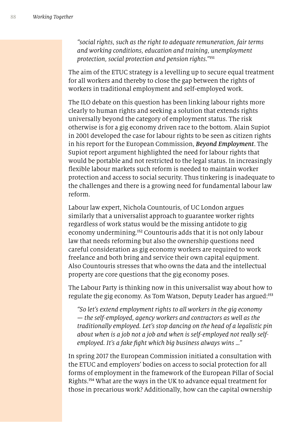*"social rights, such as the right to adequate remuneration, fair terms and working conditions, education and training, unemployment protection, social protection and pension rights."*<sup>151</sup>

The aim of the ETUC strategy is a levelling up to secure equal treatment for all workers and thereby to close the gap between the rights of workers in traditional employment and self-employed work.

The ILO debate on this question has been linking labour rights more clearly to human rights and seeking a solution that extends rights universally beyond the category of employment status. The risk otherwise is for a gig economy driven race to the bottom. Alain Supiot in 2001 developed the case for labour rights to be seen as citizen rights in his report for the European Commission, *Beyond Employment*. The Supiot report argument highlighted the need for labour rights that would be portable and not restricted to the legal status. In increasingly fexible labour markets such reform is needed to maintain worker protection and access to social security. Thus tinkering is inadequate to the challenges and there is a growing need for fundamental labour law reform.

Labour law expert, Nichola Countouris, of UC London argues similarly that a universalist approach to guarantee worker rights regardless of work status would be the missing antidote to gig economy undermining.<sup>152</sup> Countouris adds that it is not only labour law that needs reforming but also the ownership questions need careful consideration as gig economy workers are required to work freelance and both bring and service their own capital equipment. Also Countouris stresses that who owns the data and the intellectual property are core questions that the gig economy poses.

The Labour Party is thinking now in this universalist way about how to regulate the gig economy. As Tom Watson, Deputy Leader has argued:<sup>153</sup>

*"So let's extend employment rights to all workers in the gig economy — the self-employed, agency workers and contractors as well as the traditionally employed. Let's stop dancing on the head of a legalistic pin about when is a job not a job and when is self-employed not really selfemployed. It's a fake* f*ght which big business always wins …"*

In spring 2017 the European Commission initiated a consultation with the ETUC and employers' bodies on access to social protection for all forms of employment in the framework of the European Pillar of Social Rights.<sup>154</sup> What are the ways in the UK to advance equal treatment for those in precarious work? Additionally, how can the capital ownership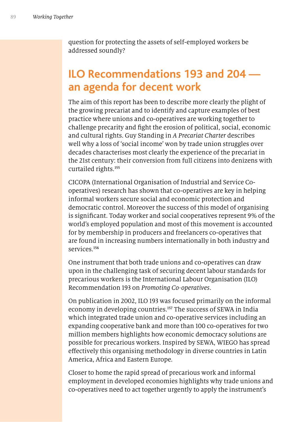question for protecting the assets of self-employed workers be addressed soundly?

#### **ILO Recommendations 193 and 204 an agenda for decent work**

The aim of this report has been to describe more clearly the plight of the growing precariat and to identify and capture examples of best practice where unions and co-operatives are working together to challenge precarity and fght the erosion of political, social, economic and cultural rights. Guy Standing in *A Precariat Charter* describes well why a loss of 'social income' won by trade union struggles over decades characterises most clearly the experience of the precariat in the 21st century: their conversion from full citizens into denizens with curtailed rights.<sup>155</sup>

CICOPA (International Organisation of Industrial and Service Cooperatives) research has shown that co-operatives are key in helping informal workers secure social and economic protection and democratic control. Moreover the success of this model of organising is signifcant. Today worker and social cooperatives represent 9% of the world's employed population and most of this movement is accounted for by membership in producers and freelancers co-operatives that are found in increasing numbers internationally in both industry and services.<sup>156</sup>

One instrument that both trade unions and co-operatives can draw upon in the challenging task of securing decent labour standards for precarious workers is the International Labour Organisation (ILO) Recommendation 193 on *Promoting Co-operatives*.

On publication in 2002, ILO 193 was focused primarily on the informal economy in developing countries.<sup>157</sup> The success of SEWA in India which integrated trade union and co-operative services including an expanding cooperative bank and more than 100 co-operatives for two million members highlights how economic democracy solutions are possible for precarious workers. Inspired by SEWA, WIEGO has spread efectively this organising methodology in diverse countries in Latin America, Africa and Eastern Europe.

Closer to home the rapid spread of precarious work and informal employment in developed economies highlights why trade unions and co-operatives need to act together urgently to apply the instrument's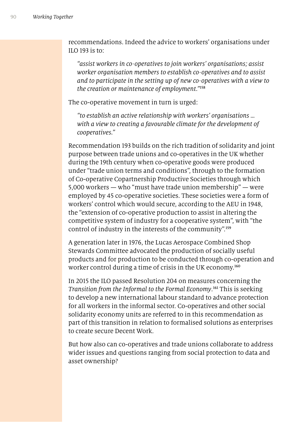recommendations. Indeed the advice to workers' organisations under ILO 193 is to:

*"assist workers in co-operatives to join workers' organisations; assist worker organisation members to establish co-operatives and to assist and to participate in the setting up of new co-operatives with a view to the creation or maintenance of employment."*<sup>158</sup>

The co-operative movement in turn is urged:

*"to establish an active relationship with workers' organisations … with a view to creating a favourable climate for the development of cooperatives."*

Recommendation 193 builds on the rich tradition of solidarity and joint purpose between trade unions and co-operatives in the UK whether during the 19th century when co-operative goods were produced under "trade union terms and conditions", through to the formation of Co-operative Copartnership Productive Societies through which 5,000 workers — who "must have trade union membership" — were employed by 45 co-operative societies. These societies were a form of workers' control which would secure, according to the AEU in 1948, the "extension of co-operative production to assist in altering the competitive system of industry for a cooperative system", with "the control of industry in the interests of the community".<sup>159</sup>

A generation later in 1976, the Lucas Aerospace Combined Shop Stewards Committee advocated the production of socially useful products and for production to be conducted through co-operation and worker control during a time of crisis in the UK economy.<sup>160</sup>

In 2015 the ILO passed Resolution 204 on measures concerning the *Transition from the Informal to the Formal Economy*. <sup>161</sup> This is seeking to develop a new international labour standard to advance protection for all workers in the informal sector. Co-operatives and other social solidarity economy units are referred to in this recommendation as part of this transition in relation to formalised solutions as enterprises to create secure Decent Work.

But how also can co-operatives and trade unions collaborate to address wider issues and questions ranging from social protection to data and asset ownership?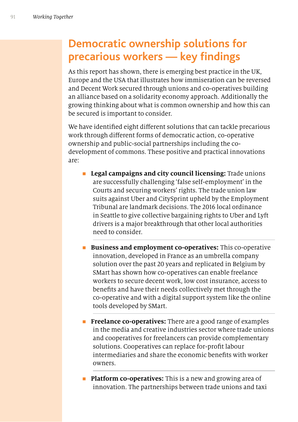### **Democratic ownership solutions for precarious workers - key findings**

As this report has shown, there is emerging best practice in the UK, Europe and the USA that illustrates how immiseration can be reversed and Decent Work secured through unions and co-operatives building an alliance based on a solidarity economy approach. Additionally the growing thinking about what is common ownership and how this can be secured is important to consider.

We have identifed eight diferent solutions that can tackle precarious work through diferent forms of democratic action, co-operative ownership and public-social partnerships including the codevelopment of commons. These positive and practical innovations are:

- **Example 1** Legal campaigns and city council licensing: Trade unions are successfully challenging 'false self-employment' in the Courts and securing workers' rights. The trade union law suits against Uber and CitySprint upheld by the Employment Tribunal are landmark decisions. The 2016 local ordinance in Seattle to give collective bargaining rights to Uber and Lyft drivers is a major breakthrough that other local authorities need to consider.
	- n **Business and employment co-operatives:** This co-operative innovation, developed in France as an umbrella company solution over the past 20 years and replicated in Belgium by SMart has shown how co-operatives can enable freelance workers to secure decent work, low cost insurance, access to benefts and have their needs collectively met through the co-operative and with a digital support system like the online tools developed by SMart.
- **Fireelance co-operatives:** There are a good range of examples in the media and creative industries sector where trade unions and cooperatives for freelancers can provide complementary solutions. Cooperatives can replace for-proft labour intermediaries and share the economic benefts with worker owners.
- **Platform co-operatives:** This is a new and growing area of innovation. The partnerships between trade unions and taxi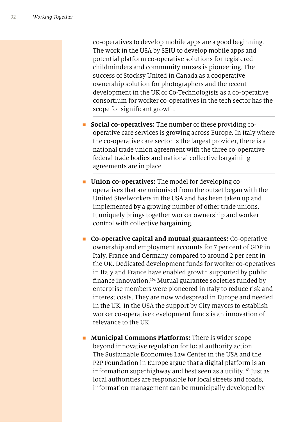co-operatives to develop mobile apps are a good beginning. The work in the USA by SEIU to develop mobile apps and potential platform co-operative solutions for registered childminders and community nurses is pioneering. The success of Stocksy United in Canada as a cooperative ownership solution for photographers and the recent development in the UK of Co-Technologists as a co-operative consortium for worker co-operatives in the tech sector has the scope for signifcant growth.

- **n Social co-operatives:** The number of these providing cooperative care services is growing across Europe. In Italy where the co-operative care sector is the largest provider, there is a national trade union agreement with the three co-operative federal trade bodies and national collective bargaining agreements are in place.
- **n Union co-operatives:** The model for developing cooperatives that are unionised from the outset began with the United Steelworkers in the USA and has been taken up and implemented by a growing number of other trade unions. It uniquely brings together worker ownership and worker control with collective bargaining.
- n **Co-operative capital and mutual guarantees:** Co-operative ownership and employment accounts for 7 per cent of GDP in Italy, France and Germany compared to around 2 per cent in the UK. Dedicated development funds for worker co-operatives in Italy and France have enabled growth supported by public fnance innovation.<sup>162</sup> Mutual guarantee societies funded by enterprise members were pioneered in Italy to reduce risk and interest costs. They are now widespread in Europe and needed in the UK. In the USA the support by City mayors to establish worker co-operative development funds is an innovation of relevance to the UK.
- **n** Municipal Commons Platforms: There is wider scope beyond innovative regulation for local authority action. The Sustainable Economies Law Center in the USA and the P2P Foundation in Europe argue that a digital platform is an information superhighway and best seen as a utility.<sup>163</sup> Just as local authorities are responsible for local streets and roads, information management can be municipally developed by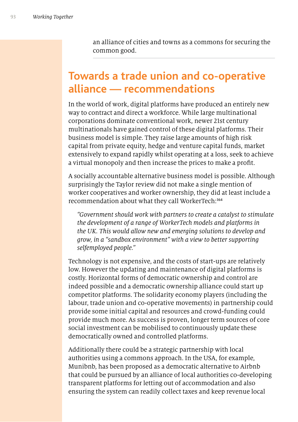an alliance of cities and towns as a commons for securing the common good.

#### **Towards a trade union and co-operative alliance — recommendations**

In the world of work, digital platforms have produced an entirely new way to contract and direct a workforce. While large multinational corporations dominate conventional work, newer 21st century multinationals have gained control of these digital platforms. Their business model is simple. They raise large amounts of high risk capital from private equity, hedge and venture capital funds, market extensively to expand rapidly whilst operating at a loss, seek to achieve a virtual monopoly and then increase the prices to make a proft.

A socially accountable alternative business model is possible. Although surprisingly the Taylor review did not make a single mention of worker cooperatives and worker ownership, they did at least include a recommendation about what they call WorkerTech:<sup>164</sup>

*"Government should work with partners to create a catalyst to stimulate the development of a range of WorkerTech models and platforms in the UK. This would allow new and emerging solutions to develop and grow, in a "sandbox environment" with a view to better supporting selfemployed people."*

Technology is not expensive, and the costs of start-ups are relatively low. However the updating and maintenance of digital platforms is costly. Horizontal forms of democratic ownership and control are indeed possible and a democratic ownership alliance could start up competitor platforms. The solidarity economy players (including the labour, trade union and co-operative movements) in partnership could provide some initial capital and resources and crowd-funding could provide much more. As success is proven, longer term sources of core social investment can be mobilised to continuously update these democratically owned and controlled platforms.

Additionally there could be a strategic partnership with local authorities using a commons approach. In the USA, for example, Munibnb, has been proposed as a democratic alternative to Airbnb that could be pursued by an alliance of local authorities co-developing transparent platforms for letting out of accommodation and also ensuring the system can readily collect taxes and keep revenue local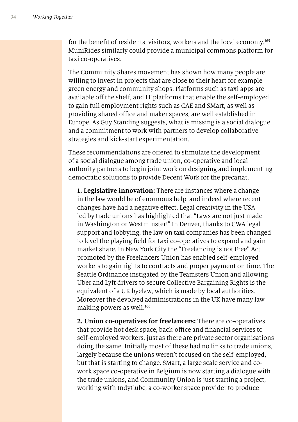for the benefit of residents, visitors, workers and the local economy.<sup>165</sup> MuniRides similarly could provide a municipal commons platform for taxi co-operatives.

The Community Shares movement has shown how many people are willing to invest in projects that are close to their heart for example green energy and community shops. Platforms such as taxi apps are available off the shelf, and IT platforms that enable the self-employed to gain full employment rights such as CAE and SMart, as well as providing shared office and maker spaces, are well established in Europe. As Guy Standing suggests, what is missing is a social dialogue and a commitment to work with partners to develop collaborative strategies and kick-start experimentation.

These recommendations are ofered to stimulate the development of a social dialogue among trade union, co-operative and local authority partners to begin joint work on designing and implementing democratic solutions to provide Decent Work for the precariat.

**1. Legislative innovation:** There are instances where a change in the law would be of enormous help, and indeed where recent changes have had a negative efect. Legal creativity in the USA led by trade unions has highlighted that "Laws are not just made in Washington or Westminster!" In Denver, thanks to CWA legal support and lobbying, the law on taxi companies has been changed to level the playing feld for taxi co-operatives to expand and gain market share. In New York City the "Freelancing is not Free" Act promoted by the Freelancers Union has enabled self-employed workers to gain rights to contracts and proper payment on time. The Seattle Ordinance instigated by the Teamsters Union and allowing Uber and Lyft drivers to secure Collective Bargaining Rights is the equivalent of a UK byelaw, which is made by local authorities. Moreover the devolved administrations in the UK have many law making powers as well.<sup>166</sup>

**2. Union co-operatives for freelancers:** There are co-operatives that provide hot desk space, back-office and financial services to self-employed workers, just as there are private sector organisations doing the same. Initially most of these had no links to trade unions, largely because the unions weren't focused on the self-employed, but that is starting to change. SMart, a large scale service and cowork space co-operative in Belgium is now starting a dialogue with the trade unions, and Community Union is just starting a project, working with IndyCube, a co-worker space provider to produce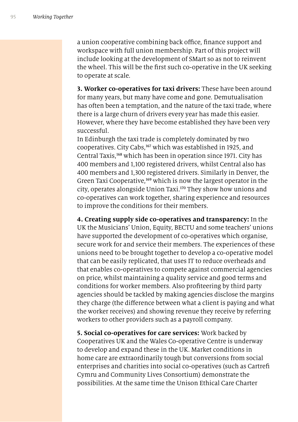a union cooperative combining back office, finance support and workspace with full union membership. Part of this project will include looking at the development of SMart so as not to reinvent the wheel. This will be the frst such co-operative in the UK seeking to operate at scale.

**3. Worker co-operatives for taxi drivers:** These have been around for many years, but many have come and gone. Demutualisation has often been a temptation, and the nature of the taxi trade, where there is a large churn of drivers every year has made this easier. However, where they have become established they have been very successful.

In Edinburgh the taxi trade is completely dominated by two cooperatives. City Cabs,<sup>167</sup> which was established in 1925, and Central Taxis,<sup>168</sup> which has been in operation since 1971. City has 400 members and 1,100 registered drivers, whilst Central also has 400 members and 1,300 registered drivers. Similarly in Denver, the Green Taxi Cooperative,<sup>169</sup> which is now the largest operator in the city, operates alongside Union Taxi.<sup>170</sup> They show how unions and co-operatives can work together, sharing experience and resources to improve the conditions for their members.

**4. Creating supply side co-operatives and transparency:** In the UK the Musicians' Union, Equity, BECTU and some teachers' unions have supported the development of co-operatives which organise, secure work for and service their members. The experiences of these unions need to be brought together to develop a co-operative model that can be easily replicated, that uses IT to reduce overheads and that enables co-operatives to compete against commercial agencies on price, whilst maintaining a quality service and good terms and conditions for worker members. Also profteering by third party agencies should be tackled by making agencies disclose the margins they charge (the diference between what a client is paying and what the worker receives) and showing revenue they receive by referring workers to other providers such as a payroll company.

**5. Social co-operatives for care services:** Work backed by Cooperatives UK and the Wales Co-operative Centre is underway to develop and expand these in the UK. Market conditions in home care are extraordinarily tough but conversions from social enterprises and charities into social co-operatives (such as Cartref Cymru and Community Lives Consortium) demonstrate the possibilities. At the same time the Unison Ethical Care Charter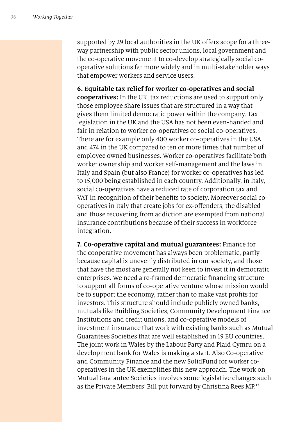supported by 29 local authorities in the UK offers scope for a threeway partnership with public sector unions, local government and the co-operative movement to co-develop strategically social cooperative solutions far more widely and in multi-stakeholder ways that empower workers and service users.

**6. Equitable tax relief for worker co-operatives and social cooperatives:** In the UK, tax reductions are used to support only those employee share issues that are structured in a way that gives them limited democratic power within the company. Tax legislation in the UK and the USA has not been even-handed and fair in relation to worker co-operatives or social co-operatives. There are for example only 400 worker co-operatives in the USA and 474 in the UK compared to ten or more times that number of employee owned businesses. Worker co-operatives facilitate both worker ownership and worker self-management and the laws in Italy and Spain (but also France) for worker co-operatives has led to 15,000 being established in each country. Additionally, in Italy, social co-operatives have a reduced rate of corporation tax and VAT in recognition of their benefts to society. Moreover social cooperatives in Italy that create jobs for ex-ofenders, the disabled and those recovering from addiction are exempted from national insurance contributions because of their success in workforce integration.

**7. Co-operative capital and mutual guarantees:** Finance for the cooperative movement has always been problematic, partly because capital is unevenly distributed in our society, and those that have the most are generally not keen to invest it in democratic enterprises. We need a re-framed democratic fnancing structure to support all forms of co-operative venture whose mission would be to support the economy, rather than to make vast profts for investors. This structure should include publicly owned banks, mutuals like Building Societies, Community Development Finance Institutions and credit unions, and co-operative models of investment insurance that work with existing banks such as Mutual Guarantees Societies that are well established in 19 EU countries. The joint work in Wales by the Labour Party and Plaid Cymru on a development bank for Wales is making a start. Also Co-operative and Community Finance and the new SolidFund for worker cooperatives in the UK exemplifes this new approach. The work on Mutual Guarantee Societies involves some legislative changes such as the Private Members' Bill put forward by Christina Rees MP.171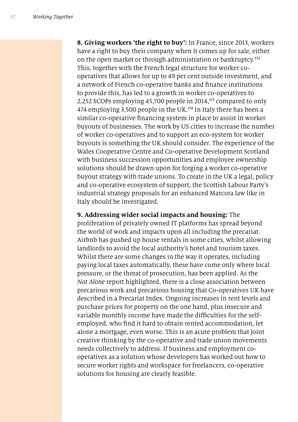**8. Giving workers 'the right to buy':** In France, since 2013, workers have a right to buy their company when it comes up for sale, either on the open market or through administration or bankruptcy.<sup>172</sup> This, together with the French legal structure for worker cooperatives that allows for up to 49 per cent outside investment, and a network of French co-operative banks and fnance institutions to provide this, has led to a growth in worker co-operatives to 2,252 SCOPs employing 45,700 people in 2014, <sup>173</sup> compared to only 474 employing 3,500 people in the UK.<sup>174</sup> In Italy there has been a similar co-operative fnancing system in place to assist in worker buyouts of businesses. The work by US cities to increase the number of worker co-operatives and to support an eco-system for worker buyouts is something the UK should consider. The experience of the Wales Cooperative Centre and Co-operative Development Scotland with business succession opportunities and employee ownership solutions should be drawn upon for forging a worker co-operative buyout strategy with trade unions. To create in the UK a legal, policy and co-operative ecosystem of support, the Scottish Labour Party's industrial strategy proposals for an enhanced Marcora law like in Italy should be investigated.

#### **9. Addressing wider social impacts and housing:** The

proliferation of privately owned IT platforms has spread beyond the world of work and impacts upon all including the precariat. Airbnb has pushed up house rentals in some cities, whilst allowing landlords to avoid the local authority's hotel and tourism taxes. Whilst there are some changes in the way it operates, including paying local taxes automatically, these have come only where local pressure, or the threat of prosecution, has been applied. As the *Not Alone* report highlighted, there is a close association between precarious work and precarious housing that Co-operatives UK have described in a Precariat Index. Ongoing increases in rent levels and purchase prices for property on the one hand, plus insecure and variable monthly income have made the difficulties for the selfemployed, who fnd it hard to obtain rented accommodation, let alone a mortgage, even worse. This is an acute problem that joint creative thinking by the co-operative and trade union movements needs collectively to address. If business and employment cooperatives as a solution whose developers has worked out how to secure worker rights and workspace for freelancers, co-operative solutions for housing are clearly feasible.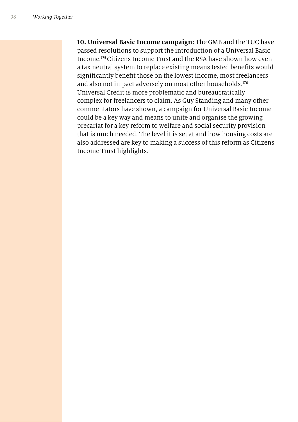**10. Universal Basic Income campaign:** The GMB and the TUC have passed resolutions to support the introduction of a Universal Basic Income.<sup>175</sup> Citizens Income Trust and the RSA have shown how even a tax neutral system to replace existing means tested benefts would signifcantly beneft those on the lowest income, most freelancers and also not impact adversely on most other households.<sup>176</sup> Universal Credit is more problematic and bureaucratically complex for freelancers to claim. As Guy Standing and many other commentators have shown, a campaign for Universal Basic Income could be a key way and means to unite and organise the growing precariat for a key reform to welfare and social security provision that is much needed. The level it is set at and how housing costs are also addressed are key to making a success of this reform as Citizens Income Trust highlights.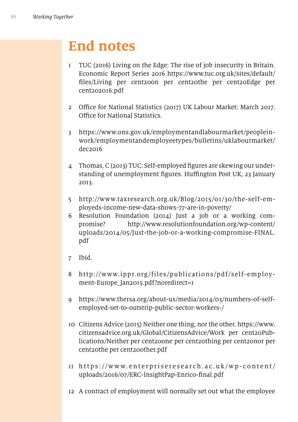## **End notes**

- 1 TUC (2016) Living on the Edge: The rise of job insecurity in Britain. Economic Report Series 2016 https://www.tuc.org.uk/sites/default/ fles/Living per cent20on per cent20the per cent20Edge per cent202016.pdf
- 2 Office for National Statistics (2017) UK Labour Market: March 2017. Office for National Statistics.
- 3 https://www.ons.gov.uk/employmentandlabourmarket/peopleinwork/employmentandemployeetypes/bulletins/uklabourmarket/ dec2016
- 4 Thomas, C (2013) TUC: Self-employed fgures are skewing our understanding of unemployment figures. Huffington Post UK, 23 January 2013.
- 5 http://www.taxresearch.org.uk/Blog/2015/01/30/the-self-employeds-income-new-data-shows-77-are-in-poverty/
- 6 Resolution Foundation (2014) Just a job or a working compromise? http://www.resolutionfoundation.org/wp-content/ uploads/2014/05/Just-the-job-or-a-working-compromise-FINAL. pdf
- 7 Ibid.
- 8 http://www.ippr.org/files/publications/pdf/self-employment-Europe Jan2015.pdf?noredirect=1
- 9 https://www.thersa.org/about-us/media/2014/03/numbers-of-selfemployed-set-to-outstrip-public-sector-workers-/
- 10 Citizens Advice (2015) Neither one thing, nor the other. https://www. citizensadvice.org.uk/Global/CitizensAdvice/Work per cent20Publications/Neither per cent20one per cent20thing per cent20nor per cent20the per cent20other.pdf
- 11 https://www.enterpriseresearch.ac.uk/wp-content/ uploads/2016/07/ERC-InsightPap-Enrico-fnal.pdf
- 12 A contract of employment will normally set out what the employee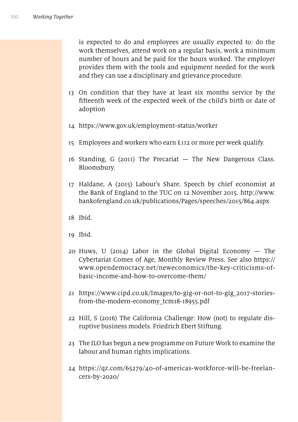is expected to do and employees are usually expected to: do the work themselves, attend work on a regular basis, work a minimum number of hours and be paid for the hours worked. The employer provides them with the tools and equipment needed for the work and they can use a disciplinary and grievance procedure.

- 13 On condition that they have at least six months service by the ffteenth week of the expected week of the child's birth or date of adoption
- 14 https://www.gov.uk/employment-status/worker
- 15 Employees and workers who earn £112 or more per week qualify.
- 16 Standing, G (2011) The Precariat The New Dangerous Class. Bloomsbury.
- 17 Haldane, A (2015) Labour's Share. Speech by chief economist at the Bank of England to the TUC on 12 November 2015. http://www. bankofengland.co.uk/publications/Pages/speeches/2015/864.aspx
- 18 Ibid.
- 19 Ibid.
- 20 Huws, U (2014) Labor in the Global Digital Economy  $-$  The Cybertariat Comes of Age, Monthly Review Press. See also https:// www.opendemocracy.net/neweconomics/the-key-criticisms-ofbasic-income-and-how-to-overcome-them/
- 21 https://www.cipd.co.uk/Images/to-gig-or-not-to-gig\_2017-storiesfrom-the-modern-economy\_tcm18-18955.pdf
- 22 Hill, S (2016) The California Challenge: How (not) to regulate disruptive business models. Friedrich Ebert Stiftung.
- 23 The ILO has begun a new programme on Future Work to examine the labour and human rights implications.
- 24 https://qz.com/65279/40-of-americas-workforce-will-be-freelancers-by-2020/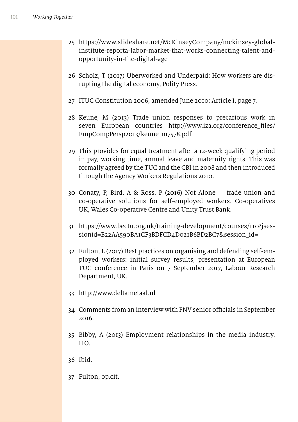- 25 https://www.slideshare.net/McKinseyCompany/mckinsey-globalinstitute-reporta-labor-market-that-works-connecting-talent-andopportunity-in-the-digital-age
- 26 Scholz, T (2017) Uberworked and Underpaid: How workers are disrupting the digital economy, Polity Press.
- 27 ITUC Constitution 2006, amended June 2010: Article I, page 7.
- 28 Keune, M (2013) Trade union responses to precarious work in seven European countries http://www.iza.org/conference\_fles/ EmpCompPersp2013/keune\_m7578.pdf
- 29 This provides for equal treatment after a 12-week qualifying period in pay, working time, annual leave and maternity rights. This was formally agreed by the TUC and the CBI in 2008 and then introduced through the Agency Workers Regulations 2010.
- 30 Conaty, P, Bird, A & Ross, P (2016) Not Alone trade union and co-operative solutions for self-employed workers. Co-operatives UK, Wales Co-operative Centre and Unity Trust Bank.
- 31 https://www.bectu.org.uk/training-development/courses/110?jsessionid=B22AA590BA1CF3BDFCD4D021B6BD2BC7&session\_id=
- 32 Fulton, L (2017) Best practices on organising and defending self-employed workers: initial survey results, presentation at European TUC conference in Paris on 7 September 2017, Labour Research Department, UK.
- 33 http://www.deltametaal.nl
- 34 Comments from an interview with FNV senior officials in September 2016.
- 35 Bibby, A (2013) Employment relationships in the media industry. ILO.
- 36 Ibid.
- 37 Fulton, op.cit.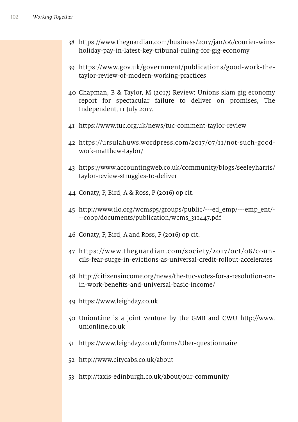- https://www.theguardian.com/business/2017/jan/06/courier-winsholiday-pay-in-latest-key-tribunal-ruling-for-gig-economy
- https://www.gov.uk/government/publications/good-work-thetaylor-review-of-modern-working-practices
- Chapman, B & Taylor, M (2017) Review: Unions slam gig economy report for spectacular failure to deliver on promises, The Independent, 11 July 2017.
- https://www.tuc.org.uk/news/tuc-comment-taylor-review
- https://ursulahuws.wordpress.com/2017/07/11/not-such-goodwork-matthew-taylor/
- https://www.accountingweb.co.uk/community/blogs/seeleyharris/ taylor-review-struggles-to-deliver
- Conaty, P, Bird, A & Ross, P (2016) op cit.
- http://www.ilo.org/wcmsp5/groups/public/---ed\_emp/---emp\_ent/- --coop/documents/publication/wcms\_311447.pdf
- Conaty, P, Bird, A and Ross, P (2016) op cit.
- https://www.theguardian.com/society/2017/oct/08/councils-fear-surge-in-evictions-as-universal-credit-rollout-accelerates
- http://citizensincome.org/news/the-tuc-votes-for-a-resolution-onin-work-benefts-and-universal-basic-income/
- https://www.leighday.co.uk
- UnionLine is a joint venture by the GMB and CWU http://www. unionline.co.uk
- https://www.leighday.co.uk/forms/Uber-questionnaire
- http://www.citycabs.co.uk/about
- http://taxis-edinburgh.co.uk/about/our-community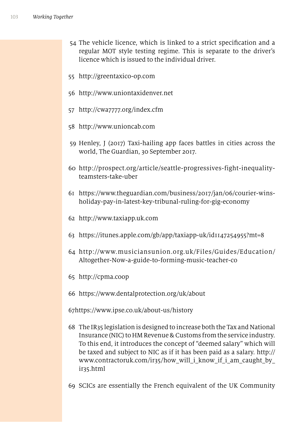- 54 The vehicle licence, which is linked to a strict specifcation and a regular MOT style testing regime. This is separate to the driver's licence which is issued to the individual driver.
- 55 http://greentaxico-op.com
- 56 http://www.uniontaxidenver.net
- 57 http://cwa7777.org/index.cfm
- 58 http://www.unioncab.com
- 59 Henley, J (2017) Taxi-hailing app faces battles in cities across the world, The Guardian, 30 September 2017.
- 60 http://prospect.org/article/seattle-progressives-fight-inequalityteamsters-take-uber
- 61 https://www.theguardian.com/business/2017/jan/06/courier-winsholiday-pay-in-latest-key-tribunal-ruling-for-gig-economy
- 62 http://www.taxiapp.uk.com
- 63 https://itunes.apple.com/gb/app/taxiapp-uk/id1147254955?mt=8
- 64 http://www.musiciansunion.org.uk/Files/Guides/Education/ Altogether-Now-a-guide-to-forming-music-teacher-co
- 65 http://cpma.coop
- 66 https://www.dentalprotection.org/uk/about

67https://www.ipse.co.uk/about-us/history

- 68 The IR35 legislation is designed to increase both the Tax and National Insurance (NIC) to HM Revenue & Customs from the service industry. To this end, it introduces the concept of "deemed salary" which will be taxed and subject to NIC as if it has been paid as a salary. http:// www.contractoruk.com/ir35/how will i know if i am caught by ir35.html
- 69 SCICs are essentially the French equivalent of the UK Community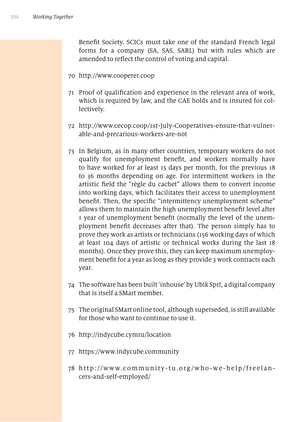Beneft Society. SCICs must take one of the standard French legal forms for a company (SA, SAS, SARL) but with rules which are amended to refect the control of voting and capital.

- 70 http://www.cooperer.coop
- 71 Proof of qualifcation and experience in the relevant area of work, which is required by law, and the CAE holds and is insured for collectively.
- 72 http://www.cecop.coop/1st-July-Cooperatives-ensure-that-vulnerable-and-precarious-workers-are-not
- 73 In Belgium, as in many other countries, temporary workers do not qualify for unemployment beneft, and workers normally have to have worked for at least 15 days per month, for the previous 18 to 36 months depending on age. For intermittent workers in the artistic feld the "règle du cachet" allows them to convert income into working days, which facilitates their access to unemployment beneft. Then, the specifc "intermittency unemployment scheme" allows them to maintain the high unemployment beneft level after 1 year of unemployment beneft (normally the level of the unemployment beneft decreases after that). The person simply has to prove they work as artists or technicians (156 working days of which at least 104 days of artistic or technical works during the last 18 months). Once they prove this, they can keep maximum unemployment beneft for a year as long as they provide 3 work contracts each year.
- 74 The software has been built 'inhouse' by Ubik Sprl, a digital company that is itself a SMart member.
- 75 The original SMart online tool, although superseded, is still available for those who want to continue to use it.
- 76 http://indycube.cymru/location
- 77 https://www.indycube.community
- 78 http://www.community-tu.org/who-we-help/freelancers-and-self-employed/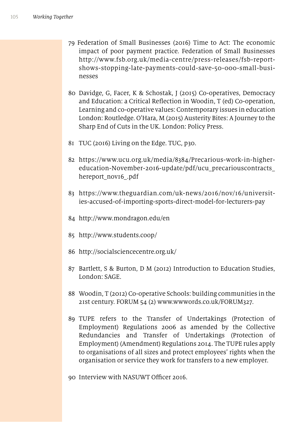- 79 Federation of Small Businesses (2016) Time to Act: The economic impact of poor payment practice. Federation of Small Businesses http://www.fsb.org.uk/media-centre/press-releases/fsb-reportshows-stopping-late-payments-could-save-50-000-small-businesses
- 80 Davidge, G, Facer, K & Schostak, J (2015) Co-operatives, Democracy and Education: a Critical Refection in Woodin, T (ed) Co-operation, Learning and co-operative values: Contemporary issues in education London: Routledge. O'Hara, M (2015) Austerity Bites: A Journey to the Sharp End of Cuts in the UK. London: Policy Press.
- 81 TUC (2016) Living on the Edge. TUC, p30.
- 82 https://www.ucu.org.uk/media/8384/Precarious-work-in-highereducation-November-2016-update/pdf/ucu\_precariouscontracts\_ hereport\_nov16\_.pdf
- 83 https://www.theguardian.com/uk-news/2016/nov/16/universities-accused-of-importing-sports-direct-model-for-lecturers-pay
- 84 http://www.mondragon.edu/en
- 85 http://www.students.coop/
- 86 http://socialsciencecentre.org.uk/
- 87 Bartlett, S & Burton, D M (2012) Introduction to Education Studies, London: SAGE.
- 88 Woodin, T (2012) Co-operative Schools: building communities in the 21st century. FORUM 54 (2) www.wwwords.co.uk/FORUM327.
- 89 TUPE refers to the Transfer of Undertakings (Protection of Employment) Regulations 2006 as amended by the Collective Redundancies and Transfer of Undertakings (Protection of Employment) (Amendment) Regulations 2014. The TUPE rules apply to organisations of all sizes and protect employees' rights when the organisation or service they work for transfers to a new employer.

90 Interview with NASUWT Officer 2016.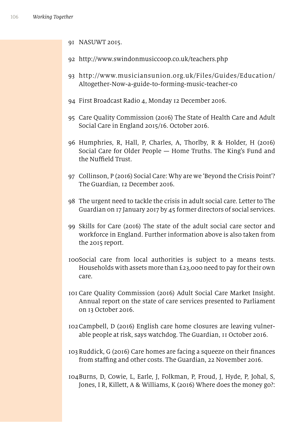- 91 NASUWT 2015.
- 92 http://www.swindonmusiccoop.co.uk/teachers.php
- 93 http://www.musiciansunion.org.uk/Files/Guides/Education/ Altogether-Now-a-guide-to-forming-music-teacher-co
- 94 First Broadcast Radio 4, Monday 12 December 2016.
- 95 Care Quality Commission (2016) The State of Health Care and Adult Social Care in England 2015/16. October 2016.
- 96 Humphries, R, Hall, P, Charles, A, Thorlby, R & Holder, H (2016) Social Care for Older People — Home Truths. The King's Fund and the Nuffield Trust.
- 97 Collinson, P (2016) Social Care: Why are we 'Beyond the Crisis Point'? The Guardian, 12 December 2016.
- 98 The urgent need to tackle the crisis in adult social care. Letter to The Guardian on 17 January 2017 by 45 former directors of social services.
- 99 Skills for Care (2016) The state of the adult social care sector and workforce in England. Further information above is also taken from the 2015 report.
- 100Social care from local authorities is subject to a means tests. Households with assets more than £23,000 need to pay for their own care.
- 101 Care Quality Commission (2016) Adult Social Care Market Insight. Annual report on the state of care services presented to Parliament on 13 October 2016.
- 102Campbell, D (2016) English care home closures are leaving vulnerable people at risk, says watchdog. The Guardian, 11 October 2016.
- 103Ruddick, G (2016) Care homes are facing a squeeze on their fnances from staffing and other costs. The Guardian, 22 November 2016.
- 104Burns, D, Cowie, L, Earle, J, Folkman, P, Froud, J, Hyde, P, Johal, S, Jones, I R, Killett, A & Williams, K (2016) Where does the money go?: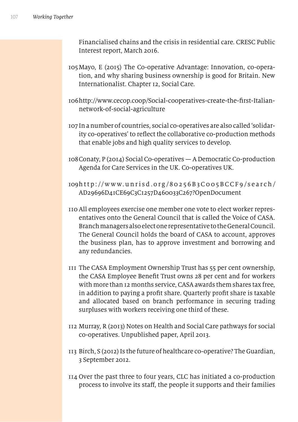Financialised chains and the crisis in residential care. CRESC Public Interest report, March 2016.

- 105Mayo, E (2015) The Co-operative Advantage: Innovation, co-operation, and why sharing business ownership is good for Britain. New Internationalist. Chapter 12, Social Care.
- 106http://www.cecop.coop/Social-cooperatives-create-the-frst-Italiannetwork-of-social-agriculture
- 107 In a number of countries, social co-operatives are also called 'solidarity co-operatives' to refect the collaborative co-production methods that enable jobs and high quality services to develop.
- 108Conaty, P (2014) Social Co-operatives A Democratic Co-production Agenda for Care Services in the UK. Co-operatives UK.
- 109http://www.unrisd.org/80256B3C005BCCF9/search/ AD29696D41CE69C3C1257D460033C267?OpenDocument
- 110 All employees exercise one member one vote to elect worker representatives onto the General Council that is called the Voice of CASA. Branch managers also elect one representative to the General Council. The General Council holds the board of CASA to account, approves the business plan, has to approve investment and borrowing and any redundancies.
- 111 The CASA Employment Ownership Trust has 55 per cent ownership, the CASA Employee Beneft Trust owns 28 per cent and for workers with more than 12 months service, CASA awards them shares tax free, in addition to paying a proft share. Quarterly proft share is taxable and allocated based on branch performance in securing trading surpluses with workers receiving one third of these.
- 112 Murray, R (2013) Notes on Health and Social Care pathways for social co-operatives. Unpublished paper, April 2013.
- 113 Birch, S (2012) Is the future of healthcare co-operative? The Guardian, 3 September 2012.
- 114 Over the past three to four years, CLC has initiated a co-production process to involve its staf, the people it supports and their families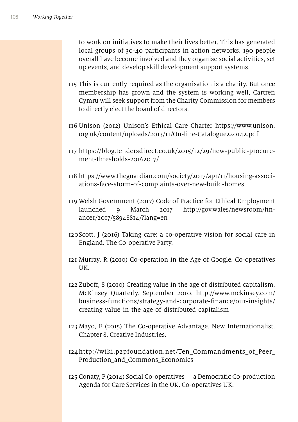to work on initiatives to make their lives better. This has generated local groups of 30-40 participants in action networks. 190 people overall have become involved and they organise social activities, set up events, and develop skill development support systems.

- 115 This is currently required as the organisation is a charity. But once membership has grown and the system is working well, Cartref Cymru will seek support from the Charity Commission for members to directly elect the board of directors.
- 116 Unison (2012) Unison's Ethical Care Charter https://www.unison. org.uk/content/uploads/2013/11/On-line-Catalogue220142.pdf
- 117 https://blog.tendersdirect.co.uk/2015/12/29/new-public-procurement-thresholds-20162017/
- 118 https://www.theguardian.com/society/2017/apr/11/housing-associations-face-storm-of-complaints-over-new-build-homes
- 119 Welsh Government (2017) Code of Practice for Ethical Employment launched 9 March 2017 http://gov.wales/newsroom/fnance1/2017/58948814/?lang=en
- 120Scott, J (2016) Taking care: a co-operative vision for social care in England. The Co-operative Party.
- 121 Murray, R (2010) Co-operation in the Age of Google. Co-operatives UK.
- 122 Zubof, S (2010) Creating value in the age of distributed capitalism. McKinsey Quarterly. September 2010. http://www.mckinsey.com/ business-functions/strategy-and-corporate-fnance/our-insights/ creating-value-in-the-age-of-distributed-capitalism
- 123 Mayo, E (2015) The Co-operative Advantage. New Internationalist. Chapter 8, Creative Industries.
- 124http://wiki.p2pfoundation.net/Ten\_Commandments\_of\_Peer\_ Production\_and\_Commons\_Economics
- 125 Conaty, P (2014) Social Co-operatives a Democratic Co-production Agenda for Care Services in the UK. Co-operatives UK.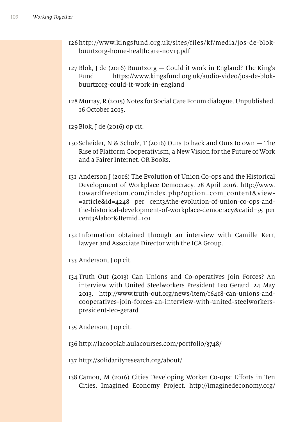- 126 http://www.kingsfund.org.uk/sites/files/kf/media/jos-de-blokbuurtzorg-home-healthcare-nov13.pdf
- 127 Blok, J de (2016) Buurtzorg Could it work in England? The King's Fund https://www.kingsfund.org.uk/audio-video/jos-de-blokbuurtzorg-could-it-work-in-england
- 128 Murray, R (2015) Notes for Social Care Forum dialogue. Unpublished. 16 October 2015.
- 129 Blok, J de (2016) op cit.
- 130 Scheider, N & Scholz, T (2016) Ours to hack and Ours to own The Rise of Platform Cooperativism, a New Vision for the Future of Work and a Fairer Internet. OR Books.
- 131 Anderson J (2016) The Evolution of Union Co-ops and the Historical Development of Workplace Democracy. 28 April 2016. http://www. towardfreedom.com/index.php?option=com\_content&view- =article&id=4248 per cent3Athe-evolution-of-union-co-ops-andthe-historical-development-of-workplace-democracy&catid=35 per cent3Alabor&Itemid=101
- 132 Information obtained through an interview with Camille Kerr, lawyer and Associate Director with the ICA Group.
- 133 Anderson, J op cit.
- 134 Truth Out (2013) Can Unions and Co-operatives Join Forces? An interview with United Steelworkers President Leo Gerard. 24 May 2013. http://www.truth-out.org/news/item/16418-can-unions-andcooperatives-join-forces-an-interview-with-united-steelworkerspresident-leo-gerard
- 135 Anderson, J op cit.
- 136 http://lacooplab.aulacourses.com/portfolio/3748/
- 137 http://solidarityresearch.org/about/
- 138 Camou, M (2016) Cities Developing Worker Co-ops: Eforts in Ten Cities. Imagined Economy Project. http://imaginedeconomy.org/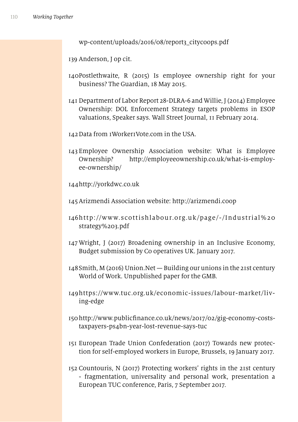wp-content/uploads/2016/08/report3\_citycoops.pdf

139 Anderson, J op cit.

- 140Postlethwaite, R (2015) Is employee ownership right for your business? The Guardian, 18 May 2015.
- 141 Department of Labor Report 28-DLRA-6 and Willie, J (2014) Employee Ownership: DOL Enforcement Strategy targets problems in ESOP valuations, Speaker says. Wall Street Journal, 11 February 2014.
- 142Data from 1Worker1Vote.com in the USA.
- 143 Employee Ownership Association website: What is Employee Ownership? http://employeeownership.co.uk/what-is-employee-ownership/

144http://yorkdwc.co.uk

145Arizmendi Association website: http://arizmendi.coop

- 146http://www.scottishlabour.org.uk/page/-/Industrial%20 strategy%203.pdf
- 147 Wright, J (2017) Broadening ownership in an Inclusive Economy, Budget submission by Co operatives UK. January 2017.
- 148Smith, M (2016) Union.Net Building our unions in the 21st century World of Work. Unpublished paper for the GMB.
- 149https://www.tuc.org.uk/economic-issues/labour-market/living-edge
- 150http://www.publicfnance.co.uk/news/2017/02/gig-economy-coststaxpayers-ps4bn-year-lost-revenue-says-tuc
- 151 European Trade Union Confederation (2017) Towards new protection for self-employed workers in Europe, Brussels, 19 January 2017.
- 152 Countouris, N (2017) Protecting workers' rights in the 21st century - fragmentation, universality and personal work, presentation a European TUC conference, Paris, 7 September 2017.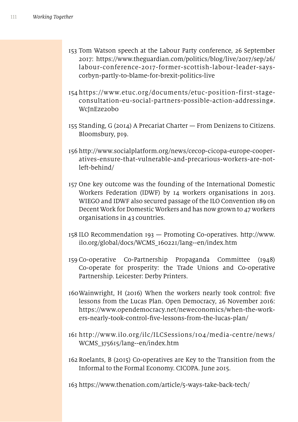- 153 Tom Watson speech at the Labour Party conference, 26 September 2017: https://www.theguardian.com/politics/blog/live/2017/sep/26/ labour-conference-2017-former-scottish-labour-leader-sayscorbyn-partly-to-blame-for-brexit-politics-live
- 154 https://www.etuc.org/documents/etuc-position-first-stageconsultation-eu-social-partners-possible-action-addressing#. WcJnEze20b0
- 155 Standing, G (2014) A Precariat Charter From Denizens to Citizens. Bloomsbury, p19.
- 156 http://www.socialplatform.org/news/cecop-cicopa-europe-cooperatives-ensure-that-vulnerable-and-precarious-workers-are-notleft-behind/
- 157 One key outcome was the founding of the International Domestic Workers Federation (IDWF) by 14 workers organisations in 2013. WIEGO and IDWF also secured passage of the ILO Convention 189 on Decent Work for Domestic Workers and has now grown to 47 workers organisations in 43 countries.
- 158 ILO Recommendation 193 Promoting Co-operatives. http://www. ilo.org/global/docs/WCMS\_160221/lang--en/index.htm
- 159 Co-operative Co-Partnership Propaganda Committee (1948) Co-operate for prosperity: the Trade Unions and Co-operative Partnership. Leicester: Derby Printers.
- 160Wainwright, H (2016) When the workers nearly took control: fve lessons from the Lucas Plan. Open Democracy, 26 November 2016: https://www.opendemocracy.net/neweconomics/when-the-workers-nearly-took-control-fve-lessons-from-the-lucas-plan/
- 161 http://www.ilo.org/ilc/ILCSessions/104/media-centre/news/ WCMS\_375615/lang--en/index.htm
- 162 Roelants, B (2015) Co-operatives are Key to the Transition from the Informal to the Formal Economy. CICOPA. June 2015.

163 https://www.thenation.com/article/5-ways-take-back-tech/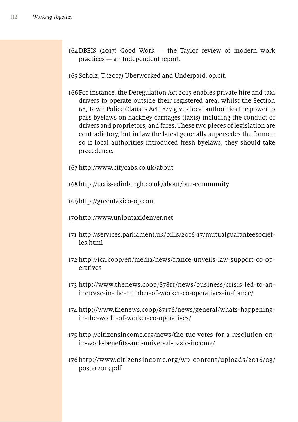164DBEIS (2017) Good Work — the Taylor review of modern work practices — an Independent report.

165 Scholz, T (2017) Uberworked and Underpaid, op.cit.

166 For instance, the Deregulation Act 2015 enables private hire and taxi drivers to operate outside their registered area, whilst the Section 68, Town Police Clauses Act 1847 gives local authorities the power to pass byelaws on hackney carriages (taxis) including the conduct of drivers and proprietors, and fares. These two pieces of legislation are contradictory, but in law the latest generally supersedes the former; so if local authorities introduced fresh byelaws, they should take precedence.

167 http://www.citycabs.co.uk/about

168 http://taxis-edinburgh.co.uk/about/our-community

169http://greentaxico-op.com

- 170http://www.uniontaxidenver.net
- 171 http://services.parliament.uk/bills/2016-17/mutualguaranteesocieties.html
- 172 http://ica.coop/en/media/news/france-unveils-law-support-co-operatives
- 173 http://www.thenews.coop/87811/news/business/crisis-led-to-anincrease-in-the-number-of-worker-co-operatives-in-france/
- 174 http://www.thenews.coop/87176/news/general/whats-happeningin-the-world-of-worker-co-operatives/
- 175 http://citizensincome.org/news/the-tuc-votes-for-a-resolution-onin-work-benefts-and-universal-basic-income/
- 176 http://www.citizensincome.org/wp-content/uploads/2016/03/ poster2013.pdf